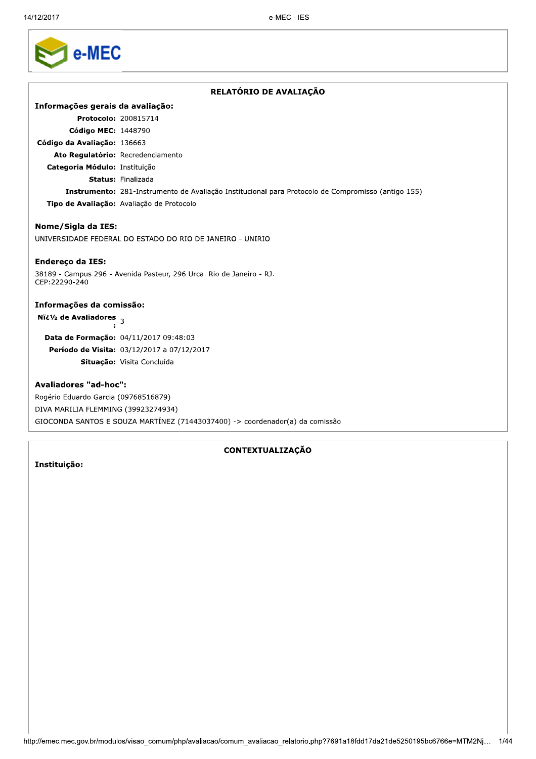Г

|                                                  | RELATÓRIO DE AVALIAÇÃO                                                                             |
|--------------------------------------------------|----------------------------------------------------------------------------------------------------|
| Informações gerais da avaliação:                 |                                                                                                    |
| Protocolo: 200815714                             |                                                                                                    |
| Código MEC: 1448790                              |                                                                                                    |
| Código da Avaliação: 136663                      |                                                                                                    |
| Ato Regulatório: Recredenciamento                |                                                                                                    |
| Categoria Módulo: Instituição                    |                                                                                                    |
|                                                  | <b>Status: Finalizada</b>                                                                          |
|                                                  | Instrumento: 281-Instrumento de Avaliação Institucional para Protocolo de Compromisso (antigo 155) |
|                                                  | Tipo de Avaliação: Avaliação de Protocolo                                                          |
| Nome/Sigla da IES:                               |                                                                                                    |
|                                                  | UNIVERSIDADE FEDERAL DO ESTADO DO RIO DE JANEIRO - UNIRIO                                          |
| <b>Endereço da IES:</b>                          |                                                                                                    |
| CEP:22290-240                                    | 38189 - Campus 296 - Avenida Pasteur, 296 Urca. Rio de Janeiro - RJ.                               |
| Informações da comissão:                         |                                                                                                    |
| Nï¿ <sup>1</sup> / <sub>2</sub> de Avaliadores 3 |                                                                                                    |
|                                                  | Data de Formação: 04/11/2017 09:48:03                                                              |
|                                                  | Período de Visita: 03/12/2017 a 07/12/2017                                                         |
|                                                  | Situação: Visita Concluída                                                                         |
| <b>Avaliadores "ad-hoc":</b>                     |                                                                                                    |
| Rogério Eduardo Garcia (09768516879)             |                                                                                                    |

Kogerio Eduardo Garcia (09768516879) DIVA MARILIA FLEMMING (39923274934) GIOCONDA SANTOS E SOUZA MARTÍNEZ (71443037400) -> coordenador(a) da comissão

# CONTEXTUALIZAÇÃO

# Instituição:

 $\overline{a}$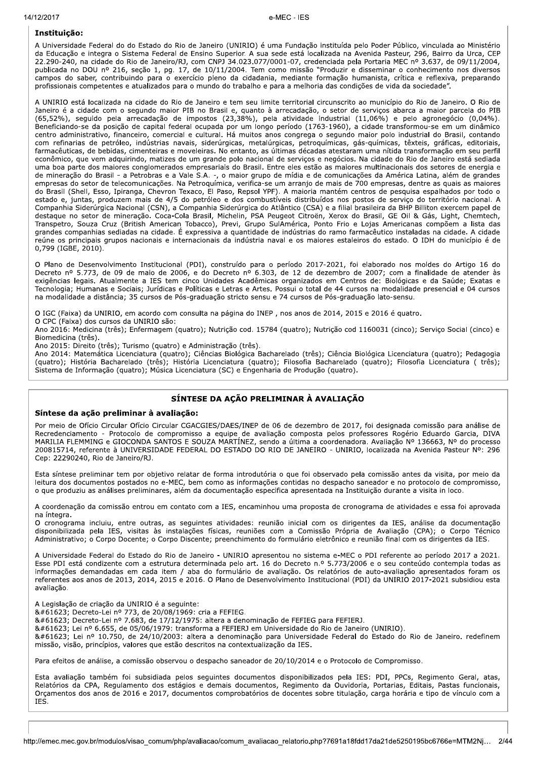### Instituição:

A Universidade Federal do do Estado do Rio de Janeiro (UNIRIO) é uma Fundação instituída pelo Poder Público, vinculada ao Ministério da Educação e integra o Sistema Federal de Ensino Superior. A sua sede está localizada na Avenida Pasteur, 296, Bairro da Urca, CEP 22.290-240, na cidade do Rio de Janeiro/RJ, com CNPJ 34.023.077/0001-07, credenciada pela Portaria MEC nº 3.637, de 09/11/2004, publicada no DOU nº 216, seção 1, pg. 17, de 10/11/2004. Tem como missão "Produzir e dissemina campos do saber, contribuindo para o exercício pleno da cidadania, mediante formação humanista, crítica e reflexiva, preparando profissionais competentes e atualizados para o mundo do trabalho e para a melhoria das condições de vida da sociedade".

A UNIRIO está localizada na cidade do Rio de Janeiro e tem seu limite territorial circunscrito ao município do Rio de Janeiro. O Rio de Janeiro é a cidade com o segundo maior PIB no Brasil e, quanto à arrecadação, o setor de serviços abarca a maior parcela do PIB (65,52%), seguido pela arrecadação de impostos (23,38%), pela atividade industrial (11,06%) e pelo agronegócio (0,04%). Beneficiando-se da posição de capital federal ocupada por um longo período (1763-1960), a cidade transformou-se em um dinâmico centro administrativo, financeiro, comercial e cultural. Há muitos anos congrega o segundo maior polo industrial do Brasil, contando com refinarias de petróleo, indústrias navais, siderúrgicas, metalúrgicas, petroquímicas, gás-químicas, têxteis, gráficas, editoriais, farmacêuticas, de bebidas, cimenteiras e moveleiras. No entanto, as últimas décadas atestaram uma nítida transformação em seu perfil econômico, que vem adquirindo, matizes de um grande polo nacional de serviços e negócios. Na cidade do Rio de Janeiro está sediada uma boa parte dos maiores conglomerados empresariais do Brasil. Entre eles estão as maiores multinacionais dos setores de energia e de mineração do Brasil - a Petrobras e a Vale S.A. -, o maior grupo de mídia e de comunicações da América Latina, além de grandes empresas do setor de telecomunicações. Na Petroquímica, verifica-se um arranjo de mais de 700 empresas, dentre as quais as maiores do Brasil (Shell, Esso, Ipiranga, Chevron Texaco, El Paso, Repsol YPF). A maioria mantém centros de pesquisa espalhados por todo o estado e, juntas, produzem mais de 4/5 do petróleo e dos combustíveis distribuídos nos postos de serviço do território nacional. A Companhia Siderúrgica Nacional (CSN), a Companhia Siderúrgica do Atlântico (CSA) e a filial brasileira da BHP Billiton exercem papel de destaque no setor de mineração. Coca-Cola Brasil, Michelin, PSA Peugeot Citroën, Xerox do Brasil, GE Oil & Gás, Light, Chemtech, Transpetro, Souza Cruz (British American Tobacco), Previ, Grupo SulAmérica, Ponto Frio e Lojas Americanas compõem a lista das grandes companhias sediadas na cidade. É expressiva a quantidade de indústrias do ramo farmacêutico instaladas na cidade. A cidade reúne os principais grupos nacionais e internacionais da indústria naval e os maiores estaleiros do estado. O IDH do município é de 0,799 (IGBE, 2010).

O Plano de Desenvolvimento Institucional (PDI), construído para o período 2017-2021, foi elaborado nos moldes do Artigo 16 do<br>Decreto nº 5.773, de 09 de maio de 2006, e do Decreto nº 6.303, de 12 de dezembro de 2007; com a exigências legais. Atualmente a IES tem cinco Unidades Acadêmicas organizados em Centros de: Biológicas e da Saúde; Exatas e Tecnologia; Humanas e Sociais; Jurídicas e Políticas e Letras e Artes. Possui o total de 44 cursos na modalidade presencial e 04 cursos na modalidade a distância; 35 cursos de Pós-graduação stricto sensu e 74 cursos de Pós-graduação lato-sensu.

O IGC (Faixa) da UNIRIO, em acordo com consulta na página do INEP, nos anos de 2014, 2015 e 2016 é quatro.

O CPC (Faixa) dos cursos da UNIRIO são:

Ano 2016: Medicina (três); Enfermagem (quatro); Nutrição cod. 15784 (quatro); Nutrição cod 1160031 (cinco); Serviço Social (cinco) e Biomedicina (três).

Ano 2015: Direito (três); Turismo (quatro) e Administração (três).

Ano 2014: Matemática Licenciatura (quatro); Ciências Biológica Bacharelado (três); Ciência Biológica Licenciatura (quatro); Pedagogia (guatro); História Bacharelado (três); História Licenciatura (guatro); Filosofia Bacharelado (guatro); Filosofia Licenciatura (três); Sistema de Informação (quatro); Música Licenciatura (SC) e Engenharia de Produção (quatro).

## SÍNTESE DA AÇÃO PRELIMINAR À AVALIAÇÃO

### Síntese da ação preliminar à avaliação:

Por meio de Ofício Circular Ofício Circular CGACGIES/DAES/INEP de 06 de dezembro de 2017, foi designada comissão para análise de Recredenciamento - Protocolo de compromisso a equipe de avaliação composta pelos professores Rogério Eduardo Garcia, DIVA<br>MARILIA FLEMMING e GIOCONDA SANTOS E SOUZA MARTÍNEZ, sendo a última a coordenadora. Avaliação Nº 136 200815714, referente à UNIVERSIDADE FEDERAL DO ESTADO DO RIO DE JANEIRO - UNIRIO, localizada na Avenida Pasteur Nº: 296 Cep: 22290240, Rio de Janeiro/RJ.

Esta síntese preliminar tem por objetivo relatar de forma introdutória o que foi observado pela comissão antes da visita, por meio da leitura dos documentos postados no e-MEC, bem como as informações contidas no despacho saneador e no protocolo de compromisso, o que produziu as análises preliminares, além da documentação especifica apresentada na Instituição durante a visita in loco.

A coordenação da comissão entrou em contato com a IES, encaminhou uma proposta de cronograma de atividades e essa foi aprovada na íntegra.

O cronograma incluiu, entre outras, as seguintes atividades: reunião inicial com os dirigentes da IES, análise da documentação disponibilizada pela IES, visitas às instalações físicas, reuniões com a Comissão Própria de Avaliação (CPA); o Corpo Técnico Administrativo: o Corpo Docente; o Corpo Discente; preenchimento do formulário eletrônico e reunião final com os dirigentes da IES.

A Universidade Federal do Estado do Rio de Janeiro - UNIRIO apresentou no sistema e-MEC o PDI referente ao período 2017 a 2021. Esse PDI está condizente com a estrutura determinada pelo art. 16 do Decreto n.º 5.773/2006 e o seu conteúdo contempla todas as informações demandadas em cada item / aba do formulário de avaliação. Os relatórios de auto-avaliação apresentados foram os referentes aos anos de 2013, 2014, 2015 e 2016. O Plano de Desenvolvimento Institucional (PDI) da UNIRIO 2017-2021 subsidiou esta avaliação.

A Legislação de criação da UNIRIO é a seguinte:

 Decreto-Lei nº 773, de 20/08/1969: cria a FEFIEG.

 Decreto-Lei nº 7.683, de 17/12/1975: altera a denominação de FEFIEG para FEFIERJ.

8#61623; Lei nº 6.655, de 05/06/1979: transforma a FEFIERJ em Universidade do Rio de Janeiro (UNIRIO).

 Lei nº 10.750, de 24/10/2003: altera a denominação para Universidade Federal do Estado do Rio de Janeiro. redefinem missão, visão, princípios, valores que estão descritos na contextualização da IES.

Para efeitos de análise, a comissão observou o despacho saneador de 20/10/2014 e o Protocolo de Compromisso.

Esta avaliação também foi subsidiada pelos seguintes documentos disponibilizados pela IES: PDI, PPCs, Regimento Geral, atas, Relatórios da CPA, Regulamento dos estágios e demais documentos, Regimento da Ouvidoria, Portarias, Editais, Pastas funcionais, Orçamentos dos anos de 2016 e 2017, documentos comprobatórios de docentes sobre titulação, carga horária e tipo de vínculo com a IES.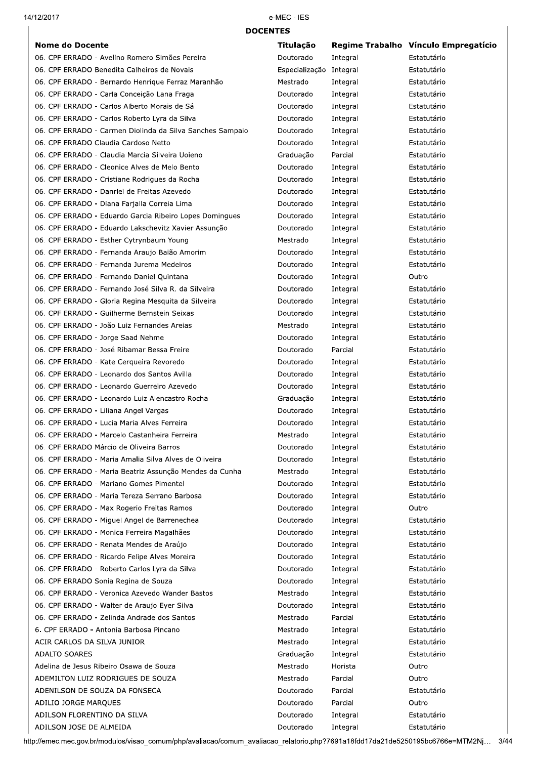$14/12/2$ 

#### 2017 e-MEC e-MEC - IES

| <b>Nome do Docente</b>                                                                                                                                                                                                                                                               | Titulação                                                    |                                                       | Regime Trabalho Vínculo Empregatício                                |
|--------------------------------------------------------------------------------------------------------------------------------------------------------------------------------------------------------------------------------------------------------------------------------------|--------------------------------------------------------------|-------------------------------------------------------|---------------------------------------------------------------------|
| 06. CPF ERRADO - Avelino Romero Simões Pereira                                                                                                                                                                                                                                       | Doutorado                                                    | Integral                                              | Estatutário                                                         |
| 06. CPF ERRADO Benedita Calheiros de Novais                                                                                                                                                                                                                                          | Especialização Integral                                      |                                                       | Estatutário                                                         |
| 06. CPF ERRADO - Bernardo Henrique Ferraz Maranhão                                                                                                                                                                                                                                   | Mestrado                                                     | Integral                                              | Estatutário                                                         |
| 06. CPF ERRADO - Carla Conceição Lana Fraga                                                                                                                                                                                                                                          | Doutorado                                                    | Integral                                              | Estatutário                                                         |
| 06. CPF ERRADO - Carlos Alberto Morais de Sá                                                                                                                                                                                                                                         | Doutorado                                                    | Integral                                              | Estatutário                                                         |
| 06. CPF ERRADO - Carlos Roberto Lyra da Silva                                                                                                                                                                                                                                        | Doutorado                                                    | Integral                                              | Estatutário                                                         |
| 06. CPF ERRADO - Carmen Diolinda da Silva Sanches Sampaio                                                                                                                                                                                                                            | Doutorado                                                    | Integral                                              | Estatutário                                                         |
| 06. CPF ERRADO Claudia Cardoso Netto                                                                                                                                                                                                                                                 | Doutorado                                                    | Integral                                              | Estatutário                                                         |
| 06. CPF ERRADO - Claudia Marcia Silveira Uoieno                                                                                                                                                                                                                                      | Graduação                                                    | Parcial                                               | Estatutário                                                         |
| 06. CPF ERRADO - Cleonice Alves de Melo Bento                                                                                                                                                                                                                                        | Doutorado                                                    | Integral                                              | Estatutário                                                         |
| 06. CPF ERRADO - Cristiane Rodrigues da Rocha                                                                                                                                                                                                                                        | Doutorado                                                    | Integral                                              | Estatutário                                                         |
| 06. CPF ERRADO - Danrlei de Freitas Azevedo                                                                                                                                                                                                                                          | Doutorado                                                    | Integral                                              | Estatutário                                                         |
| 06. CPF ERRADO - Diana Farjalla Correia Lima                                                                                                                                                                                                                                         | Doutorado                                                    | Integral                                              | Estatutário                                                         |
| 06. CPF ERRADO - Eduardo Garcia Ribeiro Lopes Domingues                                                                                                                                                                                                                              | Doutorado                                                    | Integral                                              | Estatutário                                                         |
| 06. CPF ERRADO - Eduardo Lakschevitz Xavier Assunção                                                                                                                                                                                                                                 | Doutorado                                                    | Integral                                              | Estatutário                                                         |
| 06. CPF ERRADO - Esther Cytrynbaum Young                                                                                                                                                                                                                                             | Mestrado                                                     | Integral                                              | Estatutário                                                         |
| 06. CPF ERRADO - Fernanda Araujo Baião Amorim                                                                                                                                                                                                                                        | Doutorado                                                    | Integral                                              | Estatutário                                                         |
| 06. CPF ERRADO - Fernanda Jurema Medeiros                                                                                                                                                                                                                                            | Doutorado                                                    | Integral                                              | Estatutário                                                         |
| 06. CPF ERRADO - Fernando Daniel Quintana                                                                                                                                                                                                                                            | Doutorado                                                    | Integral                                              | Outro                                                               |
| 06. CPF ERRADO - Fernando José Silva R. da Silveira                                                                                                                                                                                                                                  | Doutorado                                                    | Integral                                              | Estatutário                                                         |
| 06. CPF ERRADO - Gloria Regina Mesquita da Silveira                                                                                                                                                                                                                                  | Doutorado                                                    | Integral                                              | Estatutário                                                         |
| 06. CPF ERRADO - Guilherme Bernstein Seixas                                                                                                                                                                                                                                          | Doutorado                                                    | Integral                                              | Estatutário                                                         |
| 06. CPF ERRADO - João Luiz Fernandes Areias                                                                                                                                                                                                                                          | Mestrado                                                     | Integral                                              | Estatutário                                                         |
| 06. CPF ERRADO - Jorge Saad Nehme                                                                                                                                                                                                                                                    | Doutorado                                                    | Integral                                              | Estatutário                                                         |
| 06. CPF ERRADO - José Ribamar Bessa Freire                                                                                                                                                                                                                                           | Doutorado                                                    | Parcial                                               | Estatutário                                                         |
| 06. CPF ERRADO - Kate Cerqueira Revoredo                                                                                                                                                                                                                                             | Doutorado                                                    | Integral                                              | Estatutário                                                         |
| 06. CPF ERRADO - Leonardo dos Santos Avilla                                                                                                                                                                                                                                          | Doutorado                                                    | Integral                                              | Estatutário                                                         |
| 06. CPF ERRADO - Leonardo Guerreiro Azevedo                                                                                                                                                                                                                                          | Doutorado                                                    | Integral                                              | Estatutário                                                         |
| 06. CPF ERRADO - Leonardo Luiz Alencastro Rocha                                                                                                                                                                                                                                      | Graduação                                                    | Integral                                              | Estatutário                                                         |
| 06. CPF ERRADO - Liliana Angel Vargas                                                                                                                                                                                                                                                | Doutorado                                                    | Integral                                              | Estatutário                                                         |
| 06. CPF ERRADO - Lucia Maria Alves Ferreira                                                                                                                                                                                                                                          | Doutorado                                                    | Integral                                              | Estatutário                                                         |
| 06. CPF ERRADO - Marcelo Castanheira Ferreira                                                                                                                                                                                                                                        | Mestrado                                                     | Integral                                              | Estatutário                                                         |
| 06. CPF ERRADO Márcio de Oliveira Barros                                                                                                                                                                                                                                             | Doutorado                                                    | Integral                                              | Estatutário                                                         |
| 06. CPF ERRADO - Maria Amalia Silva Alves de Oliveira                                                                                                                                                                                                                                | Doutorado                                                    | Integral                                              | Estatutário                                                         |
| 06. CPF ERRADO - Maria Beatriz Assunção Mendes da Cunha                                                                                                                                                                                                                              | Mestrado                                                     | Integral                                              | Estatutário                                                         |
| 06. CPF ERRADO - Mariano Gomes Pimentel                                                                                                                                                                                                                                              | Doutorado                                                    | Integral                                              | Estatutário                                                         |
| 06. CPF ERRADO - Maria Tereza Serrano Barbosa                                                                                                                                                                                                                                        | Doutorado                                                    | Integral                                              | Estatutário                                                         |
| 06. CPF ERRADO - Max Rogerio Freitas Ramos                                                                                                                                                                                                                                           | Doutorado                                                    | Integral                                              | Outro                                                               |
| 06. CPF ERRADO - Miguel Angel de Barrenechea                                                                                                                                                                                                                                         | Doutorado                                                    | Integral                                              | Estatutário                                                         |
| 06. CPF ERRADO - Monica Ferreira Magalhães                                                                                                                                                                                                                                           | Doutorado                                                    | Integral                                              | Estatutário                                                         |
| 06. CPF ERRADO - Renata Mendes de Araújo                                                                                                                                                                                                                                             | Doutorado                                                    | Integral                                              | Estatutário                                                         |
| 06. CPF ERRADO - Ricardo Felipe Alves Moreira                                                                                                                                                                                                                                        | Doutorado                                                    | Integral                                              | Estatutário                                                         |
| 06. CPF ERRADO - Roberto Carlos Lyra da Silva                                                                                                                                                                                                                                        | Doutorado                                                    | Integral                                              | Estatutário                                                         |
| 06. CPF ERRADO Sonia Regina de Souza                                                                                                                                                                                                                                                 | Doutorado                                                    | Integral                                              | Estatutário                                                         |
| 06. CPF ERRADO - Veronica Azevedo Wander Bastos                                                                                                                                                                                                                                      | Mestrado                                                     | Integral                                              | Estatutário                                                         |
| 06. CPF ERRADO - Walter de Araujo Eyer Silva                                                                                                                                                                                                                                         | Doutorado                                                    | Integral                                              | Estatutário                                                         |
| 06. CPF ERRADO - Zelinda Andrade dos Santos                                                                                                                                                                                                                                          | Mestrado                                                     | Parcial                                               | Estatutário                                                         |
| 6. CPF ERRADO - Antonia Barbosa Pincano                                                                                                                                                                                                                                              | Mestrado                                                     | Integral                                              | Estatutário                                                         |
| ACIR CARLOS DA SILVA JUNIOR                                                                                                                                                                                                                                                          | Mestrado                                                     | Integral                                              | Estatutário                                                         |
| <b>ADALTO SOARES</b><br>Adelina de Jesus Ribeiro Osawa de Souza                                                                                                                                                                                                                      | Graduação<br>Mestrado                                        | Integral                                              | Estatutário<br>Outro                                                |
|                                                                                                                                                                                                                                                                                      |                                                              | Horista                                               |                                                                     |
|                                                                                                                                                                                                                                                                                      |                                                              |                                                       |                                                                     |
|                                                                                                                                                                                                                                                                                      |                                                              |                                                       |                                                                     |
|                                                                                                                                                                                                                                                                                      |                                                              |                                                       |                                                                     |
|                                                                                                                                                                                                                                                                                      |                                                              |                                                       |                                                                     |
|                                                                                                                                                                                                                                                                                      |                                                              |                                                       |                                                                     |
| ADEMILTON LUIZ RODRIGUES DE SOUZA<br>ADENILSON DE SOUZA DA FONSECA<br>ADILIO JORGE MARQUES<br>ADILSON FLORENTINO DA SILVA<br>ADILSON JOSE DE ALMEIDA<br>tp://emec.mec.gov.br/modulos/visao comum/php/avaliacao/comum avaliacao relatorio.php?7691a18fdd17da21de5250195bc6766e=MTM2Nj | Mestrado<br>Doutorado<br>Doutorado<br>Doutorado<br>Doutorado | Parcial<br>Parcial<br>Parcial<br>Integral<br>Integral | Outro<br>Estatutário<br>Outro<br>Estatutário<br>Estatutário<br>3/44 |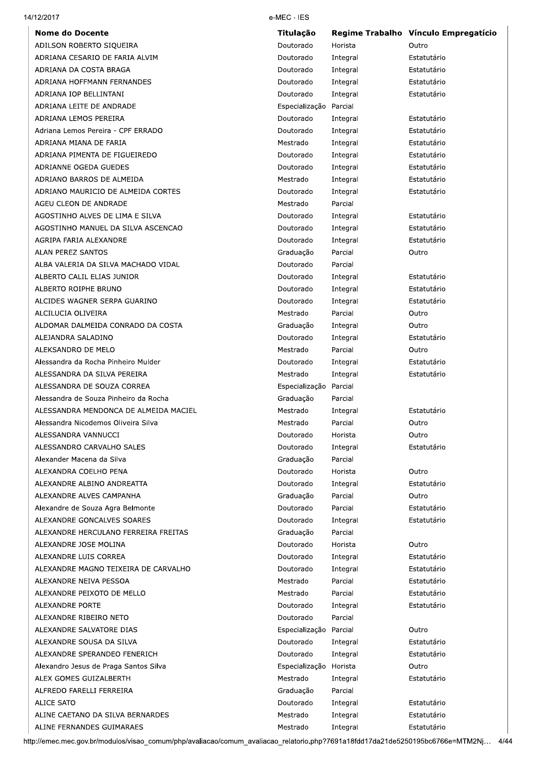| <b>Nome do Docente</b>                                                                                                       | Titulação              |                     | Regime Trabalho Vínculo Empregatício |
|------------------------------------------------------------------------------------------------------------------------------|------------------------|---------------------|--------------------------------------|
| ADILSON ROBERTO SIQUEIRA                                                                                                     | Doutorado              | Horista             | Outro                                |
| ADRIANA CESARIO DE FARIA ALVIM                                                                                               | Doutorado              | Integral            | Estatutário                          |
| ADRIANA DA COSTA BRAGA                                                                                                       | Doutorado              | Integral            | Estatutário                          |
| ADRIANA HOFFMANN FERNANDES                                                                                                   | Doutorado              | Integral            | Estatutário                          |
| ADRIANA IOP BELLINTANI                                                                                                       | Doutorado              | Integral            | Estatutário                          |
| ADRIANA LEITE DE ANDRADE                                                                                                     | Especialização Parcial |                     |                                      |
| ADRIANA LEMOS PEREIRA                                                                                                        | Doutorado              | Integral            | Estatutário                          |
| Adriana Lemos Pereira - CPF ERRADO                                                                                           | Doutorado              | Integral            | Estatutário                          |
| ADRIANA MIANA DE FARIA                                                                                                       | Mestrado               | Integral            | Estatutário                          |
| ADRIANA PIMENTA DE FIGUEIREDO                                                                                                | Doutorado              | Integral            | Estatutário                          |
| ADRIANNE OGEDA GUEDES                                                                                                        | Doutorado              | Integral            | Estatutário                          |
| ADRIANO BARROS DE ALMEIDA                                                                                                    | Mestrado               | Integral            | Estatutário                          |
| ADRIANO MAURICIO DE ALMEIDA CORTES                                                                                           | Doutorado              | Integral            | Estatutário                          |
| AGEU CLEON DE ANDRADE                                                                                                        | Mestrado               | Parcial             |                                      |
| AGOSTINHO ALVES DE LIMA E SILVA                                                                                              | Doutorado              | Integral            | Estatutário                          |
| AGOSTINHO MANUEL DA SILVA ASCENCAO                                                                                           | Doutorado              | Integral            | Estatutário                          |
| AGRIPA FARIA ALEXANDRE                                                                                                       | Doutorado              | Integral            | Estatutário                          |
| <b>ALAN PEREZ SANTOS</b>                                                                                                     | Graduação              | Parcial             | Outro                                |
| ALBA VALERIA DA SILVA MACHADO VIDAL                                                                                          | Doutorado              | Parcial             |                                      |
| ALBERTO CALIL ELIAS JUNIOR                                                                                                   | Doutorado              | Integral            | Estatutário                          |
| ALBERTO ROIPHE BRUNO                                                                                                         | Doutorado              | Integral            | Estatutário                          |
| ALCIDES WAGNER SERPA GUARINO                                                                                                 | Doutorado              | Integral            | Estatutário                          |
| ALCILUCIA OLIVEIRA                                                                                                           | Mestrado               | Parcial             | Outro                                |
| ALDOMAR DALMEIDA CONRADO DA COSTA                                                                                            | Graduação              | Integral            | Outro                                |
| ALEJANDRA SALADINO                                                                                                           | Doutorado              | Integral            | Estatutário                          |
| ALEKSANDRO DE MELO                                                                                                           | Mestrado               | Parcial             | Outro                                |
| Alessandra da Rocha Pinheiro Mulder                                                                                          | Doutorado              | Integral            | Estatutário                          |
| ALESSANDRA DA SILVA PEREIRA                                                                                                  | Mestrado               | Integral            | Estatutário                          |
| ALESSANDRA DE SOUZA CORREA                                                                                                   | Especialização Parcial |                     |                                      |
| Alessandra de Souza Pinheiro da Rocha                                                                                        | Graduação              | Parcial             |                                      |
| ALESSANDRA MENDONCA DE ALMEIDA MACIEL                                                                                        | Mestrado               | Integral            | Estatutário                          |
| Alessandra Nicodemos Oliveira Silva                                                                                          | Mestrado               | Parcial             | Outro                                |
| ALESSANDRA VANNUCCI                                                                                                          | Doutorado              | Horista             | Outro                                |
| ALESSANDRO CARVALHO SALES                                                                                                    | Doutorado              | Integral            | Estatutário                          |
| Alexander Macena da Silva                                                                                                    | Graduação              | Parcial             |                                      |
| ALEXANDRA COELHO PENA                                                                                                        | Doutorado              | Horista             | Outro                                |
| ALEXANDRE ALBINO ANDREATTA                                                                                                   | Doutorado              | Integral            | Estatutário                          |
| ALEXANDRE ALVES CAMPANHA                                                                                                     | Graduação              | Parcial             | Outro                                |
| Alexandre de Souza Agra Belmonte                                                                                             | Doutorado              | Parcial             | Estatutário                          |
| ALEXANDRE GONCALVES SOARES                                                                                                   | Doutorado              | Integral            | Estatutário                          |
| ALEXANDRE HERCULANO FERREIRA FREITAS                                                                                         | Graduação              | Parcial<br>Horista  |                                      |
| ALEXANDRE JOSE MOLINA                                                                                                        | Doutorado              |                     | Outro                                |
| ALEXANDRE LUIS CORREA                                                                                                        | Doutorado              | Integral            | Estatutário                          |
| ALEXANDRE MAGNO TEIXEIRA DE CARVALHO<br>ALEXANDRE NEIVA PESSOA                                                               | Doutorado<br>Mestrado  | Integral<br>Parcial | Estatutário<br>Estatutário           |
| ALEXANDRE PEIXOTO DE MELLO                                                                                                   | Mestrado               | Parcial             | Estatutário                          |
| ALEXANDRE PORTE                                                                                                              | Doutorado              | Integral            | Estatutário                          |
| ALEXANDRE RIBEIRO NETO                                                                                                       | Doutorado              | Parcial             |                                      |
| ALEXANDRE SALVATORE DIAS                                                                                                     | Especialização Parcial |                     | Outro                                |
| ALEXANDRE SOUSA DA SILVA                                                                                                     | Doutorado              | Integral            | Estatutário                          |
| ALEXANDRE SPERANDEO FENERICH                                                                                                 | Doutorado              | Integral            | Estatutário                          |
| Alexandro Jesus de Praga Santos Silva                                                                                        | Especialização Horista |                     | Outro                                |
| ALEX GOMES GUIZALBERTH                                                                                                       | Mestrado               | Integral            | Estatutário                          |
| ALFREDO FARELLI FERREIRA                                                                                                     | Graduação              | Parcial             |                                      |
| ALICE SATO                                                                                                                   | Doutorado              | Integral            | Estatutário                          |
| ALINE CAETANO DA SILVA BERNARDES                                                                                             | Mestrado               | Integral            | Estatutário                          |
| ALINE FERNANDES GUIMARAES                                                                                                    | Mestrado               | Integral            | Estatutário                          |
| p://emec.mec.gov.br/modulos/visao_comum/php/avaliacao/comum_avaliacao_relatorio.php?7691a18fdd17da21de5250195bc6766e=MTM2Nj… |                        |                     | 4/44                                 |
|                                                                                                                              |                        |                     |                                      |
|                                                                                                                              |                        |                     |                                      |
|                                                                                                                              |                        |                     |                                      |
|                                                                                                                              |                        |                     |                                      |
|                                                                                                                              |                        |                     |                                      |

 $14/12/2$ 

2017 e-MEC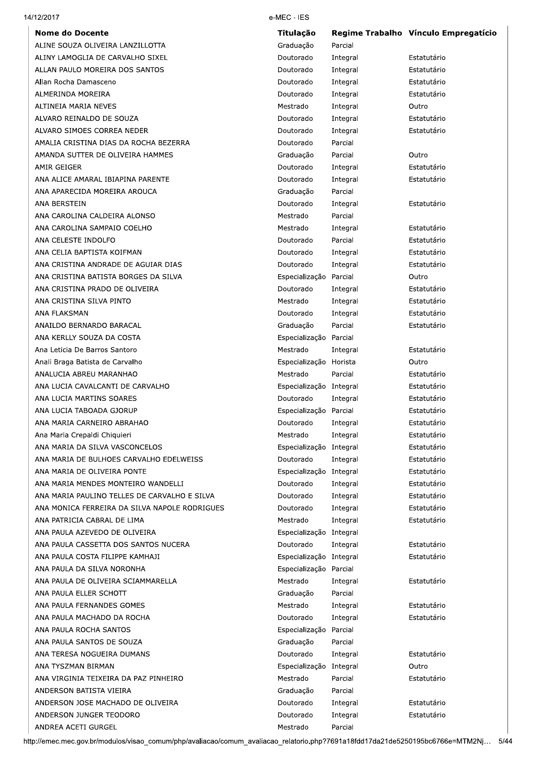|                                               | Titulação               |          | Regime Trabalho Vínculo Empregatício |
|-----------------------------------------------|-------------------------|----------|--------------------------------------|
| ALINE SOUZA OLIVEIRA LANZILLOTTA              | Graduação               | Parcial  |                                      |
| ALINY LAMOGLIA DE CARVALHO SIXEL              | Doutorado               | Integral | Estatutário                          |
| ALLAN PAULO MOREIRA DOS SANTOS                | Doutorado               | Integral | Estatutário                          |
| Allan Rocha Damasceno                         | Doutorado               | Integral | Estatutário                          |
| ALMERINDA MOREIRA                             | Doutorado               | Integral | Estatutário                          |
| ALTINEIA MARIA NEVES                          | Mestrado                | Integral | Outro                                |
| ALVARO REINALDO DE SOUZA                      | Doutorado               | Integral | Estatutário                          |
| ALVARO SIMOES CORREA NEDER                    | Doutorado               | Integral | Estatutário                          |
| AMALIA CRISTINA DIAS DA ROCHA BEZERRA         | Doutorado               | Parcial  |                                      |
| AMANDA SUTTER DE OLIVEIRA HAMMES              | Graduação               | Parcial  | Outro                                |
| AMIR GEIGER                                   | Doutorado               | Integral | Estatutário                          |
| ANA ALICE AMARAL IBIAPINA PARENTE             | Doutorado               | Integral | Estatutário                          |
| ANA APARECIDA MOREIRA AROUCA                  | Graduação               | Parcial  |                                      |
| ANA BERSTEIN                                  | Doutorado               | Integral | Estatutário                          |
| ANA CAROLINA CALDEIRA ALONSO                  | Mestrado                | Parcial  |                                      |
| ANA CAROLINA SAMPAIO COELHO                   | Mestrado                | Integral | Estatutário                          |
| ANA CELESTE INDOLFO                           | Doutorado               | Parcial  | Estatutário                          |
| ANA CELIA BAPTISTA KOIFMAN                    | Doutorado               | Integral | Estatutário                          |
| ANA CRISTINA ANDRADE DE AGUIAR DIAS           | Doutorado               | Integral | Estatutário                          |
| ANA CRISTINA BATISTA BORGES DA SILVA          | Especialização          | Parcial  | Outro                                |
|                                               |                         |          |                                      |
| ANA CRISTINA PRADO DE OLIVEIRA                | Doutorado               | Integral | Estatutário                          |
| ANA CRISTINA SILVA PINTO                      | Mestrado                | Integral | Estatutário                          |
| ANA FLAKSMAN                                  | Doutorado               | Integral | Estatutário                          |
| ANAILDO BERNARDO BARACAL                      | Graduação               | Parcial  | Estatutário                          |
| ANA KERLLY SOUZA DA COSTA                     | Especialização          | Parcial  |                                      |
| Ana Leticia De Barros Santoro                 | Mestrado                | Integral | Estatutário                          |
| Anali Braga Batista de Carvalho               | Especialização Horista  |          | Outro                                |
| ANALUCIA ABREU MARANHAO                       | Mestrado                | Parcial  | Estatutário                          |
| ANA LUCIA CAVALCANTI DE CARVALHO              | Especialização Integral |          | Estatutário                          |
| ANA LUCIA MARTINS SOARES                      | Doutorado               | Integral | Estatutário                          |
| ANA LUCIA TABOADA GJORUP                      | Especialização Parcial  |          | Estatutário                          |
| ANA MARIA CARNEIRO ABRAHAO                    | Doutorado               | Integral | Estatutário                          |
| Ana Maria Crepaldi Chiquieri                  | Mestrado                | Integral | Estatutário                          |
| ANA MARIA DA SILVA VASCONCELOS                | Especialização Integral |          | Estatutário                          |
| ANA MARIA DE BULHOES CARVALHO EDELWEISS       | Doutorado               | Integral | Estatutário                          |
| ANA MARIA DE OLIVEIRA PONTE                   | Especialização Integral |          | Estatutário                          |
| ANA MARIA MENDES MONTEIRO WANDELLI            | Doutorado               | Integral | Estatutário                          |
| ANA MARIA PAULINO TELLES DE CARVALHO E SILVA  | Doutorado               | Integral | Estatutário                          |
| ANA MONICA FERREIRA DA SILVA NAPOLE RODRIGUES | Doutorado               | Integral | Estatutário                          |
| ANA PATRICIA CABRAL DE LIMA                   | Mestrado                | Integral | Estatutário                          |
| ANA PAULA AZEVEDO DE OLIVEIRA                 | Especialização Integral |          |                                      |
| ANA PAULA CASSETTA DOS SANTOS NUCERA          | Doutorado               | Integral | Estatutário                          |
| ANA PAULA COSTA FILIPPE KAMHAJI               | Especialização Integral |          | Estatutário                          |
| ANA PAULA DA SILVA NORONHA                    | Especialização Parcial  |          |                                      |
| ANA PAULA DE OLIVEIRA SCIAMMARELLA            | Mestrado                | Integral | Estatutário                          |
| ANA PAULA ELLER SCHOTT                        | Graduação               | Parcial  |                                      |
| ANA PAULA FERNANDES GOMES                     | Mestrado                | Integral | Estatutário                          |
| ANA PAULA MACHADO DA ROCHA                    | Doutorado               |          | Estatutário                          |
|                                               |                         | Integral |                                      |
| ANA PAULA ROCHA SANTOS                        | Especialização          | Parcial  |                                      |
| ANA PAULA SANTOS DE SOUZA                     | Graduação               | Parcial  |                                      |
| ANA TERESA NOGUEIRA DUMANS                    | Doutorado               | Integral | Estatutário                          |
| ANA TYSZMAN BIRMAN                            | Especialização Integral |          | Outro                                |
| ANA VIRGINIA TEIXEIRA DA PAZ PINHEIRO         | Mestrado                | Parcial  | Estatutário                          |
| ANDERSON BATISTA VIEIRA                       | Graduação               | Parcial  |                                      |
| ANDERSON JOSE MACHADO DE OLIVEIRA             | Doutorado               | Integral | Estatutário                          |
|                                               | Doutorado               | Integral | Estatutário                          |
| ANDERSON JUNGER TEODORO                       |                         |          |                                      |

 $14/12/2$ 

2017 e-MEC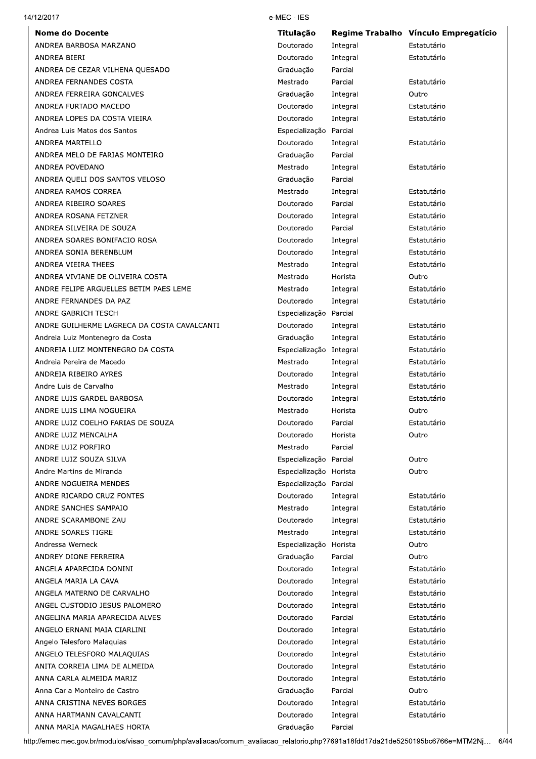| 14/12/2017 |  |
|------------|--|
|------------|--|

2017 e-MEC e-MEC - IES

| ANDREA BARBOSA MARZANO                      |                         |          | Regime Trabalho Vinculo Empregaticio |
|---------------------------------------------|-------------------------|----------|--------------------------------------|
|                                             | Doutorado               | Integral | Estatutário                          |
| ANDREA BIERI                                | Doutorado               | Integral | Estatutário                          |
| ANDREA DE CEZAR VILHENA QUESADO             | Graduação               | Parcial  |                                      |
| ANDREA FERNANDES COSTA                      | Mestrado                | Parcial  | Estatutário                          |
| ANDREA FERREIRA GONCALVES                   | Graduação               | Integral | Outro                                |
| ANDREA FURTADO MACEDO                       | Doutorado               | Integral | Estatutário                          |
| ANDREA LOPES DA COSTA VIEIRA                | Doutorado               | Integral | Estatutário                          |
| Andrea Luis Matos dos Santos                | Especialização Parcial  |          |                                      |
| ANDREA MARTELLO                             | Doutorado               | Integral | Estatutário                          |
| ANDREA MELO DE FARIAS MONTEIRO              | Graduação               | Parcial  |                                      |
| ANDREA POVEDANO                             | Mestrado                | Integral | Estatutário                          |
| ANDREA QUELI DOS SANTOS VELOSO              | Graduação               | Parcial  |                                      |
| ANDREA RAMOS CORREA                         | Mestrado                | Integral | Estatutário                          |
| ANDREA RIBEIRO SOARES                       | Doutorado               | Parcial  | Estatutário                          |
| ANDREA ROSANA FETZNER                       | Doutorado               | Integral | Estatutário                          |
| ANDREA SILVEIRA DE SOUZA                    | Doutorado               | Parcial  | Estatutário                          |
| ANDREA SOARES BONIFACIO ROSA                | Doutorado               | Integral | Estatutário                          |
| ANDREA SONIA BERENBLUM                      | Doutorado               | Integral | Estatutário                          |
| ANDREA VIEIRA THEES                         | Mestrado                | Integral | Estatutário                          |
| ANDREA VIVIANE DE OLIVEIRA COSTA            | Mestrado                | Horista  | Outro                                |
| ANDRE FELIPE ARGUELLES BETIM PAES LEME      | Mestrado                | Integral | Estatutário                          |
| ANDRE FERNANDES DA PAZ                      | Doutorado               | Integral | Estatutário                          |
| ANDRE GABRICH TESCH                         | Especialização Parcial  |          |                                      |
| ANDRE GUILHERME LAGRECA DA COSTA CAVALCANTI | Doutorado               | Integral | Estatutário                          |
| Andreia Luiz Montenegro da Costa            | Graduação               | Integral | Estatutário                          |
| ANDREIA LUIZ MONTENEGRO DA COSTA            | Especialização Integral |          | Estatutário                          |
| Andreia Pereira de Macedo                   | Mestrado                | Integral | Estatutário                          |
| ANDREIA RIBEIRO AYRES                       | Doutorado               | Integral | Estatutário                          |
| Andre Luis de Carvalho                      | Mestrado                | Integral | Estatutário                          |
| ANDRE LUIS GARDEL BARBOSA                   | Doutorado               | Integral | Estatutário                          |
| ANDRE LUIS LIMA NOGUEIRA                    | Mestrado                | Horista  | Outro                                |
| ANDRE LUIZ COELHO FARIAS DE SOUZA           | Doutorado               | Parcial  | Estatutário                          |
| ANDRE LUIZ MENCALHA                         | Doutorado               | Horista  | Outro                                |
| ANDRE LUIZ PORFIRO                          | Mestrado                | Parcial  |                                      |
| ANDRE LUIZ SOUZA SILVA                      | Especialização Parcial  |          | Outro                                |
| Andre Martins de Miranda                    | Especialização Horista  |          | Outro                                |
| ANDRE NOGUEIRA MENDES                       | Especialização Parcial  |          |                                      |
| ANDRE RICARDO CRUZ FONTES                   | Doutorado               | Integral | Estatutário                          |
| ANDRE SANCHES SAMPAIO                       | Mestrado                | Integral | Estatutário                          |
| ANDRE SCARAMBONE ZAU                        | Doutorado               | Integral | Estatutário                          |
| ANDRE SOARES TIGRE                          | Mestrado                | Integral | Estatutário                          |
| Andressa Werneck                            | Especialização Horista  |          | Outro                                |
| ANDREY DIONE FERREIRA                       |                         |          |                                      |
| ANGELA APARECIDA DONINI                     | Graduação               | Parcial  | Outro                                |
|                                             | Doutorado               | Integral | Estatutário                          |
| ANGELA MARIA LA CAVA                        | Doutorado               | Integral | Estatutário                          |
| ANGELA MATERNO DE CARVALHO                  | Doutorado               | Integral | Estatutário                          |
| ANGEL CUSTODIO JESUS PALOMERO               | Doutorado               | Integral | Estatutário                          |
| ANGELINA MARIA APARECIDA ALVES              | Doutorado               | Parcial  | Estatutário                          |
| ANGELO ERNANI MAIA CIARLINI                 | Doutorado               | Integral | Estatutário                          |
| Angelo Telesforo Malaquias                  | Doutorado               | Integral | Estatutário                          |
| ANGELO TELESFORO MALAQUIAS                  | Doutorado               | Integral | Estatutário                          |
| ANITA CORREIA LIMA DE ALMEIDA               | Doutorado               | Integral | Estatutário                          |
| ANNA CARLA ALMEIDA MARIZ                    | Doutorado               | Integral | Estatutário                          |
| Anna Carla Monteiro de Castro               | Graduação               | Parcial  | Outro                                |
| ANNA CRISTINA NEVES BORGES                  | Doutorado               | Integral | Estatutário                          |
|                                             | Doutorado               | Integral | Estatutário                          |
| ANNA HARTMANN CAVALCANTI                    | Graduação               | Parcial  |                                      |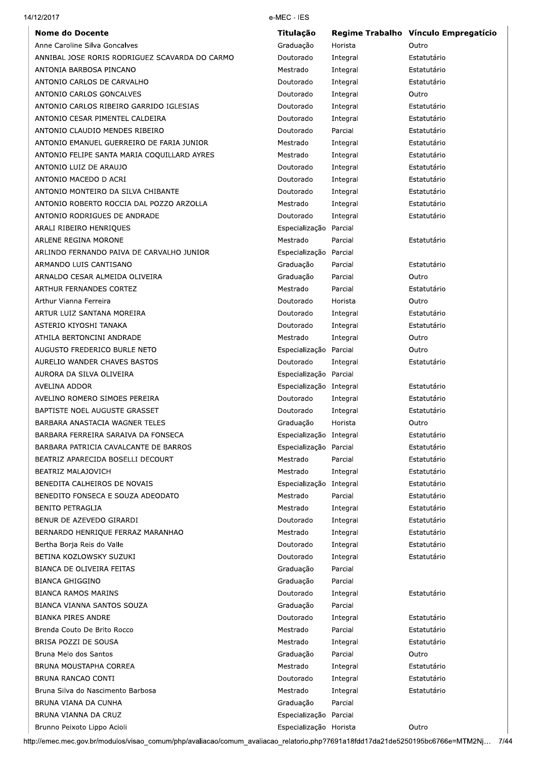# $14/12/2$

2017 e-MEC e-MEC - IES

| <b>Nome do Docente</b>                         | <b>Titulação</b>        |          | Regime Trabalho Vínculo Empregatício |
|------------------------------------------------|-------------------------|----------|--------------------------------------|
| Anne Caroline Silva Goncalves                  | Graduação               | Horista  | Outro                                |
| ANNIBAL JOSE RORIS RODRIGUEZ SCAVARDA DO CARMO | Doutorado               | Integral | Estatutário                          |
| ANTONIA BARBOSA PINCANO                        | Mestrado                | Integral | Estatutário                          |
| ANTONIO CARLOS DE CARVALHO                     | Doutorado               | Integral | Estatutário                          |
| ANTONIO CARLOS GONCALVES                       | Doutorado               | Integral | Outro                                |
| ANTONIO CARLOS RIBEIRO GARRIDO IGLESIAS        | Doutorado               | Integral | Estatutário                          |
| ANTONIO CESAR PIMENTEL CALDEIRA                | Doutorado               | Integral | Estatutário                          |
| ANTONIO CLAUDIO MENDES RIBEIRO                 | Doutorado               | Parcial  | Estatutário                          |
| ANTONIO EMANUEL GUERREIRO DE FARIA JUNIOR      | Mestrado                | Integral | Estatutário                          |
| ANTONIO FELIPE SANTA MARIA COQUILLARD AYRES    | Mestrado                | Integral | Estatutário                          |
| ANTONIO LUIZ DE ARAUJO                         | Doutorado               | Integral | Estatutário                          |
| ANTONIO MACEDO D ACRI                          | Doutorado               | Integral | Estatutário                          |
| ANTONIO MONTEIRO DA SILVA CHIBANTE             | Doutorado               | Integral | Estatutário                          |
| ANTONIO ROBERTO ROCCIA DAL POZZO ARZOLLA       | Mestrado                | Integral | Estatutário                          |
| ANTONIO RODRIGUES DE ANDRADE                   | Doutorado               | Integral | Estatutário                          |
| ARALI RIBEIRO HENRIQUES                        | Especialização Parcial  |          |                                      |
| ARLENE REGINA MORONE                           | Mestrado                | Parcial  | Estatutário                          |
| ARLINDO FERNANDO PAIVA DE CARVALHO JUNIOR      | Especialização Parcial  |          |                                      |
| ARMANDO LUIS CANTISANO                         | Graduação               | Parcial  | Estatutário                          |
|                                                |                         |          |                                      |
| ARNALDO CESAR ALMEIDA OLIVEIRA                 | Graduação               | Parcial  | Outro                                |
| ARTHUR FERNANDES CORTEZ                        | Mestrado                | Parcial  | Estatutário                          |
| Arthur Vianna Ferreira                         | Doutorado               | Horista  | Outro                                |
| ARTUR LUIZ SANTANA MOREIRA                     | Doutorado               | Integral | Estatutário                          |
| ASTERIO KIYOSHI TANAKA                         | Doutorado               | Integral | Estatutário                          |
| ATHILA BERTONCINI ANDRADE                      | Mestrado                | Integral | Outro                                |
| AUGUSTO FREDERICO BURLE NETO                   | Especialização Parcial  |          | Outro                                |
| AURELIO WANDER CHAVES BASTOS                   | Doutorado               | Integral | Estatutário                          |
| AURORA DA SILVA OLIVEIRA                       | Especialização Parcial  |          |                                      |
| AVELINA ADDOR                                  | Especialização Integral |          | Estatutário                          |
| AVELINO ROMERO SIMOES PEREIRA                  | Doutorado               | Integral | Estatutário                          |
| BAPTISTE NOEL AUGUSTE GRASSET                  | Doutorado               | Integral | Estatutário                          |
| BARBARA ANASTACIA WAGNER TELES                 | Graduação               | Horista  | Outro                                |
| BARBARA FERREIRA SARAIVA DA FONSECA            | Especialização Integral |          | Estatutário                          |
| BARBARA PATRICIA CAVALCANTE DE BARROS          | Especialização Parcial  |          | Estatutário                          |
| BEATRIZ APARECIDA BOSELLI DECOURT              | Mestrado                | Parcial  | Estatutário                          |
| BEATRIZ MALAJOVICH                             | Mestrado                | Integral | Estatutário                          |
| BENEDITA CALHEIROS DE NOVAIS                   | Especialização Integral |          | Estatutário                          |
| BENEDITO FONSECA E SOUZA ADEODATO              | Mestrado                | Parcial  | Estatutário                          |
| <b>BENITO PETRAGLIA</b>                        | Mestrado                | Integral | Estatutário                          |
| BENUR DE AZEVEDO GIRARDI                       | Doutorado               | Integral | Estatutário                          |
| BERNARDO HENRIQUE FERRAZ MARANHAO              | Mestrado                | Integral | Estatutário                          |
| Bertha Borja Reis do Valle                     | Doutorado               | Integral | Estatutário                          |
| BETINA KOZLOWSKY SUZUKI                        | Doutorado               | Integral | Estatutário                          |
| BIANCA DE OLIVEIRA FEITAS                      | Graduação               | Parcial  |                                      |
| <b>BIANCA GHIGGINO</b>                         | Graduação               | Parcial  |                                      |
| <b>BIANCA RAMOS MARINS</b>                     | Doutorado               | Integral | Estatutário                          |
| BIANCA VIANNA SANTOS SOUZA                     | Graduação               | Parcial  |                                      |
|                                                |                         |          |                                      |
| <b>BIANKA PIRES ANDRE</b>                      | Doutorado               | Integral | Estatutário                          |
| Brenda Couto De Brito Rocco                    | Mestrado                | Parcial  | Estatutário                          |
| BRISA POZZI DE SOUSA                           | Mestrado                | Integral | Estatutário                          |
| Bruna Melo dos Santos                          | Graduação               | Parcial  | Outro                                |
| BRUNA MOUSTAPHA CORREA                         | Mestrado                | Integral | Estatutário                          |
| BRUNA RANCAO CONTI                             | Doutorado               | Integral | Estatutário                          |
| Bruna Silva do Nascimento Barbosa              | Mestrado                | Integral | Estatutário                          |
| BRUNA VIANA DA CUNHA                           | Graduação               | Parcial  |                                      |
| BRUNA VIANNA DA CRUZ                           | Especialização Parcial  |          |                                      |
| Brunno Peixoto Lippo Acioli                    | Especialização Horista  |          | Outro                                |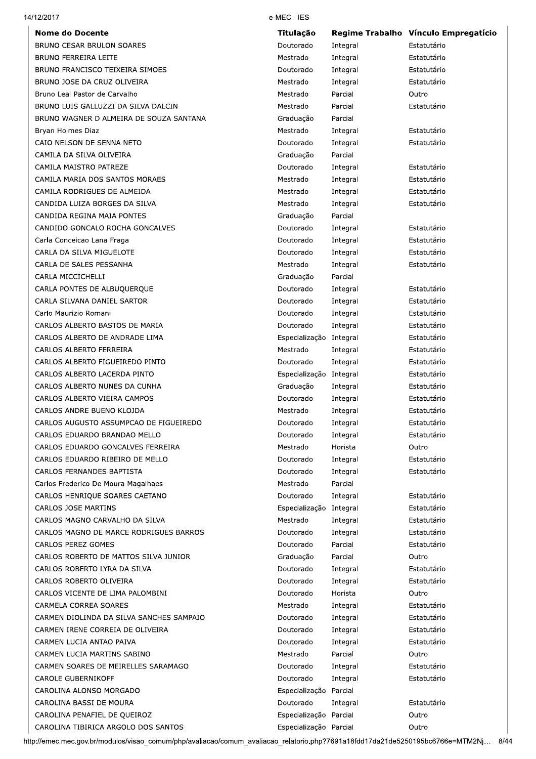| Integral<br>Integral<br>Integral<br>Integral<br>Parcial<br>Parcial<br>Parcial<br>Integral<br>Integral<br>Parcial<br>Integral<br>Integral<br>Integral<br>Integral<br>Parcial<br>Integral<br>Integral<br>Integral<br>Integral<br>Parcial<br>Integral<br>Integral<br>Integral<br>Integral<br>Especialização Integral<br>Integral<br>Integral<br>Especialização Integral | Estatutário<br>Estatutário<br>Estatutário<br>Estatutário<br>Outro<br>Estatutário<br>Estatutário<br>Estatutário<br>Estatutário<br>Estatutário<br>Estatutário<br>Estatutário<br>Estatutário<br>Estatutário<br>Estatutário<br>Estatutário<br>Estatutário<br>Estatutário<br>Estatutário<br>Estatutário<br>Estatutário<br>Estatutário |
|----------------------------------------------------------------------------------------------------------------------------------------------------------------------------------------------------------------------------------------------------------------------------------------------------------------------------------------------------------------------|----------------------------------------------------------------------------------------------------------------------------------------------------------------------------------------------------------------------------------------------------------------------------------------------------------------------------------|
|                                                                                                                                                                                                                                                                                                                                                                      |                                                                                                                                                                                                                                                                                                                                  |
|                                                                                                                                                                                                                                                                                                                                                                      |                                                                                                                                                                                                                                                                                                                                  |
|                                                                                                                                                                                                                                                                                                                                                                      |                                                                                                                                                                                                                                                                                                                                  |
|                                                                                                                                                                                                                                                                                                                                                                      |                                                                                                                                                                                                                                                                                                                                  |
|                                                                                                                                                                                                                                                                                                                                                                      |                                                                                                                                                                                                                                                                                                                                  |
|                                                                                                                                                                                                                                                                                                                                                                      |                                                                                                                                                                                                                                                                                                                                  |
|                                                                                                                                                                                                                                                                                                                                                                      |                                                                                                                                                                                                                                                                                                                                  |
|                                                                                                                                                                                                                                                                                                                                                                      |                                                                                                                                                                                                                                                                                                                                  |
|                                                                                                                                                                                                                                                                                                                                                                      |                                                                                                                                                                                                                                                                                                                                  |
|                                                                                                                                                                                                                                                                                                                                                                      |                                                                                                                                                                                                                                                                                                                                  |
|                                                                                                                                                                                                                                                                                                                                                                      |                                                                                                                                                                                                                                                                                                                                  |
|                                                                                                                                                                                                                                                                                                                                                                      |                                                                                                                                                                                                                                                                                                                                  |
|                                                                                                                                                                                                                                                                                                                                                                      |                                                                                                                                                                                                                                                                                                                                  |
|                                                                                                                                                                                                                                                                                                                                                                      |                                                                                                                                                                                                                                                                                                                                  |
|                                                                                                                                                                                                                                                                                                                                                                      |                                                                                                                                                                                                                                                                                                                                  |
|                                                                                                                                                                                                                                                                                                                                                                      |                                                                                                                                                                                                                                                                                                                                  |
|                                                                                                                                                                                                                                                                                                                                                                      |                                                                                                                                                                                                                                                                                                                                  |
|                                                                                                                                                                                                                                                                                                                                                                      |                                                                                                                                                                                                                                                                                                                                  |
|                                                                                                                                                                                                                                                                                                                                                                      |                                                                                                                                                                                                                                                                                                                                  |
|                                                                                                                                                                                                                                                                                                                                                                      |                                                                                                                                                                                                                                                                                                                                  |
|                                                                                                                                                                                                                                                                                                                                                                      |                                                                                                                                                                                                                                                                                                                                  |
|                                                                                                                                                                                                                                                                                                                                                                      |                                                                                                                                                                                                                                                                                                                                  |
|                                                                                                                                                                                                                                                                                                                                                                      |                                                                                                                                                                                                                                                                                                                                  |
|                                                                                                                                                                                                                                                                                                                                                                      |                                                                                                                                                                                                                                                                                                                                  |
|                                                                                                                                                                                                                                                                                                                                                                      |                                                                                                                                                                                                                                                                                                                                  |
|                                                                                                                                                                                                                                                                                                                                                                      |                                                                                                                                                                                                                                                                                                                                  |
|                                                                                                                                                                                                                                                                                                                                                                      | Estatutário                                                                                                                                                                                                                                                                                                                      |
|                                                                                                                                                                                                                                                                                                                                                                      | Estatutário                                                                                                                                                                                                                                                                                                                      |
| Integral                                                                                                                                                                                                                                                                                                                                                             | Estatutário                                                                                                                                                                                                                                                                                                                      |
| Integral                                                                                                                                                                                                                                                                                                                                                             | Estatutário                                                                                                                                                                                                                                                                                                                      |
| Integral                                                                                                                                                                                                                                                                                                                                                             | Estatutário                                                                                                                                                                                                                                                                                                                      |
| Integral                                                                                                                                                                                                                                                                                                                                                             | Estatutário                                                                                                                                                                                                                                                                                                                      |
| Integral                                                                                                                                                                                                                                                                                                                                                             | Estatutário                                                                                                                                                                                                                                                                                                                      |
| Horista                                                                                                                                                                                                                                                                                                                                                              | Outro                                                                                                                                                                                                                                                                                                                            |
| Integral                                                                                                                                                                                                                                                                                                                                                             | Estatutário                                                                                                                                                                                                                                                                                                                      |
| Integral                                                                                                                                                                                                                                                                                                                                                             | Estatutário                                                                                                                                                                                                                                                                                                                      |
| Parcial                                                                                                                                                                                                                                                                                                                                                              |                                                                                                                                                                                                                                                                                                                                  |
| Integral                                                                                                                                                                                                                                                                                                                                                             | Estatutário                                                                                                                                                                                                                                                                                                                      |
| Especialização Integral                                                                                                                                                                                                                                                                                                                                              | Estatutário                                                                                                                                                                                                                                                                                                                      |
| Integral                                                                                                                                                                                                                                                                                                                                                             | Estatutário                                                                                                                                                                                                                                                                                                                      |
| Integral                                                                                                                                                                                                                                                                                                                                                             | Estatutário                                                                                                                                                                                                                                                                                                                      |
| Parcial                                                                                                                                                                                                                                                                                                                                                              | Estatutário                                                                                                                                                                                                                                                                                                                      |
| Parcial                                                                                                                                                                                                                                                                                                                                                              | Outro                                                                                                                                                                                                                                                                                                                            |
| Integral                                                                                                                                                                                                                                                                                                                                                             | Estatutário                                                                                                                                                                                                                                                                                                                      |
| Integral                                                                                                                                                                                                                                                                                                                                                             | Estatutário                                                                                                                                                                                                                                                                                                                      |
| Horista                                                                                                                                                                                                                                                                                                                                                              | Outro                                                                                                                                                                                                                                                                                                                            |
| Integral                                                                                                                                                                                                                                                                                                                                                             | Estatutário                                                                                                                                                                                                                                                                                                                      |
| Integral                                                                                                                                                                                                                                                                                                                                                             | Estatutário                                                                                                                                                                                                                                                                                                                      |
|                                                                                                                                                                                                                                                                                                                                                                      | Estatutário                                                                                                                                                                                                                                                                                                                      |
|                                                                                                                                                                                                                                                                                                                                                                      | Estatutário                                                                                                                                                                                                                                                                                                                      |
|                                                                                                                                                                                                                                                                                                                                                                      | Outro                                                                                                                                                                                                                                                                                                                            |
|                                                                                                                                                                                                                                                                                                                                                                      | Estatutário                                                                                                                                                                                                                                                                                                                      |
|                                                                                                                                                                                                                                                                                                                                                                      | Estatutário                                                                                                                                                                                                                                                                                                                      |
|                                                                                                                                                                                                                                                                                                                                                                      |                                                                                                                                                                                                                                                                                                                                  |
|                                                                                                                                                                                                                                                                                                                                                                      | Estatutário                                                                                                                                                                                                                                                                                                                      |
|                                                                                                                                                                                                                                                                                                                                                                      | Outro                                                                                                                                                                                                                                                                                                                            |
|                                                                                                                                                                                                                                                                                                                                                                      |                                                                                                                                                                                                                                                                                                                                  |
|                                                                                                                                                                                                                                                                                                                                                                      | Outro                                                                                                                                                                                                                                                                                                                            |
|                                                                                                                                                                                                                                                                                                                                                                      | Integral<br>Integral<br>Parcial<br>Integral<br>Integral<br>Especialização Parcial<br>Integral<br>Especialização Parcial<br>Especialização Parcial<br>:://emec.mec.gov.br/modulos/visao_comum/php/avaliacao/comum_avaliacao_relatorio.php?7691a18fdd17da21de5250195bc6766e=MTM2Nj…                                                |

 $14/12/2$ 

2017 e-MEC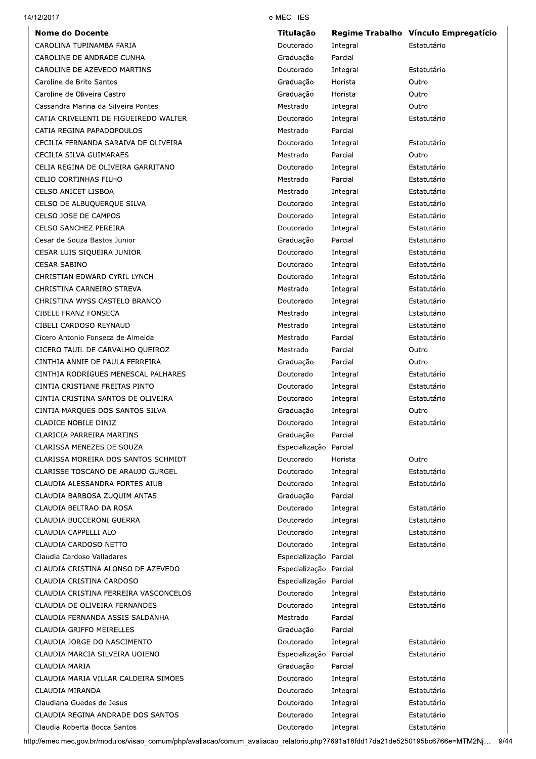| CAROLINA TUPINAMBA FARIA<br>Doutorado<br>Integral<br>Graduação<br>Parcial<br>CAROLINE DE ANDRADE CUNHA<br>CAROLINE DE AZEVEDO MARTINS<br>Doutorado<br>Integral<br>Caroline de Brito Santos<br>Graduação<br>Horista<br>Caroline de Oliveira Castro<br>Graduação<br>Horista<br>Cassandra Marina da Silveira Pontes<br>Mestrado<br>Integral<br>CATIA CRIVELENTI DE FIGUEIREDO WALTER<br>Doutorado<br>Integral<br>Parcial<br>CATIA REGINA PAPADOPOULOS<br>Mestrado<br>CECILIA FERNANDA SARAIVA DE OLIVEIRA<br>Doutorado<br>Integral<br>CECILIA SILVA GUIMARAES<br>Mestrado<br>Parcial<br>CELIA REGINA DE OLIVEIRA GARRITANO<br>Doutorado<br>Integral<br>CELIO CORTINHAS FILHO<br>Parcial<br>Mestrado<br><b>CELSO ANICET LISBOA</b><br>Mestrado<br>Integral<br>CELSO DE ALBUQUERQUE SILVA<br>Doutorado<br>Integral<br>CELSO JOSE DE CAMPOS<br>Doutorado<br>Integral<br>CELSO SANCHEZ PEREIRA<br>Doutorado<br>Integral<br>Cesar de Souza Bastos Junior<br>Graduação<br>Parcial<br>CESAR LUIS SIQUEIRA JUNIOR<br>Doutorado<br>Integral<br><b>CESAR SABINO</b><br>Doutorado<br>Integral<br>CHRISTIAN EDWARD CYRIL LYNCH<br>Doutorado<br>Integral<br>CHRISTINA CARNEIRO STREVA<br>Mestrado<br>Integral<br>CHRISTINA WYSS CASTELO BRANCO<br>Doutorado<br>Integral<br>CIBELE FRANZ FONSECA<br>Mestrado<br>Integral<br>CIBELI CARDOSO REYNAUD<br>Mestrado<br>Integral<br>Cicero Antonio Fonseca de Almeida<br>Mestrado<br>Parcial<br>CICERO TAUIL DE CARVALHO QUEIROZ<br>Mestrado<br>Parcial<br>CINTHIA ANNIE DE PAULA FERREIRA<br>Graduação<br>Parcial<br>CINTHIA RODRIGUES MENESCAL PALHARES<br>Doutorado<br>Integral<br>CINTIA CRISTIANE FREITAS PINTO<br>Doutorado<br>Integral<br>CINTIA CRISTINA SANTOS DE OLIVEIRA<br>Doutorado<br>Integral<br>CINTIA MARQUES DOS SANTOS SILVA<br>Graduação<br>Integral<br><b>CLADICE NOBILE DINIZ</b><br>Doutorado<br>Integral<br>Graduação<br>CLARICIA PARREIRA MARTINS<br>Parcial<br>CLARISSA MENEZES DE SOUZA<br>Especialização<br>Parcial<br>CLARISSA MOREIRA DOS SANTOS SCHMIDT<br>Doutorado<br>Horista<br>CLARISSE TOSCANO DE ARAUJO GURGEL<br>Doutorado<br>Integral<br>CLAUDIA ALESSANDRA FORTES AIUB<br>Doutorado<br>Integral<br>Parcial<br>CLAUDIA BARBOSA ZUQUIM ANTAS<br>Graduação<br>CLAUDIA BELTRAO DA ROSA<br>Doutorado<br>Integral<br>CLAUDIA BUCCERONI GUERRA<br>Doutorado<br>Integral<br>CLAUDIA CAPPELLI ALO<br>Doutorado<br>Integral<br>CLAUDIA CARDOSO NETTO<br>Doutorado<br>Integral<br>Claudia Cardoso Valladares<br>Especialização Parcial<br>CLAUDIA CRISTINA ALONSO DE AZEVEDO<br>Especialização Parcial<br>CLAUDIA CRISTINA CARDOSO<br>Especialização Parcial<br>CLAUDIA CRISTINA FERREIRA VASCONCELOS<br>Doutorado<br>Integral<br>CLAUDIA DE OLIVEIRA FERNANDES<br>Doutorado<br>Integral<br>CLAUDIA FERNANDA ASSIS SALDANHA<br>Parcial<br>Mestrado<br>CLAUDIA GRIFFO MEIRELLES<br>Parcial<br>Graduação<br>Doutorado<br>CLAUDIA JORGE DO NASCIMENTO<br>Integral<br>CLAUDIA MARCIA SILVEIRA UOIENO<br>Especialização<br>Parcial<br>Graduação<br>CLAUDIA MARIA<br>Parcial<br>CLAUDIA MARIA VILLAR CALDEIRA SIMOES<br>Doutorado<br>Integral<br>CLAUDIA MIRANDA<br>Doutorado<br>Integral<br>Claudiana Guedes de Jesus<br>Doutorado<br>Integral<br>CLAUDIA REGINA ANDRADE DOS SANTOS<br>Doutorado<br>Integral<br>Claudia Roberta Bocca Santos<br>Doutorado<br>Integral<br>p://emec.mec.gov.br/modulos/visao_comum/php/avaliacao/comum_avaliacao_relatorio.php?7691a18fdd17da21de5250195bc6766e=MTM2Nj… | Regime Trabalho Vínculo Empregatício |
|--------------------------------------------------------------------------------------------------------------------------------------------------------------------------------------------------------------------------------------------------------------------------------------------------------------------------------------------------------------------------------------------------------------------------------------------------------------------------------------------------------------------------------------------------------------------------------------------------------------------------------------------------------------------------------------------------------------------------------------------------------------------------------------------------------------------------------------------------------------------------------------------------------------------------------------------------------------------------------------------------------------------------------------------------------------------------------------------------------------------------------------------------------------------------------------------------------------------------------------------------------------------------------------------------------------------------------------------------------------------------------------------------------------------------------------------------------------------------------------------------------------------------------------------------------------------------------------------------------------------------------------------------------------------------------------------------------------------------------------------------------------------------------------------------------------------------------------------------------------------------------------------------------------------------------------------------------------------------------------------------------------------------------------------------------------------------------------------------------------------------------------------------------------------------------------------------------------------------------------------------------------------------------------------------------------------------------------------------------------------------------------------------------------------------------------------------------------------------------------------------------------------------------------------------------------------------------------------------------------------------------------------------------------------------------------------------------------------------------------------------------------------------------------------------------------------------------------------------------------------------------------------------------------------------------------------------------------------------------------------------------------------------------------------------------------------------------------------------------------------------------------------------------------------------------------------------------------------------------------------------------------------------------------------------------------------------------------------------------------------------------------------------------------------------------------------------------|--------------------------------------|
|                                                                                                                                                                                                                                                                                                                                                                                                                                                                                                                                                                                                                                                                                                                                                                                                                                                                                                                                                                                                                                                                                                                                                                                                                                                                                                                                                                                                                                                                                                                                                                                                                                                                                                                                                                                                                                                                                                                                                                                                                                                                                                                                                                                                                                                                                                                                                                                                                                                                                                                                                                                                                                                                                                                                                                                                                                                                                                                                                                                                                                                                                                                                                                                                                                                                                                                                                                                                                                                        | Estatutário                          |
|                                                                                                                                                                                                                                                                                                                                                                                                                                                                                                                                                                                                                                                                                                                                                                                                                                                                                                                                                                                                                                                                                                                                                                                                                                                                                                                                                                                                                                                                                                                                                                                                                                                                                                                                                                                                                                                                                                                                                                                                                                                                                                                                                                                                                                                                                                                                                                                                                                                                                                                                                                                                                                                                                                                                                                                                                                                                                                                                                                                                                                                                                                                                                                                                                                                                                                                                                                                                                                                        |                                      |
|                                                                                                                                                                                                                                                                                                                                                                                                                                                                                                                                                                                                                                                                                                                                                                                                                                                                                                                                                                                                                                                                                                                                                                                                                                                                                                                                                                                                                                                                                                                                                                                                                                                                                                                                                                                                                                                                                                                                                                                                                                                                                                                                                                                                                                                                                                                                                                                                                                                                                                                                                                                                                                                                                                                                                                                                                                                                                                                                                                                                                                                                                                                                                                                                                                                                                                                                                                                                                                                        | Estatutário                          |
|                                                                                                                                                                                                                                                                                                                                                                                                                                                                                                                                                                                                                                                                                                                                                                                                                                                                                                                                                                                                                                                                                                                                                                                                                                                                                                                                                                                                                                                                                                                                                                                                                                                                                                                                                                                                                                                                                                                                                                                                                                                                                                                                                                                                                                                                                                                                                                                                                                                                                                                                                                                                                                                                                                                                                                                                                                                                                                                                                                                                                                                                                                                                                                                                                                                                                                                                                                                                                                                        | Outro                                |
|                                                                                                                                                                                                                                                                                                                                                                                                                                                                                                                                                                                                                                                                                                                                                                                                                                                                                                                                                                                                                                                                                                                                                                                                                                                                                                                                                                                                                                                                                                                                                                                                                                                                                                                                                                                                                                                                                                                                                                                                                                                                                                                                                                                                                                                                                                                                                                                                                                                                                                                                                                                                                                                                                                                                                                                                                                                                                                                                                                                                                                                                                                                                                                                                                                                                                                                                                                                                                                                        | Outro                                |
|                                                                                                                                                                                                                                                                                                                                                                                                                                                                                                                                                                                                                                                                                                                                                                                                                                                                                                                                                                                                                                                                                                                                                                                                                                                                                                                                                                                                                                                                                                                                                                                                                                                                                                                                                                                                                                                                                                                                                                                                                                                                                                                                                                                                                                                                                                                                                                                                                                                                                                                                                                                                                                                                                                                                                                                                                                                                                                                                                                                                                                                                                                                                                                                                                                                                                                                                                                                                                                                        | Outro                                |
|                                                                                                                                                                                                                                                                                                                                                                                                                                                                                                                                                                                                                                                                                                                                                                                                                                                                                                                                                                                                                                                                                                                                                                                                                                                                                                                                                                                                                                                                                                                                                                                                                                                                                                                                                                                                                                                                                                                                                                                                                                                                                                                                                                                                                                                                                                                                                                                                                                                                                                                                                                                                                                                                                                                                                                                                                                                                                                                                                                                                                                                                                                                                                                                                                                                                                                                                                                                                                                                        | Estatutário                          |
|                                                                                                                                                                                                                                                                                                                                                                                                                                                                                                                                                                                                                                                                                                                                                                                                                                                                                                                                                                                                                                                                                                                                                                                                                                                                                                                                                                                                                                                                                                                                                                                                                                                                                                                                                                                                                                                                                                                                                                                                                                                                                                                                                                                                                                                                                                                                                                                                                                                                                                                                                                                                                                                                                                                                                                                                                                                                                                                                                                                                                                                                                                                                                                                                                                                                                                                                                                                                                                                        |                                      |
|                                                                                                                                                                                                                                                                                                                                                                                                                                                                                                                                                                                                                                                                                                                                                                                                                                                                                                                                                                                                                                                                                                                                                                                                                                                                                                                                                                                                                                                                                                                                                                                                                                                                                                                                                                                                                                                                                                                                                                                                                                                                                                                                                                                                                                                                                                                                                                                                                                                                                                                                                                                                                                                                                                                                                                                                                                                                                                                                                                                                                                                                                                                                                                                                                                                                                                                                                                                                                                                        | Estatutário                          |
|                                                                                                                                                                                                                                                                                                                                                                                                                                                                                                                                                                                                                                                                                                                                                                                                                                                                                                                                                                                                                                                                                                                                                                                                                                                                                                                                                                                                                                                                                                                                                                                                                                                                                                                                                                                                                                                                                                                                                                                                                                                                                                                                                                                                                                                                                                                                                                                                                                                                                                                                                                                                                                                                                                                                                                                                                                                                                                                                                                                                                                                                                                                                                                                                                                                                                                                                                                                                                                                        | Outro                                |
|                                                                                                                                                                                                                                                                                                                                                                                                                                                                                                                                                                                                                                                                                                                                                                                                                                                                                                                                                                                                                                                                                                                                                                                                                                                                                                                                                                                                                                                                                                                                                                                                                                                                                                                                                                                                                                                                                                                                                                                                                                                                                                                                                                                                                                                                                                                                                                                                                                                                                                                                                                                                                                                                                                                                                                                                                                                                                                                                                                                                                                                                                                                                                                                                                                                                                                                                                                                                                                                        | Estatutário                          |
|                                                                                                                                                                                                                                                                                                                                                                                                                                                                                                                                                                                                                                                                                                                                                                                                                                                                                                                                                                                                                                                                                                                                                                                                                                                                                                                                                                                                                                                                                                                                                                                                                                                                                                                                                                                                                                                                                                                                                                                                                                                                                                                                                                                                                                                                                                                                                                                                                                                                                                                                                                                                                                                                                                                                                                                                                                                                                                                                                                                                                                                                                                                                                                                                                                                                                                                                                                                                                                                        | Estatutário                          |
|                                                                                                                                                                                                                                                                                                                                                                                                                                                                                                                                                                                                                                                                                                                                                                                                                                                                                                                                                                                                                                                                                                                                                                                                                                                                                                                                                                                                                                                                                                                                                                                                                                                                                                                                                                                                                                                                                                                                                                                                                                                                                                                                                                                                                                                                                                                                                                                                                                                                                                                                                                                                                                                                                                                                                                                                                                                                                                                                                                                                                                                                                                                                                                                                                                                                                                                                                                                                                                                        | Estatutário                          |
|                                                                                                                                                                                                                                                                                                                                                                                                                                                                                                                                                                                                                                                                                                                                                                                                                                                                                                                                                                                                                                                                                                                                                                                                                                                                                                                                                                                                                                                                                                                                                                                                                                                                                                                                                                                                                                                                                                                                                                                                                                                                                                                                                                                                                                                                                                                                                                                                                                                                                                                                                                                                                                                                                                                                                                                                                                                                                                                                                                                                                                                                                                                                                                                                                                                                                                                                                                                                                                                        | Estatutário                          |
|                                                                                                                                                                                                                                                                                                                                                                                                                                                                                                                                                                                                                                                                                                                                                                                                                                                                                                                                                                                                                                                                                                                                                                                                                                                                                                                                                                                                                                                                                                                                                                                                                                                                                                                                                                                                                                                                                                                                                                                                                                                                                                                                                                                                                                                                                                                                                                                                                                                                                                                                                                                                                                                                                                                                                                                                                                                                                                                                                                                                                                                                                                                                                                                                                                                                                                                                                                                                                                                        | Estatutário                          |
|                                                                                                                                                                                                                                                                                                                                                                                                                                                                                                                                                                                                                                                                                                                                                                                                                                                                                                                                                                                                                                                                                                                                                                                                                                                                                                                                                                                                                                                                                                                                                                                                                                                                                                                                                                                                                                                                                                                                                                                                                                                                                                                                                                                                                                                                                                                                                                                                                                                                                                                                                                                                                                                                                                                                                                                                                                                                                                                                                                                                                                                                                                                                                                                                                                                                                                                                                                                                                                                        | Estatutário                          |
|                                                                                                                                                                                                                                                                                                                                                                                                                                                                                                                                                                                                                                                                                                                                                                                                                                                                                                                                                                                                                                                                                                                                                                                                                                                                                                                                                                                                                                                                                                                                                                                                                                                                                                                                                                                                                                                                                                                                                                                                                                                                                                                                                                                                                                                                                                                                                                                                                                                                                                                                                                                                                                                                                                                                                                                                                                                                                                                                                                                                                                                                                                                                                                                                                                                                                                                                                                                                                                                        | Estatutário                          |
|                                                                                                                                                                                                                                                                                                                                                                                                                                                                                                                                                                                                                                                                                                                                                                                                                                                                                                                                                                                                                                                                                                                                                                                                                                                                                                                                                                                                                                                                                                                                                                                                                                                                                                                                                                                                                                                                                                                                                                                                                                                                                                                                                                                                                                                                                                                                                                                                                                                                                                                                                                                                                                                                                                                                                                                                                                                                                                                                                                                                                                                                                                                                                                                                                                                                                                                                                                                                                                                        | Estatutário                          |
|                                                                                                                                                                                                                                                                                                                                                                                                                                                                                                                                                                                                                                                                                                                                                                                                                                                                                                                                                                                                                                                                                                                                                                                                                                                                                                                                                                                                                                                                                                                                                                                                                                                                                                                                                                                                                                                                                                                                                                                                                                                                                                                                                                                                                                                                                                                                                                                                                                                                                                                                                                                                                                                                                                                                                                                                                                                                                                                                                                                                                                                                                                                                                                                                                                                                                                                                                                                                                                                        | Estatutário                          |
|                                                                                                                                                                                                                                                                                                                                                                                                                                                                                                                                                                                                                                                                                                                                                                                                                                                                                                                                                                                                                                                                                                                                                                                                                                                                                                                                                                                                                                                                                                                                                                                                                                                                                                                                                                                                                                                                                                                                                                                                                                                                                                                                                                                                                                                                                                                                                                                                                                                                                                                                                                                                                                                                                                                                                                                                                                                                                                                                                                                                                                                                                                                                                                                                                                                                                                                                                                                                                                                        | Estatutário                          |
|                                                                                                                                                                                                                                                                                                                                                                                                                                                                                                                                                                                                                                                                                                                                                                                                                                                                                                                                                                                                                                                                                                                                                                                                                                                                                                                                                                                                                                                                                                                                                                                                                                                                                                                                                                                                                                                                                                                                                                                                                                                                                                                                                                                                                                                                                                                                                                                                                                                                                                                                                                                                                                                                                                                                                                                                                                                                                                                                                                                                                                                                                                                                                                                                                                                                                                                                                                                                                                                        | Estatutário                          |
|                                                                                                                                                                                                                                                                                                                                                                                                                                                                                                                                                                                                                                                                                                                                                                                                                                                                                                                                                                                                                                                                                                                                                                                                                                                                                                                                                                                                                                                                                                                                                                                                                                                                                                                                                                                                                                                                                                                                                                                                                                                                                                                                                                                                                                                                                                                                                                                                                                                                                                                                                                                                                                                                                                                                                                                                                                                                                                                                                                                                                                                                                                                                                                                                                                                                                                                                                                                                                                                        | Estatutário                          |
|                                                                                                                                                                                                                                                                                                                                                                                                                                                                                                                                                                                                                                                                                                                                                                                                                                                                                                                                                                                                                                                                                                                                                                                                                                                                                                                                                                                                                                                                                                                                                                                                                                                                                                                                                                                                                                                                                                                                                                                                                                                                                                                                                                                                                                                                                                                                                                                                                                                                                                                                                                                                                                                                                                                                                                                                                                                                                                                                                                                                                                                                                                                                                                                                                                                                                                                                                                                                                                                        | Estatutário                          |
|                                                                                                                                                                                                                                                                                                                                                                                                                                                                                                                                                                                                                                                                                                                                                                                                                                                                                                                                                                                                                                                                                                                                                                                                                                                                                                                                                                                                                                                                                                                                                                                                                                                                                                                                                                                                                                                                                                                                                                                                                                                                                                                                                                                                                                                                                                                                                                                                                                                                                                                                                                                                                                                                                                                                                                                                                                                                                                                                                                                                                                                                                                                                                                                                                                                                                                                                                                                                                                                        | Estatutário                          |
|                                                                                                                                                                                                                                                                                                                                                                                                                                                                                                                                                                                                                                                                                                                                                                                                                                                                                                                                                                                                                                                                                                                                                                                                                                                                                                                                                                                                                                                                                                                                                                                                                                                                                                                                                                                                                                                                                                                                                                                                                                                                                                                                                                                                                                                                                                                                                                                                                                                                                                                                                                                                                                                                                                                                                                                                                                                                                                                                                                                                                                                                                                                                                                                                                                                                                                                                                                                                                                                        | Estatutário                          |
|                                                                                                                                                                                                                                                                                                                                                                                                                                                                                                                                                                                                                                                                                                                                                                                                                                                                                                                                                                                                                                                                                                                                                                                                                                                                                                                                                                                                                                                                                                                                                                                                                                                                                                                                                                                                                                                                                                                                                                                                                                                                                                                                                                                                                                                                                                                                                                                                                                                                                                                                                                                                                                                                                                                                                                                                                                                                                                                                                                                                                                                                                                                                                                                                                                                                                                                                                                                                                                                        | Outro                                |
|                                                                                                                                                                                                                                                                                                                                                                                                                                                                                                                                                                                                                                                                                                                                                                                                                                                                                                                                                                                                                                                                                                                                                                                                                                                                                                                                                                                                                                                                                                                                                                                                                                                                                                                                                                                                                                                                                                                                                                                                                                                                                                                                                                                                                                                                                                                                                                                                                                                                                                                                                                                                                                                                                                                                                                                                                                                                                                                                                                                                                                                                                                                                                                                                                                                                                                                                                                                                                                                        | Outro                                |
|                                                                                                                                                                                                                                                                                                                                                                                                                                                                                                                                                                                                                                                                                                                                                                                                                                                                                                                                                                                                                                                                                                                                                                                                                                                                                                                                                                                                                                                                                                                                                                                                                                                                                                                                                                                                                                                                                                                                                                                                                                                                                                                                                                                                                                                                                                                                                                                                                                                                                                                                                                                                                                                                                                                                                                                                                                                                                                                                                                                                                                                                                                                                                                                                                                                                                                                                                                                                                                                        | Estatutário                          |
|                                                                                                                                                                                                                                                                                                                                                                                                                                                                                                                                                                                                                                                                                                                                                                                                                                                                                                                                                                                                                                                                                                                                                                                                                                                                                                                                                                                                                                                                                                                                                                                                                                                                                                                                                                                                                                                                                                                                                                                                                                                                                                                                                                                                                                                                                                                                                                                                                                                                                                                                                                                                                                                                                                                                                                                                                                                                                                                                                                                                                                                                                                                                                                                                                                                                                                                                                                                                                                                        | Estatutário                          |
|                                                                                                                                                                                                                                                                                                                                                                                                                                                                                                                                                                                                                                                                                                                                                                                                                                                                                                                                                                                                                                                                                                                                                                                                                                                                                                                                                                                                                                                                                                                                                                                                                                                                                                                                                                                                                                                                                                                                                                                                                                                                                                                                                                                                                                                                                                                                                                                                                                                                                                                                                                                                                                                                                                                                                                                                                                                                                                                                                                                                                                                                                                                                                                                                                                                                                                                                                                                                                                                        | Estatutário                          |
|                                                                                                                                                                                                                                                                                                                                                                                                                                                                                                                                                                                                                                                                                                                                                                                                                                                                                                                                                                                                                                                                                                                                                                                                                                                                                                                                                                                                                                                                                                                                                                                                                                                                                                                                                                                                                                                                                                                                                                                                                                                                                                                                                                                                                                                                                                                                                                                                                                                                                                                                                                                                                                                                                                                                                                                                                                                                                                                                                                                                                                                                                                                                                                                                                                                                                                                                                                                                                                                        | Outro                                |
|                                                                                                                                                                                                                                                                                                                                                                                                                                                                                                                                                                                                                                                                                                                                                                                                                                                                                                                                                                                                                                                                                                                                                                                                                                                                                                                                                                                                                                                                                                                                                                                                                                                                                                                                                                                                                                                                                                                                                                                                                                                                                                                                                                                                                                                                                                                                                                                                                                                                                                                                                                                                                                                                                                                                                                                                                                                                                                                                                                                                                                                                                                                                                                                                                                                                                                                                                                                                                                                        | Estatutário                          |
|                                                                                                                                                                                                                                                                                                                                                                                                                                                                                                                                                                                                                                                                                                                                                                                                                                                                                                                                                                                                                                                                                                                                                                                                                                                                                                                                                                                                                                                                                                                                                                                                                                                                                                                                                                                                                                                                                                                                                                                                                                                                                                                                                                                                                                                                                                                                                                                                                                                                                                                                                                                                                                                                                                                                                                                                                                                                                                                                                                                                                                                                                                                                                                                                                                                                                                                                                                                                                                                        |                                      |
|                                                                                                                                                                                                                                                                                                                                                                                                                                                                                                                                                                                                                                                                                                                                                                                                                                                                                                                                                                                                                                                                                                                                                                                                                                                                                                                                                                                                                                                                                                                                                                                                                                                                                                                                                                                                                                                                                                                                                                                                                                                                                                                                                                                                                                                                                                                                                                                                                                                                                                                                                                                                                                                                                                                                                                                                                                                                                                                                                                                                                                                                                                                                                                                                                                                                                                                                                                                                                                                        |                                      |
|                                                                                                                                                                                                                                                                                                                                                                                                                                                                                                                                                                                                                                                                                                                                                                                                                                                                                                                                                                                                                                                                                                                                                                                                                                                                                                                                                                                                                                                                                                                                                                                                                                                                                                                                                                                                                                                                                                                                                                                                                                                                                                                                                                                                                                                                                                                                                                                                                                                                                                                                                                                                                                                                                                                                                                                                                                                                                                                                                                                                                                                                                                                                                                                                                                                                                                                                                                                                                                                        | Outro                                |
|                                                                                                                                                                                                                                                                                                                                                                                                                                                                                                                                                                                                                                                                                                                                                                                                                                                                                                                                                                                                                                                                                                                                                                                                                                                                                                                                                                                                                                                                                                                                                                                                                                                                                                                                                                                                                                                                                                                                                                                                                                                                                                                                                                                                                                                                                                                                                                                                                                                                                                                                                                                                                                                                                                                                                                                                                                                                                                                                                                                                                                                                                                                                                                                                                                                                                                                                                                                                                                                        | Estatutário                          |
|                                                                                                                                                                                                                                                                                                                                                                                                                                                                                                                                                                                                                                                                                                                                                                                                                                                                                                                                                                                                                                                                                                                                                                                                                                                                                                                                                                                                                                                                                                                                                                                                                                                                                                                                                                                                                                                                                                                                                                                                                                                                                                                                                                                                                                                                                                                                                                                                                                                                                                                                                                                                                                                                                                                                                                                                                                                                                                                                                                                                                                                                                                                                                                                                                                                                                                                                                                                                                                                        | Estatutário                          |
|                                                                                                                                                                                                                                                                                                                                                                                                                                                                                                                                                                                                                                                                                                                                                                                                                                                                                                                                                                                                                                                                                                                                                                                                                                                                                                                                                                                                                                                                                                                                                                                                                                                                                                                                                                                                                                                                                                                                                                                                                                                                                                                                                                                                                                                                                                                                                                                                                                                                                                                                                                                                                                                                                                                                                                                                                                                                                                                                                                                                                                                                                                                                                                                                                                                                                                                                                                                                                                                        |                                      |
|                                                                                                                                                                                                                                                                                                                                                                                                                                                                                                                                                                                                                                                                                                                                                                                                                                                                                                                                                                                                                                                                                                                                                                                                                                                                                                                                                                                                                                                                                                                                                                                                                                                                                                                                                                                                                                                                                                                                                                                                                                                                                                                                                                                                                                                                                                                                                                                                                                                                                                                                                                                                                                                                                                                                                                                                                                                                                                                                                                                                                                                                                                                                                                                                                                                                                                                                                                                                                                                        | Estatutário                          |
|                                                                                                                                                                                                                                                                                                                                                                                                                                                                                                                                                                                                                                                                                                                                                                                                                                                                                                                                                                                                                                                                                                                                                                                                                                                                                                                                                                                                                                                                                                                                                                                                                                                                                                                                                                                                                                                                                                                                                                                                                                                                                                                                                                                                                                                                                                                                                                                                                                                                                                                                                                                                                                                                                                                                                                                                                                                                                                                                                                                                                                                                                                                                                                                                                                                                                                                                                                                                                                                        | Estatutário                          |
|                                                                                                                                                                                                                                                                                                                                                                                                                                                                                                                                                                                                                                                                                                                                                                                                                                                                                                                                                                                                                                                                                                                                                                                                                                                                                                                                                                                                                                                                                                                                                                                                                                                                                                                                                                                                                                                                                                                                                                                                                                                                                                                                                                                                                                                                                                                                                                                                                                                                                                                                                                                                                                                                                                                                                                                                                                                                                                                                                                                                                                                                                                                                                                                                                                                                                                                                                                                                                                                        | Estatutário                          |
|                                                                                                                                                                                                                                                                                                                                                                                                                                                                                                                                                                                                                                                                                                                                                                                                                                                                                                                                                                                                                                                                                                                                                                                                                                                                                                                                                                                                                                                                                                                                                                                                                                                                                                                                                                                                                                                                                                                                                                                                                                                                                                                                                                                                                                                                                                                                                                                                                                                                                                                                                                                                                                                                                                                                                                                                                                                                                                                                                                                                                                                                                                                                                                                                                                                                                                                                                                                                                                                        | Estatutário                          |
|                                                                                                                                                                                                                                                                                                                                                                                                                                                                                                                                                                                                                                                                                                                                                                                                                                                                                                                                                                                                                                                                                                                                                                                                                                                                                                                                                                                                                                                                                                                                                                                                                                                                                                                                                                                                                                                                                                                                                                                                                                                                                                                                                                                                                                                                                                                                                                                                                                                                                                                                                                                                                                                                                                                                                                                                                                                                                                                                                                                                                                                                                                                                                                                                                                                                                                                                                                                                                                                        |                                      |
|                                                                                                                                                                                                                                                                                                                                                                                                                                                                                                                                                                                                                                                                                                                                                                                                                                                                                                                                                                                                                                                                                                                                                                                                                                                                                                                                                                                                                                                                                                                                                                                                                                                                                                                                                                                                                                                                                                                                                                                                                                                                                                                                                                                                                                                                                                                                                                                                                                                                                                                                                                                                                                                                                                                                                                                                                                                                                                                                                                                                                                                                                                                                                                                                                                                                                                                                                                                                                                                        |                                      |
|                                                                                                                                                                                                                                                                                                                                                                                                                                                                                                                                                                                                                                                                                                                                                                                                                                                                                                                                                                                                                                                                                                                                                                                                                                                                                                                                                                                                                                                                                                                                                                                                                                                                                                                                                                                                                                                                                                                                                                                                                                                                                                                                                                                                                                                                                                                                                                                                                                                                                                                                                                                                                                                                                                                                                                                                                                                                                                                                                                                                                                                                                                                                                                                                                                                                                                                                                                                                                                                        |                                      |
|                                                                                                                                                                                                                                                                                                                                                                                                                                                                                                                                                                                                                                                                                                                                                                                                                                                                                                                                                                                                                                                                                                                                                                                                                                                                                                                                                                                                                                                                                                                                                                                                                                                                                                                                                                                                                                                                                                                                                                                                                                                                                                                                                                                                                                                                                                                                                                                                                                                                                                                                                                                                                                                                                                                                                                                                                                                                                                                                                                                                                                                                                                                                                                                                                                                                                                                                                                                                                                                        | Estatutário                          |
|                                                                                                                                                                                                                                                                                                                                                                                                                                                                                                                                                                                                                                                                                                                                                                                                                                                                                                                                                                                                                                                                                                                                                                                                                                                                                                                                                                                                                                                                                                                                                                                                                                                                                                                                                                                                                                                                                                                                                                                                                                                                                                                                                                                                                                                                                                                                                                                                                                                                                                                                                                                                                                                                                                                                                                                                                                                                                                                                                                                                                                                                                                                                                                                                                                                                                                                                                                                                                                                        | Estatutário                          |
|                                                                                                                                                                                                                                                                                                                                                                                                                                                                                                                                                                                                                                                                                                                                                                                                                                                                                                                                                                                                                                                                                                                                                                                                                                                                                                                                                                                                                                                                                                                                                                                                                                                                                                                                                                                                                                                                                                                                                                                                                                                                                                                                                                                                                                                                                                                                                                                                                                                                                                                                                                                                                                                                                                                                                                                                                                                                                                                                                                                                                                                                                                                                                                                                                                                                                                                                                                                                                                                        |                                      |
|                                                                                                                                                                                                                                                                                                                                                                                                                                                                                                                                                                                                                                                                                                                                                                                                                                                                                                                                                                                                                                                                                                                                                                                                                                                                                                                                                                                                                                                                                                                                                                                                                                                                                                                                                                                                                                                                                                                                                                                                                                                                                                                                                                                                                                                                                                                                                                                                                                                                                                                                                                                                                                                                                                                                                                                                                                                                                                                                                                                                                                                                                                                                                                                                                                                                                                                                                                                                                                                        |                                      |
|                                                                                                                                                                                                                                                                                                                                                                                                                                                                                                                                                                                                                                                                                                                                                                                                                                                                                                                                                                                                                                                                                                                                                                                                                                                                                                                                                                                                                                                                                                                                                                                                                                                                                                                                                                                                                                                                                                                                                                                                                                                                                                                                                                                                                                                                                                                                                                                                                                                                                                                                                                                                                                                                                                                                                                                                                                                                                                                                                                                                                                                                                                                                                                                                                                                                                                                                                                                                                                                        | Estatutário                          |
|                                                                                                                                                                                                                                                                                                                                                                                                                                                                                                                                                                                                                                                                                                                                                                                                                                                                                                                                                                                                                                                                                                                                                                                                                                                                                                                                                                                                                                                                                                                                                                                                                                                                                                                                                                                                                                                                                                                                                                                                                                                                                                                                                                                                                                                                                                                                                                                                                                                                                                                                                                                                                                                                                                                                                                                                                                                                                                                                                                                                                                                                                                                                                                                                                                                                                                                                                                                                                                                        | Estatutário                          |
|                                                                                                                                                                                                                                                                                                                                                                                                                                                                                                                                                                                                                                                                                                                                                                                                                                                                                                                                                                                                                                                                                                                                                                                                                                                                                                                                                                                                                                                                                                                                                                                                                                                                                                                                                                                                                                                                                                                                                                                                                                                                                                                                                                                                                                                                                                                                                                                                                                                                                                                                                                                                                                                                                                                                                                                                                                                                                                                                                                                                                                                                                                                                                                                                                                                                                                                                                                                                                                                        |                                      |
|                                                                                                                                                                                                                                                                                                                                                                                                                                                                                                                                                                                                                                                                                                                                                                                                                                                                                                                                                                                                                                                                                                                                                                                                                                                                                                                                                                                                                                                                                                                                                                                                                                                                                                                                                                                                                                                                                                                                                                                                                                                                                                                                                                                                                                                                                                                                                                                                                                                                                                                                                                                                                                                                                                                                                                                                                                                                                                                                                                                                                                                                                                                                                                                                                                                                                                                                                                                                                                                        | Estatutário                          |
|                                                                                                                                                                                                                                                                                                                                                                                                                                                                                                                                                                                                                                                                                                                                                                                                                                                                                                                                                                                                                                                                                                                                                                                                                                                                                                                                                                                                                                                                                                                                                                                                                                                                                                                                                                                                                                                                                                                                                                                                                                                                                                                                                                                                                                                                                                                                                                                                                                                                                                                                                                                                                                                                                                                                                                                                                                                                                                                                                                                                                                                                                                                                                                                                                                                                                                                                                                                                                                                        | Estatutário                          |
|                                                                                                                                                                                                                                                                                                                                                                                                                                                                                                                                                                                                                                                                                                                                                                                                                                                                                                                                                                                                                                                                                                                                                                                                                                                                                                                                                                                                                                                                                                                                                                                                                                                                                                                                                                                                                                                                                                                                                                                                                                                                                                                                                                                                                                                                                                                                                                                                                                                                                                                                                                                                                                                                                                                                                                                                                                                                                                                                                                                                                                                                                                                                                                                                                                                                                                                                                                                                                                                        | Estatutário                          |
|                                                                                                                                                                                                                                                                                                                                                                                                                                                                                                                                                                                                                                                                                                                                                                                                                                                                                                                                                                                                                                                                                                                                                                                                                                                                                                                                                                                                                                                                                                                                                                                                                                                                                                                                                                                                                                                                                                                                                                                                                                                                                                                                                                                                                                                                                                                                                                                                                                                                                                                                                                                                                                                                                                                                                                                                                                                                                                                                                                                                                                                                                                                                                                                                                                                                                                                                                                                                                                                        | Estatutário                          |
|                                                                                                                                                                                                                                                                                                                                                                                                                                                                                                                                                                                                                                                                                                                                                                                                                                                                                                                                                                                                                                                                                                                                                                                                                                                                                                                                                                                                                                                                                                                                                                                                                                                                                                                                                                                                                                                                                                                                                                                                                                                                                                                                                                                                                                                                                                                                                                                                                                                                                                                                                                                                                                                                                                                                                                                                                                                                                                                                                                                                                                                                                                                                                                                                                                                                                                                                                                                                                                                        | Estatutário                          |
|                                                                                                                                                                                                                                                                                                                                                                                                                                                                                                                                                                                                                                                                                                                                                                                                                                                                                                                                                                                                                                                                                                                                                                                                                                                                                                                                                                                                                                                                                                                                                                                                                                                                                                                                                                                                                                                                                                                                                                                                                                                                                                                                                                                                                                                                                                                                                                                                                                                                                                                                                                                                                                                                                                                                                                                                                                                                                                                                                                                                                                                                                                                                                                                                                                                                                                                                                                                                                                                        | 9/44                                 |
|                                                                                                                                                                                                                                                                                                                                                                                                                                                                                                                                                                                                                                                                                                                                                                                                                                                                                                                                                                                                                                                                                                                                                                                                                                                                                                                                                                                                                                                                                                                                                                                                                                                                                                                                                                                                                                                                                                                                                                                                                                                                                                                                                                                                                                                                                                                                                                                                                                                                                                                                                                                                                                                                                                                                                                                                                                                                                                                                                                                                                                                                                                                                                                                                                                                                                                                                                                                                                                                        |                                      |
|                                                                                                                                                                                                                                                                                                                                                                                                                                                                                                                                                                                                                                                                                                                                                                                                                                                                                                                                                                                                                                                                                                                                                                                                                                                                                                                                                                                                                                                                                                                                                                                                                                                                                                                                                                                                                                                                                                                                                                                                                                                                                                                                                                                                                                                                                                                                                                                                                                                                                                                                                                                                                                                                                                                                                                                                                                                                                                                                                                                                                                                                                                                                                                                                                                                                                                                                                                                                                                                        |                                      |
|                                                                                                                                                                                                                                                                                                                                                                                                                                                                                                                                                                                                                                                                                                                                                                                                                                                                                                                                                                                                                                                                                                                                                                                                                                                                                                                                                                                                                                                                                                                                                                                                                                                                                                                                                                                                                                                                                                                                                                                                                                                                                                                                                                                                                                                                                                                                                                                                                                                                                                                                                                                                                                                                                                                                                                                                                                                                                                                                                                                                                                                                                                                                                                                                                                                                                                                                                                                                                                                        |                                      |
|                                                                                                                                                                                                                                                                                                                                                                                                                                                                                                                                                                                                                                                                                                                                                                                                                                                                                                                                                                                                                                                                                                                                                                                                                                                                                                                                                                                                                                                                                                                                                                                                                                                                                                                                                                                                                                                                                                                                                                                                                                                                                                                                                                                                                                                                                                                                                                                                                                                                                                                                                                                                                                                                                                                                                                                                                                                                                                                                                                                                                                                                                                                                                                                                                                                                                                                                                                                                                                                        |                                      |
|                                                                                                                                                                                                                                                                                                                                                                                                                                                                                                                                                                                                                                                                                                                                                                                                                                                                                                                                                                                                                                                                                                                                                                                                                                                                                                                                                                                                                                                                                                                                                                                                                                                                                                                                                                                                                                                                                                                                                                                                                                                                                                                                                                                                                                                                                                                                                                                                                                                                                                                                                                                                                                                                                                                                                                                                                                                                                                                                                                                                                                                                                                                                                                                                                                                                                                                                                                                                                                                        |                                      |
|                                                                                                                                                                                                                                                                                                                                                                                                                                                                                                                                                                                                                                                                                                                                                                                                                                                                                                                                                                                                                                                                                                                                                                                                                                                                                                                                                                                                                                                                                                                                                                                                                                                                                                                                                                                                                                                                                                                                                                                                                                                                                                                                                                                                                                                                                                                                                                                                                                                                                                                                                                                                                                                                                                                                                                                                                                                                                                                                                                                                                                                                                                                                                                                                                                                                                                                                                                                                                                                        |                                      |

 $14/12/2$ 

2017 e-MEC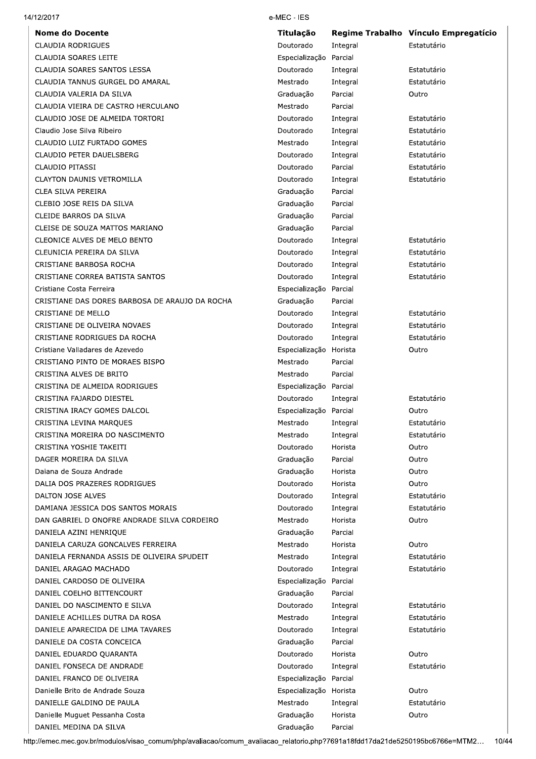|  |  | 14/12/2017 |  |
|--|--|------------|--|
|--|--|------------|--|

| <b>Nome do Docente</b>                                 | <b>Titulação</b>       |                      | Regime Trabalho Vínculo Empregatício |
|--------------------------------------------------------|------------------------|----------------------|--------------------------------------|
| <b>CLAUDIA RODRIGUES</b>                               | Doutorado              | Integral             | Estatutário                          |
| CLAUDIA SOARES LEITE                                   | Especialização         | Parcial              |                                      |
| CLAUDIA SOARES SANTOS LESSA                            | Doutorado              | Integral             | Estatutário                          |
| CLAUDIA TANNUS GURGEL DO AMARAL                        | Mestrado               | Integral             | Estatutário                          |
| CLAUDIA VALERIA DA SILVA                               | Graduação              | Parcial              | Outro                                |
| CLAUDIA VIEIRA DE CASTRO HERCULANO                     | Mestrado               | Parcial              |                                      |
| CLAUDIO JOSE DE ALMEIDA TORTORI                        | Doutorado              | Integral             | Estatutário                          |
| Claudio Jose Silva Ribeiro                             | Doutorado              | Integral             | Estatutário                          |
| CLAUDIO LUIZ FURTADO GOMES                             | Mestrado               | Integral             | Estatutário                          |
| CLAUDIO PETER DAUELSBERG                               | Doutorado              | Integral             | Estatutário                          |
| CLAUDIO PITASSI                                        | Doutorado              | Parcial              | Estatutário                          |
| <b>CLAYTON DAUNIS VETROMILLA</b>                       | Doutorado              | Integral             | Estatutário                          |
| CLEA SILVA PEREIRA                                     | Graduação              | Parcial              |                                      |
| CLEBIO JOSE REIS DA SILVA                              | Graduação              | Parcial              |                                      |
| CLEIDE BARROS DA SILVA                                 | Graduação              | Parcial              |                                      |
| CLEISE DE SOUZA MATTOS MARIANO                         | Graduação              | Parcial              |                                      |
| CLEONICE ALVES DE MELO BENTO                           | Doutorado              | Integral             | Estatutário                          |
| CLEUNICIA PEREIRA DA SILVA                             | Doutorado              | Integral             | Estatutário                          |
| CRISTIANE BARBOSA ROCHA                                | Doutorado              | Integral             | Estatutário                          |
| CRISTIANE CORREA BATISTA SANTOS                        | Doutorado              | Integral             | Estatutário                          |
| Cristiane Costa Ferreira                               | Especialização         | Parcial              |                                      |
| CRISTIANE DAS DORES BARBOSA DE ARAUJO DA ROCHA         | Graduação              | Parcial              |                                      |
| CRISTIANE DE MELLO                                     | Doutorado              | Integral             | Estatutário                          |
| CRISTIANE DE OLIVEIRA NOVAES                           | Doutorado              | Integral             | Estatutário                          |
| CRISTIANE RODRIGUES DA ROCHA                           | Doutorado              | Integral             | Estatutário                          |
| Cristiane Valladares de Azevedo                        | Especialização         | Horista              | Outro                                |
| CRISTIANO PINTO DE MORAES BISPO                        | Mestrado               | Parcial              |                                      |
| CRISTINA ALVES DE BRITO                                | Mestrado               | Parcial              |                                      |
| CRISTINA DE ALMEIDA RODRIGUES                          | Especialização Parcial |                      |                                      |
| CRISTINA FAJARDO DIESTEL                               | Doutorado              | Integral             | Estatutário                          |
| CRISTINA IRACY GOMES DALCOL                            | Especialização         | Parcial              | Outro                                |
| CRISTINA LEVINA MARQUES                                | Mestrado               | Integral             | Estatutário                          |
| CRISTINA MOREIRA DO NASCIMENTO                         | Mestrado               | Integral             | Estatutário                          |
| CRISTINA YOSHIE TAKEITI                                | Doutorado              | Horista              | Outro                                |
| DAGER MOREIRA DA SILVA                                 | Graduação              | Parcial              | Outro                                |
| Daiana de Souza Andrade                                | Graduação              | Horista              | Outro                                |
| DALIA DOS PRAZERES RODRIGUES                           | Doutorado<br>Doutorado | Horista              | Outro<br>Estatutário                 |
| DALTON JOSE ALVES<br>DAMIANA JESSICA DOS SANTOS MORAIS | Doutorado              | Integral<br>Integral | Estatutário                          |
| DAN GABRIEL D ONOFRE ANDRADE SILVA CORDEIRO            | Mestrado               | Horista              | Outro                                |
| DANIELA AZINI HENRIQUE                                 | Graduação              | Parcial              |                                      |
| DANIELA CARUZA GONCALVES FERREIRA                      | Mestrado               | Horista              | Outro                                |
| DANIELA FERNANDA ASSIS DE OLIVEIRA SPUDEIT             | Mestrado               | Integral             | Estatutário                          |
| DANIEL ARAGAO MACHADO                                  | Doutorado              | Integral             | Estatutário                          |
| DANIEL CARDOSO DE OLIVEIRA                             | Especialização         | Parcial              |                                      |
| DANIEL COELHO BITTENCOURT                              | Graduação              | Parcial              |                                      |
| DANIEL DO NASCIMENTO E SILVA                           | Doutorado              | Integral             | Estatutário                          |
| DANIELE ACHILLES DUTRA DA ROSA                         | Mestrado               | Integral             | Estatutário                          |
| DANIELE APARECIDA DE LIMA TAVARES                      | Doutorado              | Integral             | Estatutário                          |
| DANIELE DA COSTA CONCEICA                              | Graduação              | Parcial              |                                      |
| DANIEL EDUARDO QUARANTA                                | Doutorado              | Horista              | Outro                                |
| DANIEL FONSECA DE ANDRADE                              | Doutorado              | Integral             | Estatutário                          |
| DANIEL FRANCO DE OLIVEIRA                              | Especialização Parcial |                      |                                      |
| Danielle Brito de Andrade Souza                        | Especialização Horista |                      | Outro                                |
| DANIELLE GALDINO DE PAULA                              | Mestrado               | Integral             | Estatutário                          |
| Danielle Muguet Pessanha Costa                         | Graduação              | Horista              | Outro                                |
| DANIEL MEDINA DA SILVA                                 | Graduação              | Parcial              |                                      |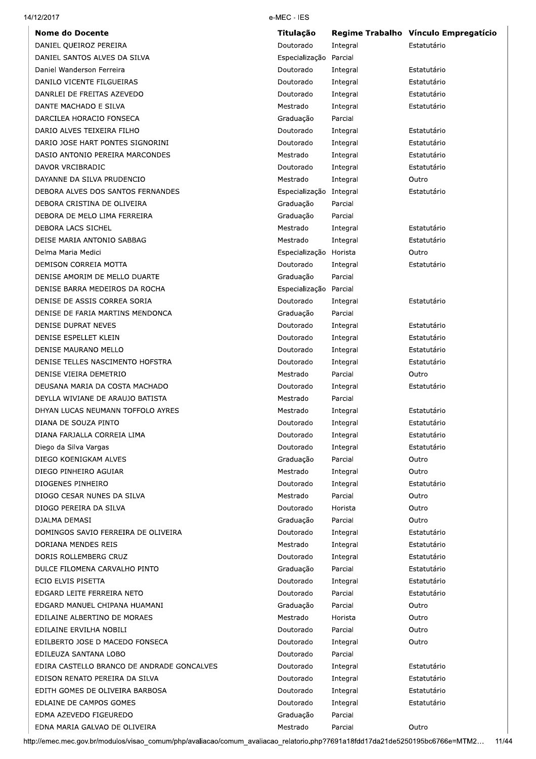| 14/12/2017 |
|------------|
|------------|

**Nome do Docente** DANIEL QUEIROZ PEREIRA DANIEL SANTOS ALVES DA SILVA Daniel Wanderson Ferreira DANILO VICENTE FILGUEIRAS DANRLEI DE FREITAS AZEVEDO DANTE MACHADO E SILVA DARCILEA HORACIO FONSECA DARIO ALVES TEIXEIRA FILHO DARIO JOSE HART PONTES SIGNORINI DASIO ANTONIO PEREIRA MARCONDES DAVOR VRCIBRADIC DAYANNE DA SILVA PRUDENCIO DEBORA ALVES DOS SANTOS FERNANDES DEBORA CRISTINA DE OLIVEIRA DEBORA DE MELO LIMA FERREIRA DEBORA LACS SICHEL DEISE MARIA ANTONIO SABBAG Delma Maria Medici DEMISON CORREIA MOTTA DENISE AMORIM DE MELLO DUARTE DENISE BARRA MEDEIROS DA ROCHA DENISE DE ASSIS CORREA SORIA DENISE DE FARIA MARTINS MENDONCA **DENISE DUPRAT NEVES** DENISE ESPELLET KLEIN DENISE MAURANO MELLO DENISE TELLES NASCIMENTO HOFSTRA DENISE VIEIRA DEMETRIO DEUSANA MARIA DA COSTA MACHADO DEYLLA WIVIANE DE ARAUJO BATISTA DHYAN LUCAS NEUMANN TOFFOLO AYRES DIANA DE SOUZA PINTO DIANA FARJALLA CORREIA LIMA Diego da Silva Vargas DIEGO KOENIGKAM ALVES DIEGO PINHEIRO AGUIAR DIOGENES PINHEIRO DIOGO CESAR NUNES DA SILVA DIOGO PEREIRA DA SILVA DIALMA DEMASI DOMINGOS SAVIO FERREIRA DE OLIVEIRA DORIANA MENDES REIS DORIS ROLLEMBERG CRUZ DULCE FILOMENA CARVALHO PINTO ECIO ELVIS PISETTA EDGARD LEITE FERREIRA NETO EDGARD MANUEL CHIPANA HUAMANI EDILAINE ALBERTINO DE MORAES EDILAINE ERVILHA NOBILI EDILBERTO JOSE D MACEDO FONSECA EDILEUZA SANTANA LOBO EDIRA CASTELLO BRANCO DE ANDRADE GONCALVES EDISON RENATO PEREIRA DA SILVA EDITH GOMES DE OLIVEIRA BARBOSA EDLAINE DE CAMPOS GOMES EDMA AZEVEDO FIGEUREDO EDNA MARIA GALVAO DE OLIVEIRA

#### e-MEC - IES

| Titulação              | <b>Regime Trabalho</b> | Vínculo Empregatício |
|------------------------|------------------------|----------------------|
| Doutorado              | Integral               | Estatutário          |
| Especialização         | Parcial                |                      |
| Doutorado              | Integral               | Estatutário          |
| Doutorado              | Integral               | Estatutário          |
| Doutorado              | Integral               | Estatutário          |
| Mestrado               | Integral               | Estatutário          |
| Graduação              | Parcial                |                      |
| Doutorado              | Integral               | Estatutário          |
| Doutorado              | Integral               | Estatutário          |
| Mestrado               | Integral               | Estatutário          |
| Doutorado              | Integral               | Estatutário          |
| Mestrado               | Integral               | Outro                |
| Especialização         | Integral               | Estatutário          |
| Graduação              | Parcial                |                      |
| Graduação              | Parcial                |                      |
| Mestrado               | Integral               | Estatutário          |
| Mestrado               | Integral               | Estatutário          |
| Especialização         | Horista                | Outro                |
| Doutorado              | Integral               | Estatutário          |
| Graduação              | Parcial                |                      |
| Especialização         | Parcial                |                      |
| Doutorado              | Integral               | Estatutário          |
| Graduação              | Parcial                |                      |
| Doutorado              | Integral               | Estatutário          |
| Doutorado              | Integral               | Estatutário          |
| Doutorado              | Integral               | Estatutário          |
| Doutorado              | Integral               | Estatutário          |
| Mestrado               | Parcial                | Outro                |
| Doutorado              | Integral               | Estatutário          |
| Mestrado               | Parcial                |                      |
| Mestrado               | Integral               | Estatutário          |
| Doutorado              | Integral               | Estatutário          |
|                        |                        | Estatutário          |
| Doutorado<br>Doutorado | Integral               | Estatutário          |
| Graduação              | Integral<br>Parcial    | Outro                |
| Mestrado               |                        |                      |
|                        | Integral               | Outro                |
| Doutorado<br>Mestrado  | Integral               | Estatutário          |
|                        | Parcial                | Outro                |
| Doutorado              | Horista                | Outro                |
| Graduação              | Parcial                | Outro                |
| Doutorado              | Integral               | Estatutário          |
| Mestrado               | Integral               | Estatutário          |
| Doutorado              | Integral               | Estatutário          |
| Graduação              | Parcial                | Estatutário          |
| Doutorado              | Integral               | Estatutário          |
| Doutorado              | Parcial                | Estatutário          |
| Graduação              | Parcial                | Outro                |
| Mestrado               | Horista                | Outro                |
| Doutorado              | Parcial                | Outro                |
| Doutorado              | Integral               | Outro                |
| Doutorado              | Parcial                |                      |
| Doutorado              | Integral               | Estatutário          |
| Doutorado              | Integral               | Estatutário          |
| Doutorado              | Integral               | Estatutário          |
| Doutorado              | Integral               | Estatutário          |
| Graduação              | Parcial                |                      |
| Mestrado               | Parcial                | Outro                |

http://emec.mec.gov.br/modulos/visao\_comum/php/avaliacao/comum\_avaliacao\_relatorio.php?7691a18fdd17da21de5250195bc6766e=MTM2... 11/44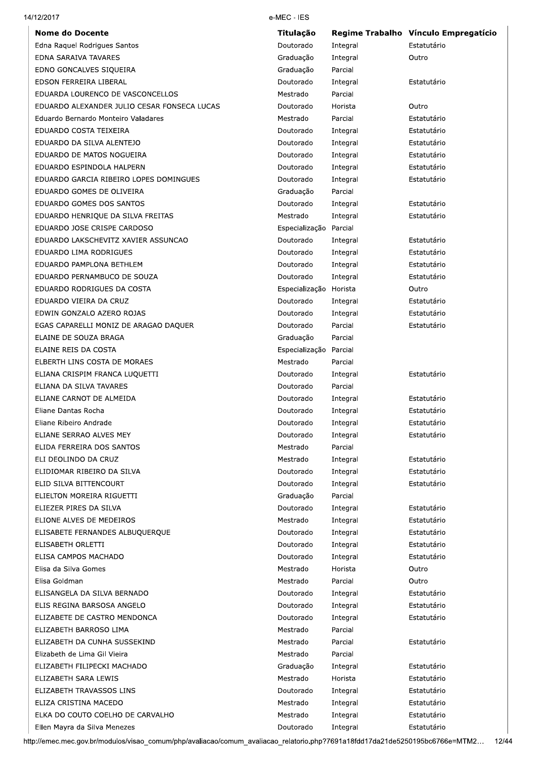|  | 14/12/2017 |
|--|------------|
|--|------------|

| <b>Nome do Docente</b>                      | Titulação              |          | Regime Trabalho Vínculo Empregatício |
|---------------------------------------------|------------------------|----------|--------------------------------------|
| Edna Raquel Rodrigues Santos                | Doutorado              | Integral | Estatutário                          |
| EDNA SARAIVA TAVARES                        | Graduação              | Integral | Outro                                |
| EDNO GONCALVES SIQUEIRA                     | Graduação              | Parcial  |                                      |
| EDSON FERREIRA LIBERAL                      | Doutorado              | Integral | Estatutário                          |
| EDUARDA LOURENCO DE VASCONCELLOS            | Mestrado               | Parcial  |                                      |
| EDUARDO ALEXANDER JULIO CESAR FONSECA LUCAS | Doutorado              | Horista  | Outro                                |
| Eduardo Bernardo Monteiro Valadares         | Mestrado               | Parcial  | Estatutário                          |
| EDUARDO COSTA TEIXEIRA                      | Doutorado              | Integral | Estatutário                          |
| EDUARDO DA SILVA ALENTEJO                   | Doutorado              | Integral | Estatutário                          |
| EDUARDO DE MATOS NOGUEIRA                   | Doutorado              | Integral | Estatutário                          |
| EDUARDO ESPINDOLA HALPERN                   | Doutorado              | Integral | Estatutário                          |
| EDUARDO GARCIA RIBEIRO LOPES DOMINGUES      | Doutorado              | Integral | Estatutário                          |
| EDUARDO GOMES DE OLIVEIRA                   | Graduação              | Parcial  |                                      |
| EDUARDO GOMES DOS SANTOS                    | Doutorado              | Integral | Estatutário                          |
| EDUARDO HENRIQUE DA SILVA FREITAS           | Mestrado               | Integral | Estatutário                          |
| EDUARDO JOSE CRISPE CARDOSO                 | Especialização Parcial |          |                                      |
| EDUARDO LAKSCHEVITZ XAVIER ASSUNCAO         | Doutorado              | Integral | Estatutário                          |
| EDUARDO LIMA RODRIGUES                      | Doutorado              | Integral | Estatutário                          |
| EDUARDO PAMPLONA BETHLEM                    | Doutorado              | Integral | Estatutário                          |
| EDUARDO PERNAMBUCO DE SOUZA                 | Doutorado              | Integral | Estatutário                          |
| EDUARDO RODRIGUES DA COSTA                  | Especialização Horista |          | Outro                                |
| EDUARDO VIEIRA DA CRUZ                      | Doutorado              | Integral | Estatutário                          |
| EDWIN GONZALO AZERO ROJAS                   | Doutorado              | Integral | Estatutário                          |
| EGAS CAPARELLI MONIZ DE ARAGAO DAQUER       | Doutorado              | Parcial  | Estatutário                          |
| ELAINE DE SOUZA BRAGA                       | Graduação              | Parcial  |                                      |
| ELAINE REIS DA COSTA                        | Especialização         | Parcial  |                                      |
| ELBERTH LINS COSTA DE MORAES                | Mestrado               | Parcial  |                                      |
| ELIANA CRISPIM FRANCA LUQUETTI              | Doutorado              | Integral | Estatutário                          |
| ELIANA DA SILVA TAVARES                     | Doutorado              | Parcial  |                                      |
| ELIANE CARNOT DE ALMEIDA                    | Doutorado              | Integral | Estatutário                          |
| Eliane Dantas Rocha                         | Doutorado              | Integral | Estatutário                          |
| Eliane Ribeiro Andrade                      | Doutorado              | Integral | Estatutário                          |
| ELIANE SERRAO ALVES MEY                     | Doutorado              | Integral | Estatutário                          |
| ELIDA FERREIRA DOS SANTOS                   | Mestrado               | Parcial  |                                      |
| ELI DEOLINDO DA CRUZ                        | Mestrado               | Integral | Estatutário                          |
| ELIDIOMAR RIBEIRO DA SILVA                  | Doutorado              | Integral | Estatutário                          |
| ELID SILVA BITTENCOURT                      | Doutorado              | Integral | Estatutário                          |
| ELIELTON MOREIRA RIGUETTI                   | Graduação              | Parcial  |                                      |
| ELIEZER PIRES DA SILVA                      | Doutorado              | Integral | Estatutário                          |
| ELIONE ALVES DE MEDEIROS                    | Mestrado               | Integral | Estatutário                          |
| ELISABETE FERNANDES ALBUQUERQUE             | Doutorado              | Integral | Estatutário                          |
| ELISABETH ORLETTI                           | Doutorado              | Integral | Estatutário                          |
| ELISA CAMPOS MACHADO                        | Doutorado              | Integral | Estatutário                          |
| Elisa da Silva Gomes                        | Mestrado               | Horista  | Outro                                |
| Elisa Goldman                               | Mestrado               | Parcial  | Outro                                |
| ELISANGELA DA SILVA BERNADO                 | Doutorado              | Integral | Estatutário                          |
| ELIS REGINA BARSOSA ANGELO                  | Doutorado              | Integral | Estatutário                          |
| ELIZABETE DE CASTRO MENDONCA                | Doutorado              | Integral | Estatutário                          |
| ELIZABETH BARROSO LIMA                      | Mestrado               | Parcial  |                                      |
| ELIZABETH DA CUNHA SUSSEKIND                | Mestrado               | Parcial  | Estatutário                          |
| Elizabeth de Lima Gil Vieira                | Mestrado               | Parcial  |                                      |
| ELIZABETH FILIPECKI MACHADO                 | Graduação              | Integral | Estatutário                          |
| ELIZABETH SARA LEWIS                        | Mestrado               | Horista  | Estatutário                          |
| ELIZABETH TRAVASSOS LINS                    | Doutorado              | Integral | Estatutário                          |
| ELIZA CRISTINA MACEDO                       | Mestrado               | Integral | Estatutário                          |
| ELKA DO COUTO COELHO DE CARVALHO            | Mestrado               | Integral | Estatutário                          |
| Ellen Mayra da Silva Menezes                | Doutorado              | Integral | Estatutário                          |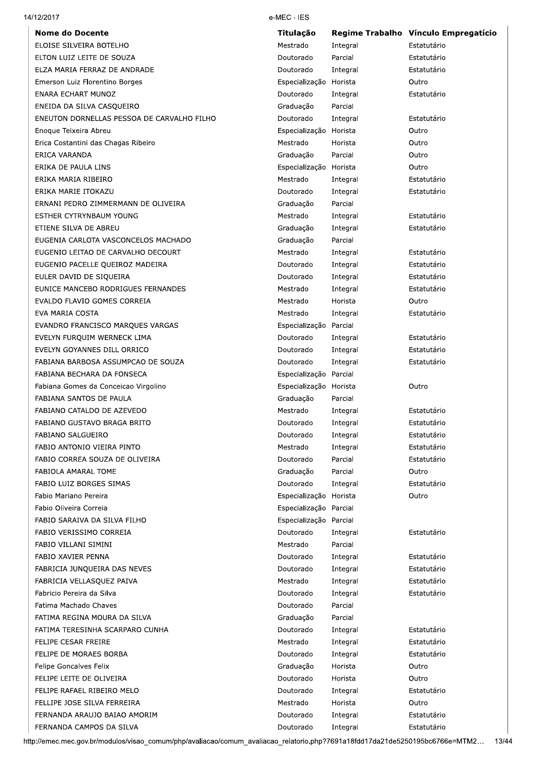|  | 14/12/2017 |
|--|------------|
|--|------------|

**Nome do Docente** ELOISE SILVEIRA BOTELHO ELTON LUIZ LEITE DE SOUZA ELZA MARIA FERRAZ DE ANDRADE Emerson Luiz Florentino Borges **ENARA ECHART MUNOZ** ENEIDA DA SILVA CASQUEIRO ENEUTON DORNELLAS PESSOA DE CARVALHO FILHO Enoque Teixeira Abreu Erica Costantini das Chagas Ribeiro ERICA VARANDA ERIKA DE PAULA LINS ERIKA MARIA RIBEIRO ERIKA MARIE ITOKAZU ERNANI PEDRO ZIMMERMANN DE OLIVEIRA ESTHER CYTRYNBAUM YOUNG ETIENE SILVA DE ABREU EUGENIA CARLOTA VASCONCELOS MACHADO EUGENIO LEITAO DE CARVALHO DECOURT EUGENIO PACELLE QUEIROZ MADEIRA EULER DAVID DE SIQUEIRA EUNICE MANCEBO RODRIGUES FERNANDES EVALDO FLAVIO GOMES CORREIA EVA MARIA COSTA EVANDRO FRANCISCO MARQUES VARGAS EVELYN FURQUIM WERNECK LIMA EVELYN GOYANNES DILL ORRICO FABIANA BARBOSA ASSUMPCAO DE SOUZA FABIANA BECHARA DA FONSECA Fabiana Gomes da Conceicao Virgolino FABIANA SANTOS DE PAULA FABIANO CATALDO DE AZEVEDO FABIANO GUSTAVO BRAGA BRITO FABIANO SALGUEIRO FABIO ANTONIO VIEIRA PINTO FABIO CORREA SOUZA DE OLIVEIRA FABIOLA AMARAL TOME FABIO LUIZ BORGES SIMAS Fabio Mariano Pereira Fabio Oliveira Correia FABIO SARAIVA DA SILVA FILHO **FARIO VERISSIMO CORREIA** FABIO VILLANI SIMINI FABIO XAVIER PENNA FABRICIA JUNQUEIRA DAS NEVES FABRICIA VELLASQUEZ PAIVA Fabricio Pereira da Silva Fatima Machado Chaves FATIMA REGINA MOURA DA SILVA FATIMA TERESINHA SCARPARO CUNHA FELIPE CESAR FREIRE FELIPE DE MORAES BORBA Felipe Goncalves Felix FELIPE LEITE DE OLIVEIRA FELIPE RAFAEL RIBEIRO MELO FELLIPE JOSE SILVA FERREIRA FERNANDA ARAUJO BAIAO AMORIM

FERNANDA CAMPOS DA SILVA

#### e-MEC - IES

| Titulação      | Regime Trabalho      | Vínculo Empregatício |
|----------------|----------------------|----------------------|
| Mestrado       | Integral             | Estatutário          |
| Doutorado      | Parcial              | Estatutário          |
| Doutorado      | Integral             | Estatutário          |
| Especialização | Horista              | Outro                |
| Doutorado      | Integral             | Estatutário          |
| Graduação      | Parcial              |                      |
| Doutorado      | Integral             | Estatutário          |
| Especialização | Horista              | Outro                |
| Mestrado       | Horista              | Outro                |
| Graduação      | Parcial              | Outro                |
| Especialização | Horista              | Outro                |
| Mestrado       | Integral             | Estatutário          |
| Doutorado      | Integral             | Estatutário          |
| Graduação      | Parcial              |                      |
| Mestrado       | Integral             | Estatutário          |
| Graduação      | Integral             | Estatutário          |
| Graduação      | Parcial              |                      |
| Mestrado       | Integral             | Estatutário          |
| Doutorado      | Integral             | Estatutário          |
| Doutorado      | Integral             | Estatutário          |
| Mestrado       | Integral             | Estatutário          |
| Mestrado       | Horista              | Outro                |
| Mestrado       | Integral             | Estatutário          |
| Especialização | Parcial              |                      |
| Doutorado      | Integral             | Estatutário          |
| Doutorado      | Integral             | Estatutário          |
| Doutorado      | Integral             | Estatutário          |
| Especialização | Parcial              |                      |
| Especialização | Horista              | Outro                |
| Graduação      | Parcial              |                      |
| Mestrado       | Integral             | Estatutário          |
| Doutorado      | Integral             | Estatutário          |
| Doutorado      | Integral             | Estatutário          |
| Mestrado       | Integral             | Estatutário          |
| Doutorado      | Parcial              | Estatutário          |
| Graduação      | Parcial              | Outro                |
| Doutorado      | Integral             | Estatutário          |
| Especialização | Horista              | Outro                |
| Especialização | Parcial              |                      |
| Especialização | Parcial              |                      |
| Doutorado      | Integral             | Estatutário          |
| Mestrado       | Parcial              |                      |
| Doutorado      | Integral             | Estatutário          |
| Doutorado      | Integral             | Estatutário          |
| Mestrado       | Integral             | Estatutário          |
| Doutorado      | Integral             | Estatutário          |
| Doutorado      | Parcial              |                      |
| Graduação      | Parcial              |                      |
| Doutorado      | Integral             | Estatutário          |
| Mestrado       | Integral             | Estatutário          |
| Doutorado      | Integral             | Estatutário          |
| Graduação      | Horista              | Outro                |
| Doutorado      | Horista              | Outro                |
| Doutorado      | Integral             | Estatutário          |
| Mestrado       | Horista              | Outro                |
| Doutorado      |                      | Estatutário          |
| Doutorado      | Integral<br>Intearal | Estatutário          |
|                |                      |                      |

http://emec.mec.gov.br/modulos/visao\_comum/php/avaliacao/comum\_avaliacao\_relatorio.php?7691a18fdd17da21de5250195bc6766e=MTM2... 13/44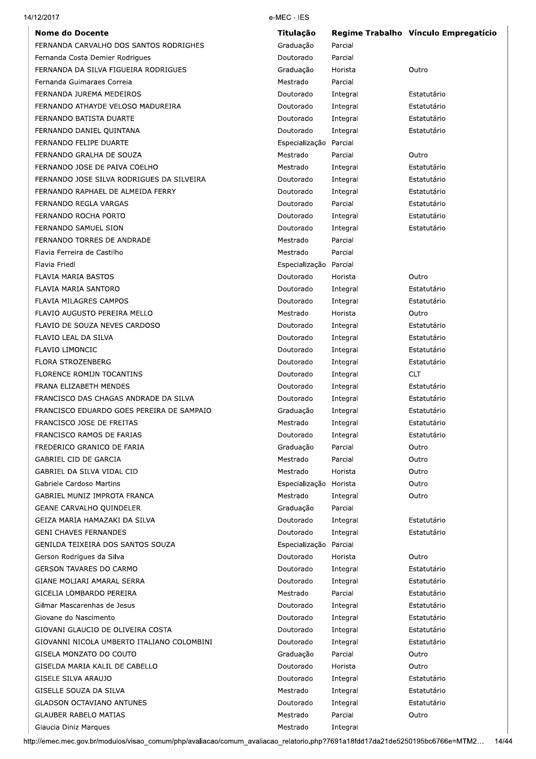| 14/12/2017                                 | e-MEC - IES            |          |                                      |
|--------------------------------------------|------------------------|----------|--------------------------------------|
| <b>Nome do Docente</b>                     | <b>Titulação</b>       |          | Regime Trabalho Vínculo Empregatício |
| FERNANDA CARVALHO DOS SANTOS RODRIGHES     | Graduação              | Parcial  |                                      |
| Fernanda Costa Demier Rodrigues            | Doutorado              | Parcial  |                                      |
| FERNANDA DA SILVA FIGUEIRA RODRIGUES       | Graduação              | Horista  | Outro                                |
| Fernanda Guimaraes Correia                 | Mestrado               | Parcial  |                                      |
| FERNANDA JUREMA MEDEIROS                   | Doutorado              | Integral | Estatutário                          |
| FERNANDO ATHAYDE VELOSO MADUREIRA          | Doutorado              | Integral | Estatutário                          |
| FERNANDO BATISTA DUARTE                    | Doutorado              | Integral | Estatutário                          |
| FERNANDO DANIEL QUINTANA                   | Doutorado              | Integral | Estatutário                          |
| FERNANDO FELIPE DUARTE                     | Especialização Parcial |          |                                      |
| FERNANDO GRALHA DE SOUZA                   | Mestrado               | Parcial  | Outro                                |
| FERNANDO JOSE DE PAIVA COELHO              | Mestrado               | Integral | Estatutário                          |
| FERNANDO JOSE SILVA RODRIGUES DA SILVEIRA  | Doutorado              | Integral | Estatutário                          |
| FERNANDO RAPHAEL DE ALMEIDA FERRY          | Doutorado              | Integral | Estatutário                          |
| FERNANDO REGLA VARGAS                      | Doutorado              | Parcial  | Estatutário                          |
| FERNANDO ROCHA PORTO                       | Doutorado              | Integral | Estatutário                          |
| FERNANDO SAMUEL SION                       | Doutorado              | Integral | Estatutário                          |
| FERNANDO TORRES DE ANDRADE                 | Mestrado               | Parcial  |                                      |
| Flavia Ferreira de Castilho                | Mestrado               | Parcial  |                                      |
| Flavia Friedl                              | Especialização Parcial |          |                                      |
| FLAVIA MARIA BASTOS                        | Doutorado              | Horista  | Outro                                |
| FLAVIA MARIA SANTORO                       | Doutorado              | Integral | Estatutário                          |
| FLAVIA MILAGRES CAMPOS                     | Doutorado              | Integral | Estatutário                          |
| FLAVIO AUGUSTO PEREIRA MELLO               | Mestrado               | Horista  | Outro                                |
| FLAVIO DE SOUZA NEVES CARDOSO              | Doutorado              | Integral | Estatutário                          |
| FLAVIO LEAL DA SILVA                       | Doutorado              | Integral | Estatutário                          |
| FLAVIO LIMONCIC                            | Doutorado              | Integral | Estatutário                          |
| <b>FLORA STROZENBERG</b>                   | Doutorado              | Integral | Estatutário                          |
| FLORENCE ROMIJN TOCANTINS                  | Doutorado              | Integral | <b>CLT</b>                           |
| FRANA ELIZABETH MENDES                     | Doutorado              | Integral | Estatutário                          |
| FRANCISCO DAS CHAGAS ANDRADE DA SILVA      | Doutorado              | Integral | Estatutário                          |
| FRANCISCO EDUARDO GOES PEREIRA DE SAMPAIO  | Graduação              | Integral | Estatutário                          |
| FRANCISCO JOSE DE FREITAS                  | Mestrado               | Integral | Estatutário                          |
| FRANCISCO RAMOS DE FARIAS                  | Doutorado              | Integral | Estatutário                          |
| FREDERICO GRANICO DE FARIA                 | Graduação              | Parcial  | Outro                                |
| GABRIEL CID DE GARCIA                      | Mestrado               | Parcial  | Outro                                |
| GABRIEL DA SILVA VIDAL CID                 | Mestrado               | Horista  | Outro                                |
| Gabriele Cardoso Martins                   | Especialização Horista |          | Outro                                |
| <b>GABRIEL MUNIZ IMPROTA FRANCA</b>        | Mestrado               | Integral | Outro                                |
| <b>GEANE CARVALHO QUINDELER</b>            | Graduação              | Parcial  |                                      |
| GEIZA MARIA HAMAZAKI DA SILVA              | Doutorado              | Integral | Estatutário                          |
| <b>GENI CHAVES FERNANDES</b>               | Doutorado              | Integral | Estatutário                          |
| GENILDA TEIXEIRA DOS SANTOS SOUZA          | Especialização         | Parcial  |                                      |
| Gerson Rodrigues da Silva                  | Doutorado              | Horista  | Outro                                |
| <b>GERSON TAVARES DO CARMO</b>             | Doutorado              | Integral | Estatutário                          |
| GIANE MOLIARI AMARAL SERRA                 | Doutorado              | Integral | Estatutário                          |
| GICELIA LOMBARDO PEREIRA                   | Mestrado               | Parcial  | Estatutário                          |
| Gilmar Mascarenhas de Jesus                | Doutorado              | Integral | Estatutário                          |
| Giovane do Nascimento                      | Doutorado              | Integral | Estatutário                          |
| GIOVANI GLAUCIO DE OLIVEIRA COSTA          | Doutorado              | Integral | Estatutário                          |
| GIOVANNI NICOLA UMBERTO ITALIANO COLOMBINI | Doutorado              | Integral | Estatutário                          |
| GISELA MONZATO DO COUTO                    | Graduação              | Parcial  | Outro                                |
| GISELDA MARIA KALIL DE CABELLO             | Doutorado              | Horista  | Outro                                |
| GISELE SILVA ARAUJO                        | Doutorado              | Integral | Estatutário                          |
| GISELLE SOUZA DA SILVA                     | Mestrado               | Integral | Estatutário                          |
| <b>GLADSON OCTAVIANO ANTUNES</b>           | Doutorado              | Integral | Estatutário                          |
| <b>GLAUBER RABELO MATIAS</b>               | Mestrado               | Parcial  | Outro                                |

Mestrado

Integral

Glaucia Diniz Marques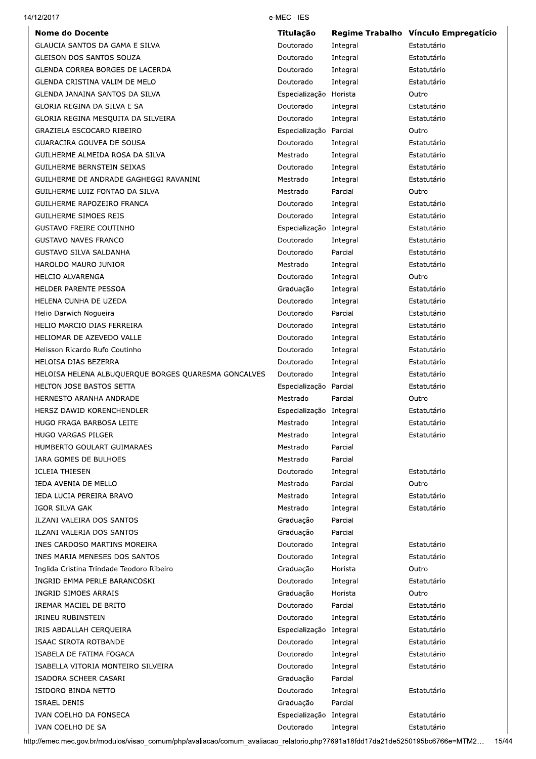| <b>Nome do Docente</b>                               | Titulação               |          | Regime Trabalho Vínculo Empregatício |
|------------------------------------------------------|-------------------------|----------|--------------------------------------|
| GLAUCIA SANTOS DA GAMA E SILVA                       | Doutorado               | Integral | Estatutário                          |
| GLEISON DOS SANTOS SOUZA                             | Doutorado               | Integral | Estatutário                          |
| GLENDA CORREA BORGES DE LACERDA                      | Doutorado               | Integral | Estatutário                          |
| GLENDA CRISTINA VALIM DE MELO                        | Doutorado               | Integral | Estatutário                          |
| GLENDA JANAINA SANTOS DA SILVA                       | Especialização Horista  |          | Outro                                |
| GLORIA REGINA DA SILVA E SA                          | Doutorado               | Integral | Estatutário                          |
| GLORIA REGINA MESQUITA DA SILVEIRA                   | Doutorado               | Integral | Estatutário                          |
| GRAZIELA ESCOCARD RIBEIRO                            | Especialização Parcial  |          | Outro                                |
| <b>GUARACIRA GOUVEA DE SOUSA</b>                     | Doutorado               | Integral | Estatutário                          |
| GUILHERME ALMEIDA ROSA DA SILVA                      | Mestrado                | Integral | Estatutário                          |
| GUILHERME BERNSTEIN SEIXAS                           | Doutorado               | Integral | Estatutário                          |
| GUILHERME DE ANDRADE GAGHEGGI RAVANINI               | Mestrado                | Integral | Estatutário                          |
| GUILHERME LUIZ FONTAO DA SILVA                       | Mestrado                | Parcial  | Outro                                |
| GUILHERME RAPOZEIRO FRANCA                           | Doutorado               | Integral | Estatutário                          |
| GUILHERME SIMOES REIS                                | Doutorado               | Integral | Estatutário                          |
| <b>GUSTAVO FREIRE COUTINHO</b>                       | Especialização Integral |          | Estatutário                          |
| <b>GUSTAVO NAVES FRANCO</b>                          | Doutorado               | Integral | Estatutário                          |
| GUSTAVO SILVA SALDANHA                               | Doutorado               | Parcial  | Estatutário                          |
| HAROLDO MAURO JUNIOR                                 | Mestrado                | Integral | Estatutário                          |
| <b>HELCIO ALVARENGA</b>                              | Doutorado               | Integral | Outro                                |
| HELDER PARENTE PESSOA                                | Graduação               | Integral | Estatutário                          |
| HELENA CUNHA DE UZEDA                                | Doutorado               | Integral | Estatutário                          |
| Helio Darwich Nogueira                               | Doutorado               | Parcial  | Estatutário                          |
| HELIO MARCIO DIAS FERREIRA                           | Doutorado               | Integral | Estatutário                          |
| HELIOMAR DE AZEVEDO VALLE                            | Doutorado               | Integral | Estatutário                          |
| Helisson Ricardo Rufo Coutinho                       | Doutorado               | Integral | Estatutário                          |
| HELOISA DIAS BEZERRA                                 | Doutorado               | Integral | Estatutário                          |
| HELOISA HELENA ALBUQUERQUE BORGES QUARESMA GONCALVES | Doutorado               | Integral | Estatutário                          |
| HELTON JOSE BASTOS SETTA                             | Especialização Parcial  |          | Estatutário                          |
| HERNESTO ARANHA ANDRADE                              | Mestrado                | Parcial  | Outro                                |
| HERSZ DAWID KORENCHENDLER                            | Especialização Integral |          | Estatutário                          |
| HUGO FRAGA BARBOSA LEITE                             | Mestrado                | Integral | Estatutário                          |
| <b>HUGO VARGAS PILGER</b>                            | Mestrado                | Integral | Estatutário                          |
| HUMBERTO GOULART GUIMARAES                           | Mestrado                | Parcial  |                                      |
| IARA GOMES DE BULHOES                                | Mestrado                | Parcial  |                                      |
| <b>ICLEIA THIESEN</b>                                | Doutorado               | Integral | Estatutário                          |
| IEDA AVENIA DE MELLO                                 | Mestrado                | Parcial  | Outro                                |
| IEDA LUCIA PEREIRA BRAVO                             | Mestrado                | Integral | Estatutário                          |
| IGOR SILVA GAK                                       | Mestrado                | Integral | Estatutário                          |
| ILZANI VALEIRA DOS SANTOS                            | Graduação               | Parcial  |                                      |
| ILZANI VALERIA DOS SANTOS                            | Graduação               | Parcial  |                                      |
| INES CARDOSO MARTINS MOREIRA                         | Doutorado               | Integral | Estatutário                          |
| INES MARIA MENESES DOS SANTOS                        | Doutorado               | Integral | Estatutário                          |
| Inglida Cristina Trindade Teodoro Ribeiro            | Graduação               | Horista  | Outro                                |
| INGRID EMMA PERLE BARANCOSKI                         | Doutorado               | Integral | Estatutário                          |
| INGRID SIMOES ARRAIS                                 | Graduação               | Horista  | Outro                                |
| IREMAR MACIEL DE BRITO                               | Doutorado               | Parcial  | Estatutário                          |
| <b>IRINEU RUBINSTEIN</b>                             | Doutorado               | Integral | Estatutário                          |
| IRIS ABDALLAH CERQUEIRA                              | Especialização Integral |          | Estatutário                          |
| ISAAC SIROTA ROTBANDE                                | Doutorado               | Integral | Estatutário                          |
| ISABELA DE FATIMA FOGACA                             | Doutorado               | Integral | Estatutário                          |
| ISABELLA VITORIA MONTEIRO SILVEIRA                   | Doutorado               | Integral | Estatutário                          |
| ISADORA SCHEER CASARI                                | Graduação               | Parcial  |                                      |
| ISIDORO BINDA NETTO                                  | Doutorado               | Integral | Estatutário                          |
| <b>ISRAEL DENIS</b>                                  | Graduação               | Parcial  |                                      |
| IVAN COELHO DA FONSECA                               | Especialização          | Integral | Estatutário                          |
| IVAN COELHO DE SA                                    | Doutorado               | Integral | Estatutário                          |

14/12/2017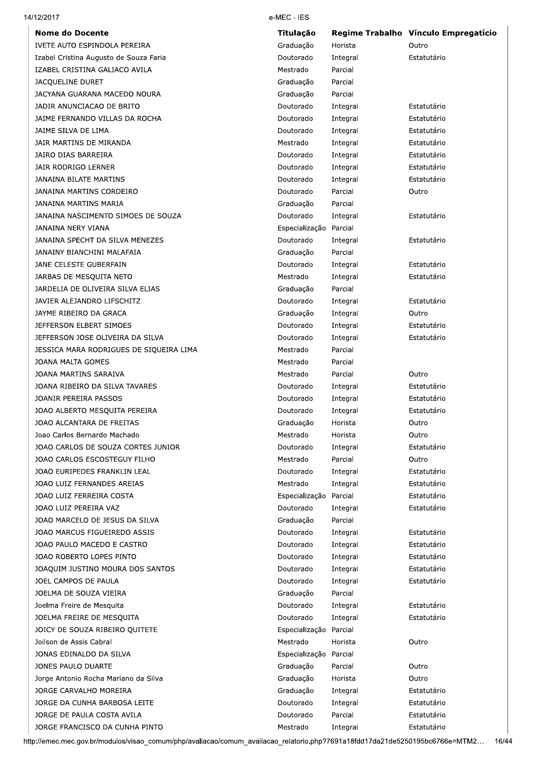| <b>Nome do Docente</b>                  | Titulação              |          | Regime Trabalho Vínculo Empregatício |
|-----------------------------------------|------------------------|----------|--------------------------------------|
| IVETE AUTO ESPINDOLA PEREIRA            | Graduação              | Horista  | Outro                                |
| Izabel Cristina Augusto de Souza Faria  | Doutorado              | Integral | Estatutário                          |
| IZABEL CRISTINA GALIACO AVILA           | Mestrado               | Parcial  |                                      |
| <b>JACQUELINE DURET</b>                 | Graduação              | Parcial  |                                      |
| JACYANA GUARANA MACEDO NOURA            | Graduação              | Parcial  |                                      |
| JADIR ANUNCIACAO DE BRITO               | Doutorado              | Integral | Estatutário                          |
| JAIME FERNANDO VILLAS DA ROCHA          | Doutorado              | Integral | Estatutário                          |
| JAIME SILVA DE LIMA                     | Doutorado              | Integral | Estatutário                          |
| JAIR MARTINS DE MIRANDA                 | Mestrado               | Integral | Estatutário                          |
| JAIRO DIAS BARREIRA                     | Doutorado              | Integral | Estatutário                          |
| JAIR RODRIGO LERNER                     | Doutorado              | Integral | Estatutário                          |
| JANAINA BILATE MARTINS                  | Doutorado              | Integral | Estatutário                          |
| JANAINA MARTINS CORDEIRO                | Doutorado              | Parcial  | Outro                                |
| JANAINA MARTINS MARIA                   | Graduação              | Parcial  |                                      |
| JANAINA NASCIMENTO SIMOES DE SOUZA      | Doutorado              | Integral | Estatutário                          |
| JANAINA NERY VIANA                      | Especialização Parcial |          |                                      |
| JANAINA SPECHT DA SILVA MENEZES         | Doutorado              | Integral | Estatutário                          |
| JANAINY BIANCHINI MALAFAIA              | Graduação              | Parcial  |                                      |
| JANE CELESTE GUBERFAIN                  | Doutorado              | Integral | Estatutário                          |
| JARBAS DE MESQUITA NETO                 | Mestrado               | Integral | Estatutário                          |
| JARDELIA DE OLIVEIRA SILVA ELIAS        | Graduação              | Parcial  |                                      |
| JAVIER ALEJANDRO LIFSCHITZ              | Doutorado              | Integral | Estatutário                          |
| JAYME RIBEIRO DA GRACA                  | Graduação              | Integral | Outro                                |
| JEFFERSON ELBERT SIMOES                 | Doutorado              | Integral | Estatutário                          |
| JEFFERSON JOSE OLIVEIRA DA SILVA        | Doutorado              | Integral | Estatutário                          |
| JESSICA MARA RODRIGUES DE SIQUEIRA LIMA | Mestrado               | Parcial  |                                      |
| JOANA MALTA GOMES                       | Mestrado               | Parcial  |                                      |
| JOANA MARTINS SARAIVA                   | Mestrado               | Parcial  | Outro                                |
| JOANA RIBEIRO DA SILVA TAVARES          | Doutorado              | Integral | Estatutário                          |
| JOANIR PEREIRA PASSOS                   | Doutorado              | Integral | Estatutário                          |
| JOAO ALBERTO MESQUITA PEREIRA           | Doutorado              | Integral | Estatutário                          |
| JOAO ALCANTARA DE FREITAS               | Graduação              | Horista  | Outro                                |
| Joao Carlos Bernardo Machado            | Mestrado               | Horista  | Outro                                |
| JOAO CARLOS DE SOUZA CORTES JUNIOR      | Doutorado              | Integral | Estatutário                          |
| JOAO CARLOS ESCOSTEGUY FILHO            | Mestrado               | Parcial  | Outro                                |
| JOAO EURIPEDES FRANKLIN LEAL            | Doutorado              | Integral | Estatutário                          |
| JOAO LUIZ FERNANDES AREIAS              | Mestrado               | Integral | Estatutário                          |
| JOAO LUIZ FERREIRA COSTA                | Especialização         | Parcial  | Estatutário                          |
| JOAO LUIZ PEREIRA VAZ                   | Doutorado              | Integral | Estatutário                          |
| JOAO MARCELO DE JESUS DA SILVA          | Graduação              | Parcial  |                                      |
| JOAO MARCUS FIGUEIREDO ASSIS            | Doutorado              | Integral | Estatutário                          |
| JOAO PAULO MACEDO E CASTRO              | Doutorado              | Integral | Estatutário                          |
| JOAO ROBERTO LOPES PINTO                | Doutorado              | Integral | Estatutário                          |
| JOAQUIM JUSTINO MOURA DOS SANTOS        | Doutorado              | Integral | Estatutário                          |
| JOEL CAMPOS DE PAULA                    | Doutorado              | Integral | Estatutário                          |
| JOELMA DE SOUZA VIEIRA                  | Graduação              | Parcial  |                                      |
| Joelma Freire de Mesquita               | Doutorado              | Integral | Estatutário                          |
| JOELMA FREIRE DE MESQUITA               | Doutorado              | Integral | Estatutário                          |
| JOICY DE SOUZA RIBEIRO QUITETE          | Especialização Parcial |          |                                      |
| Joilson de Assis Cabral                 | Mestrado               | Horista  | Outro                                |
| JONAS EDINALDO DA SILVA                 | Especialização         | Parcial  |                                      |
| JONES PAULO DUARTE                      | Graduação              | Parcial  | Outro                                |
| Jorge Antonio Rocha Mariano da Silva    | Graduação              | Horista  | Outro                                |
| JORGE CARVALHO MOREIRA                  | Graduação              | Integral | Estatutário                          |
| JORGE DA CUNHA BARBOSA LEITE            | Doutorado              | Integral | Estatutário                          |
| JORGE DE PAULA COSTA AVILA              | Doutorado              | Parcial  | Estatutário                          |
| JORGE FRANCISCO DA CUNHA PINTO          | Mestrado               | Integral | Estatutário                          |
|                                         |                        |          |                                      |

14/12/2017

http://emec.mec.gov.br/modulos/visao\_comum/php/avaliacao/comum\_avaliacao\_relatorio.php?7691a18fdd17da21de5250195bc6766e=MTM2... 16/44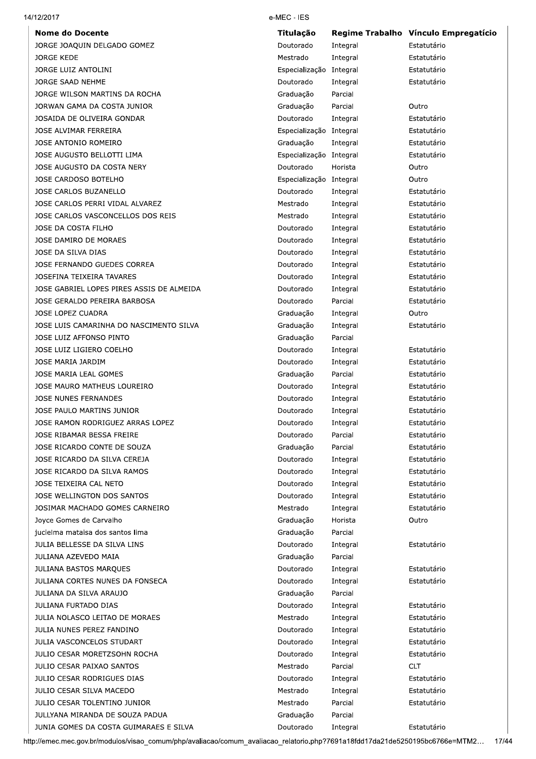| <b>Nome do Docente</b>                    | Titulação               |          | Regime Trabalho Vínculo Empregatício |
|-------------------------------------------|-------------------------|----------|--------------------------------------|
| JORGE JOAQUIN DELGADO GOMEZ               | Doutorado               | Integral | Estatutário                          |
| <b>JORGE KEDE</b>                         | Mestrado                | Integral | Estatutário                          |
| JORGE LUIZ ANTOLINI                       | Especialização Integral |          | Estatutário                          |
| JORGE SAAD NEHME                          | Doutorado               | Integral | Estatutário                          |
| JORGE WILSON MARTINS DA ROCHA             | Graduação               | Parcial  |                                      |
| JORWAN GAMA DA COSTA JUNIOR               | Graduação               | Parcial  | Outro                                |
| JOSAIDA DE OLIVEIRA GONDAR                | Doutorado               | Integral | Estatutário                          |
| JOSE ALVIMAR FERREIRA                     | Especialização Integral |          | Estatutário                          |
| JOSE ANTONIO ROMEIRO                      | Graduação               | Integral | Estatutário                          |
| JOSE AUGUSTO BELLOTTI LIMA                | Especialização Integral |          | Estatutário                          |
| JOSE AUGUSTO DA COSTA NERY                | Doutorado               | Horista  | Outro                                |
| JOSE CARDOSO BOTELHO                      | Especialização Integral |          | Outro                                |
| JOSE CARLOS BUZANELLO                     | Doutorado               | Integral | Estatutário                          |
| JOSE CARLOS PERRI VIDAL ALVAREZ           | Mestrado                | Integral | Estatutário                          |
| JOSE CARLOS VASCONCELLOS DOS REIS         | Mestrado                | Integral | Estatutário                          |
| JOSE DA COSTA FILHO                       | Doutorado               | Integral | Estatutário                          |
| JOSE DAMIRO DE MORAES                     | Doutorado               | Integral | Estatutário                          |
| JOSE DA SILVA DIAS                        | Doutorado               | Integral | Estatutário                          |
| JOSE FERNANDO GUEDES CORREA               | Doutorado               | Integral | Estatutário                          |
| JOSEFINA TEIXEIRA TAVARES                 | Doutorado               | Integral | Estatutário                          |
| JOSE GABRIEL LOPES PIRES ASSIS DE ALMEIDA | Doutorado               | Integral | Estatutário                          |
| JOSE GERALDO PEREIRA BARBOSA              | Doutorado               | Parcial  | Estatutário                          |
| JOSE LOPEZ CUADRA                         | Graduação               | Integral | Outro                                |
| JOSE LUIS CAMARINHA DO NASCIMENTO SILVA   | Graduação               | Integral | Estatutário                          |
| JOSE LUIZ AFFONSO PINTO                   | Graduação               | Parcial  |                                      |
| JOSE LUIZ LIGIERO COELHO                  | Doutorado               | Integral | Estatutário                          |
| JOSE MARIA JARDIM                         | Doutorado               | Integral | Estatutário                          |
| JOSE MARIA LEAL GOMES                     | Graduação               | Parcial  | Estatutário                          |
| JOSE MAURO MATHEUS LOUREIRO               | Doutorado               | Integral | Estatutário                          |
| <b>JOSE NUNES FERNANDES</b>               | Doutorado               |          | Estatutário                          |
|                                           |                         | Integral | Estatutário                          |
| JOSE PAULO MARTINS JUNIOR                 | Doutorado               | Integral |                                      |
| JOSE RAMON RODRIGUEZ ARRAS LOPEZ          | Doutorado               | Integral | Estatutário                          |
| JOSE RIBAMAR BESSA FREIRE                 | Doutorado               | Parcial  | Estatutário                          |
| JOSE RICARDO CONTE DE SOUZA               | Graduação               | Parcial  | Estatutário                          |
| JOSE RICARDO DA SILVA CEREJA              | Doutorado               | Integral | Estatutário                          |
| JOSE RICARDO DA SILVA RAMOS               | Doutorado               | Integral | Estatutário                          |
| JOSE TEIXEIRA CAL NETO                    | Doutorado               | Integral | Estatutário                          |
| JOSE WELLINGTON DOS SANTOS                | Doutorado               | Integral | Estatutário                          |
| JOSIMAR MACHADO GOMES CARNEIRO            | Mestrado                | Integral | Estatutário                          |
| Joyce Gomes de Carvalho                   | Graduação               | Horista  | Outro                                |
| jucielma mataisa dos santos lima          | Graduação               | Parcial  |                                      |
| JULIA BELLESSE DA SILVA LINS              | Doutorado               | Integral | Estatutário                          |
| JULIANA AZEVEDO MAIA                      | Graduação               | Parcial  |                                      |
| JULIANA BASTOS MARQUES                    | Doutorado               | Integral | Estatutário                          |
| JULIANA CORTES NUNES DA FONSECA           | Doutorado               | Integral | Estatutário                          |
| JULIANA DA SILVA ARAUJO                   | Graduação               | Parcial  |                                      |
| JULIANA FURTADO DIAS                      | Doutorado               | Integral | Estatutário                          |
| JULIA NOLASCO LEITAO DE MORAES            | Mestrado                | Integral | Estatutário                          |
| JULIA NUNES PEREZ FANDINO                 | Doutorado               | Integral | Estatutário                          |
| JULIA VASCONCELOS STUDART                 | Doutorado               | Integral | Estatutário                          |
| JULIO CESAR MORETZSOHN ROCHA              | Doutorado               | Integral | Estatutário                          |
| <b>JULIO CESAR PAIXAO SANTOS</b>          | Mestrado                | Parcial  | <b>CLT</b>                           |
| JULIO CESAR RODRIGUES DIAS                | Doutorado               | Integral | Estatutário                          |
| <b>JULIO CESAR SILVA MACEDO</b>           | Mestrado                | Integral | Estatutário                          |
| JULIO CESAR TOLENTINO JUNIOR              | Mestrado                | Parcial  | Estatutário                          |
| JULLYANA MIRANDA DE SOUZA PADUA           | Graduação               | Parcial  |                                      |
| IUNIA GOMES DA COSTA GUIMARAES E SILVA    | Doutorado               | Integral | Estatutário                          |

14/12/2017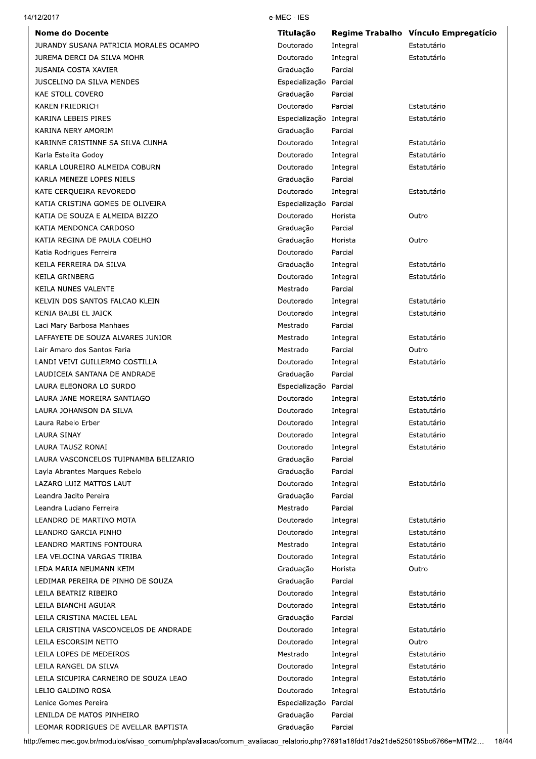| <b>Nome do Docente</b>                                             | <b>Titulação</b>            |                     | Regime Trabalho Vínculo Empregatício |
|--------------------------------------------------------------------|-----------------------------|---------------------|--------------------------------------|
| JURANDY SUSANA PATRICIA MORALES OCAMPO                             | Doutorado<br>Doutorado      | Integral            | Estatutário<br>Estatutário           |
| JUREMA DERCI DA SILVA MOHR<br><b>JUSANIA COSTA XAVIER</b>          | Graduação                   | Integral<br>Parcial |                                      |
| <b>JUSCELINO DA SILVA MENDES</b>                                   |                             | Parcial             |                                      |
| <b>KAE STOLL COVERO</b>                                            | Especialização<br>Graduação | Parcial             |                                      |
| <b>KAREN FRIEDRICH</b>                                             | Doutorado                   | Parcial             | Estatutário                          |
| KARINA LEBEIS PIRES                                                | Especialização Integral     |                     | Estatutário                          |
| KARINA NERY AMORIM                                                 | Graduação                   | Parcial             |                                      |
| KARINNE CRISTINNE SA SILVA CUNHA                                   | Doutorado                   |                     | Estatutário                          |
|                                                                    |                             | Integral            | Estatutário                          |
| Karla Estelita Godoy<br>KARLA LOUREIRO ALMEIDA COBURN              | Doutorado                   | Integral            | Estatutário                          |
|                                                                    | Doutorado                   | Integral<br>Parcial |                                      |
| KARLA MENEZE LOPES NIELS                                           | Graduação                   |                     | Estatutário                          |
| KATE CERQUEIRA REVOREDO                                            | Doutorado                   | Integral            |                                      |
| KATIA CRISTINA GOMES DE OLIVEIRA<br>KATIA DE SOUZA E ALMEIDA BIZZO | Especialização              | Parcial             |                                      |
|                                                                    | Doutorado                   | Horista             | Outro                                |
| KATIA MENDONCA CARDOSO                                             | Graduação                   | Parcial             |                                      |
| KATIA REGINA DE PAULA COELHO                                       | Graduação                   | Horista             | Outro                                |
| Katia Rodrigues Ferreira                                           | Doutorado                   | Parcial             |                                      |
| KEILA FERREIRA DA SILVA                                            | Graduação                   | Integral            | Estatutário                          |
| KEILA GRINBERG                                                     | Doutorado                   | Integral            | Estatutário                          |
| KEILA NUNES VALENTE                                                | Mestrado                    | Parcial             |                                      |
| KELVIN DOS SANTOS FALCAO KLEIN                                     | Doutorado                   | Integral            | Estatutário                          |
| KENIA BALBI EL JAICK                                               | Doutorado                   | Integral            | Estatutário                          |
| Laci Mary Barbosa Manhaes                                          | Mestrado                    | Parcial             |                                      |
| LAFFAYETE DE SOUZA ALVARES JUNIOR                                  | Mestrado                    | Integral            | Estatutário                          |
| Lair Amaro dos Santos Faria                                        | Mestrado                    | Parcial             | Outro                                |
| LANDI VEIVI GUILLERMO COSTILLA                                     | Doutorado                   | Integral            | Estatutário                          |
| LAUDICEIA SANTANA DE ANDRADE                                       | Graduação                   | Parcial             |                                      |
| LAURA ELEONORA LO SURDO                                            | Especialização              | Parcial             |                                      |
| LAURA JANE MOREIRA SANTIAGO                                        | Doutorado                   | Integral            | Estatutário                          |
| LAURA JOHANSON DA SILVA                                            | Doutorado                   | Integral            | Estatutário                          |
| Laura Rabelo Erber                                                 | Doutorado                   | Integral            | Estatutário                          |
| <b>LAURA SINAY</b>                                                 | Doutorado                   | Integral            | Estatutário                          |
| LAURA TAUSZ RONAI                                                  | Doutorado                   | Integral            | Estatutário                          |
| LAURA VASCONCELOS TUIPNAMBA BELIZARIO                              | Graduação                   | Parcial             |                                      |
| Layla Abrantes Marques Rebelo                                      | Graduação                   | Parcial             |                                      |
| LAZARO LUIZ MATTOS LAUT                                            | Doutorado                   | Integral            | Estatutário                          |
| Leandra Jacito Pereira                                             | Graduação                   | Parcial             |                                      |
| Leandra Luciano Ferreira                                           | Mestrado                    | Parcial             |                                      |
| LEANDRO DE MARTINO MOTA                                            | Doutorado                   | Integral            | Estatutário                          |
| LEANDRO GARCIA PINHO                                               | Doutorado                   | Integral            | Estatutário                          |
| LEANDRO MARTINS FONTOURA                                           | Mestrado                    | Integral            | Estatutário                          |
| LEA VELOCINA VARGAS TIRIBA                                         | Doutorado                   | Integral            | Estatutário                          |
| LEDA MARIA NEUMANN KEIM                                            | Graduação                   | Horista             | Outro                                |
| LEDIMAR PEREIRA DE PINHO DE SOUZA                                  | Graduação                   | Parcial             |                                      |
| LEILA BEATRIZ RIBEIRO                                              | Doutorado                   | Integral            | Estatutário                          |
| LEILA BIANCHI AGUIAR                                               | Doutorado                   | Integral            | Estatutário                          |
| LEILA CRISTINA MACIEL LEAL                                         | Graduação                   | Parcial             |                                      |
| LEILA CRISTINA VASCONCELOS DE ANDRADE                              | Doutorado                   | Integral            | Estatutário                          |
| LEILA ESCORSIM NETTO                                               | Doutorado                   | Integral            | Outro                                |
| LEILA LOPES DE MEDEIROS                                            | Mestrado                    | Integral            | Estatutário                          |
| LEILA RANGEL DA SILVA                                              | Doutorado                   | Integral            | Estatutário                          |
| LEILA SICUPIRA CARNEIRO DE SOUZA LEAO                              | Doutorado                   | Integral            | Estatutário                          |
| LELIO GALDINO ROSA                                                 | Doutorado                   | Integral            | Estatutário                          |
| Lenice Gomes Pereira                                               | Especialização Parcial      |                     |                                      |
| LENILDA DE MATOS PINHEIRO                                          | Graduação                   | Parcial             |                                      |

14/12/2017

Graduação

Parcial

LEOMAR RODRIGUES DE AVELLAR BAPTISTA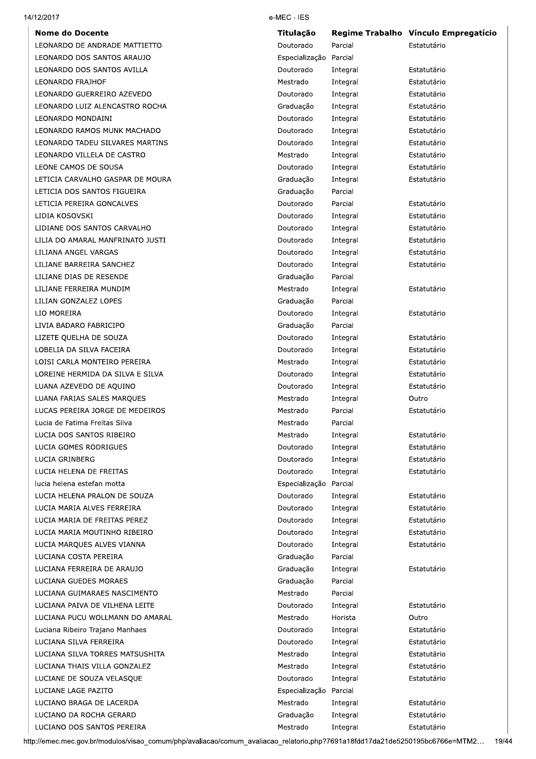#### 14/12/2017

**Nome do Docente** LEONARDO DE ANDRADE MATTIETTO LEONARDO DOS SANTOS ARAUJO LEONARDO DOS SANTOS AVILLA **LEONARDO FRAJHOF** LEONARDO GUERREIRO AZEVEDO LEONARDO LUIZ ALENCASTRO ROCHA LEONARDO MONDAINI LEONARDO RAMOS MUNK MACHADO LEONARDO TADEU SILVARES MARTINS LEONARDO VILLELA DE CASTRO LEONE CAMOS DE SOUSA LETICIA CARVALHO GASPAR DE MOURA LETICIA DOS SANTOS FIGUEIRA LETICIA PEREIRA GONCALVES LIDIA KOSOVSKI LIDIANE DOS SANTOS CARVALHO LILIA DO AMARAL MANFRINATO JUSTI LILIANA ANGEL VARGAS LILIANE BARREIRA SANCHEZ LILIANE DIAS DE RESENDE LILIANE FERREIRA MUNDIM LILIAN GONZALEZ LOPES LIO MOREIRA LIVIA BADARO FABRICIPO LIZETE QUELHA DE SOUZA LOBELIA DA SILVA FACEIRA LOISI CARLA MONTEIRO PEREIRA LOREINE HERMIDA DA SILVA E SILVA LUANA AZEVEDO DE AQUINO LUANA FARIAS SALES MARQUES LUCAS PEREIRA JORGE DE MEDEIROS Lucia de Fatima Freitas Silva LUCIA DOS SANTOS RIBEIRO LUCIA GOMES RODRIGUES LUCIA GRINBERG LUCIA HELENA DE FREITAS lucia helena estefan motta LUCIA HELENA PRALON DE SOUZA LUCIA MARIA ALVES FERREIRA LUCIA MARIA DE FREITAS PEREZ LUCIA MARIA MOUTINHO RIBEIRO LUCIA MARQUES ALVES VIANNA LUCIANA COSTA PEREIRA LUCIANA FERREIRA DE ARAUJO LUCIANA GUEDES MORAES LUCIANA GUIMARAES NASCIMENTO LUCIANA PAIVA DE VILHENA LEITE LUCIANA PUCU WOLLMANN DO AMARAL Luciana Ribeiro Trajano Manhaes LUCIANA SILVA FERREIRA LUCIANA SILVA TORRES MATSUSHITA LUCIANA THAIS VILLA GONZALEZ LUCIANE DE SOUZA VELASOUE LUCIANE LAGE PAZITO LUCIANO BRAGA DE LACERDA LUCIANO DA ROCHA GERARD LUCIANO DOS SANTOS PEREIRA

#### e-MEC - IES

| Titulação      |          | Regime Trabalho Vínculo Empregatício |
|----------------|----------|--------------------------------------|
| Doutorado      | Parcial  | Estatutário                          |
| Especialização | Parcial  |                                      |
| Doutorado      | Integral | Estatutário                          |
| Mestrado       | Integral | Estatutário                          |
| Doutorado      | Integral | Estatutário                          |
| Graduação      | Integral | Estatutário                          |
| Doutorado      | Integral | Estatutário                          |
| Doutorado      | Integral | Estatutário                          |
| Doutorado      | Integral | Estatutário                          |
| Mestrado       | Integral | Estatutário                          |
| Doutorado      | Integral | Estatutário                          |
| Graduação      | Integral | Estatutário                          |
| Graduação      | Parcial  |                                      |
| Doutorado      | Parcial  | Estatutário                          |
| Doutorado      | Integral | Estatutário                          |
| Doutorado      | Integral | Estatutário                          |
| Doutorado      | Integral | Estatutário                          |
| Doutorado      | Integral | Estatutário                          |
| Doutorado      | Integral | Estatutário                          |
| Graduação      | Parcial  |                                      |
| Mestrado       | Integral | Estatutário                          |
| Graduação      | Parcial  |                                      |
| Doutorado      | Integral | Estatutário                          |
| Graduação      | Parcial  |                                      |
| Doutorado      | Integral | Estatutário                          |
| Doutorado      | Integral | Estatutário                          |
| Mestrado       | Integral | Estatutário                          |
| Doutorado      | Integral | Estatutário                          |
| Doutorado      | Integral | Estatutário                          |
| Mestrado       | Integral | Outro                                |
| Mestrado       | Parcial  | Estatutário                          |
| Mestrado       | Parcial  |                                      |
| Mestrado       | Integral | Estatutário                          |
| Doutorado      | Integral | Estatutário                          |
| Doutorado      | Integral | Estatutário                          |
| Doutorado      | Integral | Estatutário                          |
| Especialização | Parcial  |                                      |
| Doutorado      | Integral | Estatutário                          |
| Doutorado      | Integral | Estatutário                          |
| Doutorado      | Integral | Estatutário                          |
| Doutorado      | Integral | Estatutário                          |
| Doutorado      | Integral | Estatutário                          |
| Graduação      | Parcial  |                                      |
| Graduação      | Integral | Estatutário                          |
| Graduação      | Parcial  |                                      |
| Mestrado       | Parcial  |                                      |
| Doutorado      | Integral | Estatutário                          |
| Mestrado       | Horista  | Outro                                |
| Doutorado      | Integral | Estatutário                          |
| Doutorado      | Integral | Estatutário                          |
| Mestrado       | Integral | Estatutário                          |
| Mestrado       | Integral | Estatutário                          |
| Doutorado      | Integral | Estatutário                          |
| Especialização | Parcial  |                                      |
| Mestrado       | Integral | Estatutário                          |
| Graduação      | Integral | Estatutário                          |
| Mestrado       | Integral | Estatutário                          |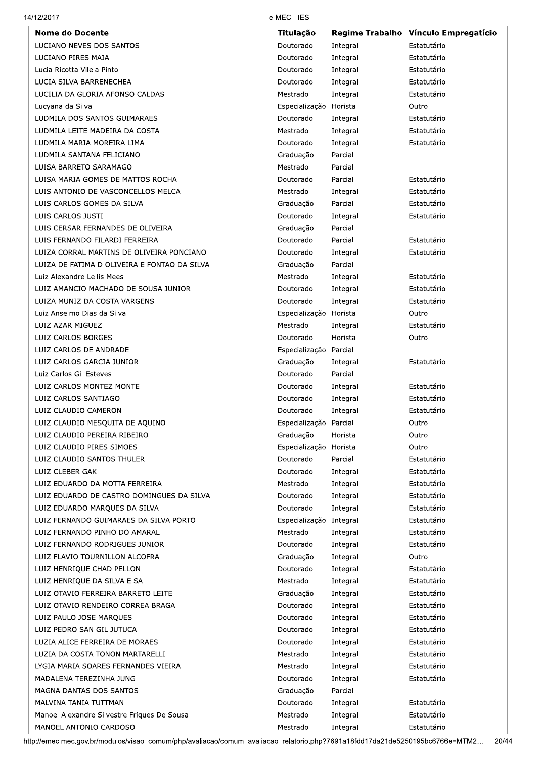| <b>Nome do Docente</b>                                          | <b>Titulacão</b>        |          | Regime Trabalho Vínculo Empregatício |
|-----------------------------------------------------------------|-------------------------|----------|--------------------------------------|
| LUCIANO NEVES DOS SANTOS                                        | Doutorado               | Integral | Estatutário                          |
| LUCIANO PIRES MAIA                                              | Doutorado               | Integral | Estatutário                          |
| Lucia Ricotta Vilela Pinto                                      | Doutorado               | Integral | Estatutário                          |
| LUCIA SILVA BARRENECHEA                                         | Doutorado               | Integral | Estatutário                          |
| LUCILIA DA GLORIA AFONSO CALDAS                                 | Mestrado                | Integral | Estatutário                          |
| Lucyana da Silva                                                | Especialização Horista  |          | Outro                                |
| LUDMILA DOS SANTOS GUIMARAES                                    | Doutorado               | Integral | Estatutário                          |
| LUDMILA LEITE MADEIRA DA COSTA                                  | Mestrado                | Integral | Estatutário                          |
| LUDMILA MARIA MOREIRA LIMA                                      | Doutorado               | Integral | Estatutário                          |
| LUDMILA SANTANA FELICIANO                                       | Graduação               | Parcial  |                                      |
| LUISA BARRETO SARAMAGO                                          | Mestrado                | Parcial  |                                      |
| LUISA MARIA GOMES DE MATTOS ROCHA                               | Doutorado               | Parcial  | Estatutário                          |
| LUIS ANTONIO DE VASCONCELLOS MELCA                              | Mestrado                | Integral | Estatutário                          |
| LUIS CARLOS GOMES DA SILVA                                      | Graduação               | Parcial  | Estatutário                          |
| LUIS CARLOS JUSTI                                               | Doutorado               | Integral | Estatutário                          |
| LUIS CERSAR FERNANDES DE OLIVEIRA                               | Graduação               | Parcial  |                                      |
| LUIS FERNANDO FILARDI FERREIRA                                  | Doutorado               | Parcial  | Estatutário                          |
| LUIZA CORRAL MARTINS DE OLIVEIRA PONCIANO                       | Doutorado               | Integral | Estatutário                          |
| LUIZA DE FATIMA D OLIVEIRA E FONTAO DA SILVA                    | Graduação               | Parcial  |                                      |
| Luiz Alexandre Lellis Mees                                      | Mestrado                | Integral | Estatutário                          |
| LUIZ AMANCIO MACHADO DE SOUSA JUNIOR                            | Doutorado               | Integral | Estatutário                          |
| LUIZA MUNIZ DA COSTA VARGENS                                    | Doutorado               | Integral | Estatutário                          |
| Luiz Anselmo Dias da Silva                                      | Especialização Horista  |          | Outro                                |
| LUIZ AZAR MIGUEZ                                                | Mestrado                | Integral | Estatutário                          |
| LUIZ CARLOS BORGES                                              | Doutorado               | Horista  | Outro                                |
| LUIZ CARLOS DE ANDRADE                                          | Especialização Parcial  |          |                                      |
| LUIZ CARLOS GARCIA JUNIOR                                       | Graduação               | Integral | Estatutário                          |
| Luiz Carlos Gil Esteves                                         | Doutorado               | Parcial  |                                      |
| LUIZ CARLOS MONTEZ MONTE                                        | Doutorado               | Integral | Estatutário                          |
| LUIZ CARLOS SANTIAGO                                            | Doutorado               | Integral | Estatutário                          |
| LUIZ CLAUDIO CAMERON                                            | Doutorado               | Integral | Estatutário                          |
| LUIZ CLAUDIO MESQUITA DE AQUINO                                 | Especialização Parcial  |          | Outro                                |
| LUIZ CLAUDIO PEREIRA RIBEIRO                                    | Graduação               | Horista  | Outro                                |
| LUIZ CLAUDIO PIRES SIMOES                                       | Especialização          | Horista  | Outro                                |
| LUIZ CLAUDIO SANTOS THULER                                      | Doutorado               | Parcial  | Estatutário                          |
| LUIZ CLEBER GAK                                                 | Doutorado               | Integral | Estatutário                          |
| LUIZ EDUARDO DA MOTTA FERREIRA                                  | Mestrado                | Integral | Estatutário                          |
| LUIZ EDUARDO DE CASTRO DOMINGUES DA SILVA                       | Doutorado               | Integral | Estatutário                          |
| LUIZ EDUARDO MARQUES DA SILVA                                   | Doutorado               | Integral | Estatutário                          |
| LUIZ FERNANDO GUIMARAES DA SILVA PORTO                          | Especialização Integral |          | Estatutário                          |
|                                                                 |                         |          |                                      |
| LUIZ FERNANDO PINHO DO AMARAL<br>LUIZ FERNANDO RODRIGUES JUNIOR | Mestrado                | Integral | Estatutário                          |
|                                                                 | Doutorado               | Integral | Estatutário<br>Outro                 |
| LUIZ FLAVIO TOURNILLON ALCOFRA                                  | Graduação               | Integral |                                      |
| LUIZ HENRIQUE CHAD PELLON                                       | Doutorado               | Integral | Estatutário                          |
| LUIZ HENRIQUE DA SILVA E SA                                     | Mestrado                | Integral | Estatutário                          |
| LUIZ OTAVIO FERREIRA BARRETO LEITE                              | Graduação               | Integral | Estatutário                          |
| LUIZ OTAVIO RENDEIRO CORREA BRAGA                               | Doutorado               | Integral | Estatutário                          |
| LUIZ PAULO JOSE MARQUES                                         | Doutorado               | Integral | Estatutário                          |
| LUIZ PEDRO SAN GIL JUTUCA                                       | Doutorado               | Integral | Estatutário                          |
| LUZIA ALICE FERREIRA DE MORAES                                  | Doutorado               | Integral | Estatutário                          |
| LUZIA DA COSTA TONON MARTARELLI                                 | Mestrado                | Integral | Estatutário                          |
| LYGIA MARIA SOARES FERNANDES VIEIRA                             | Mestrado                | Integral | Estatutário                          |
| MADALENA TEREZINHA JUNG                                         | Doutorado               | Integral | Estatutário                          |
| MAGNA DANTAS DOS SANTOS                                         | Graduação               | Parcial  |                                      |
| MALVINA TANIA TUTTMAN                                           | Doutorado               | Integral | Estatutário                          |
| Manoel Alexandre Silvestre Friques De Sousa                     | Mestrado                | Integral | Estatutário                          |
| MANOEL ANTONIO CARDOSO                                          | Mestrado                | Integral | Estatutário                          |

14/12/2017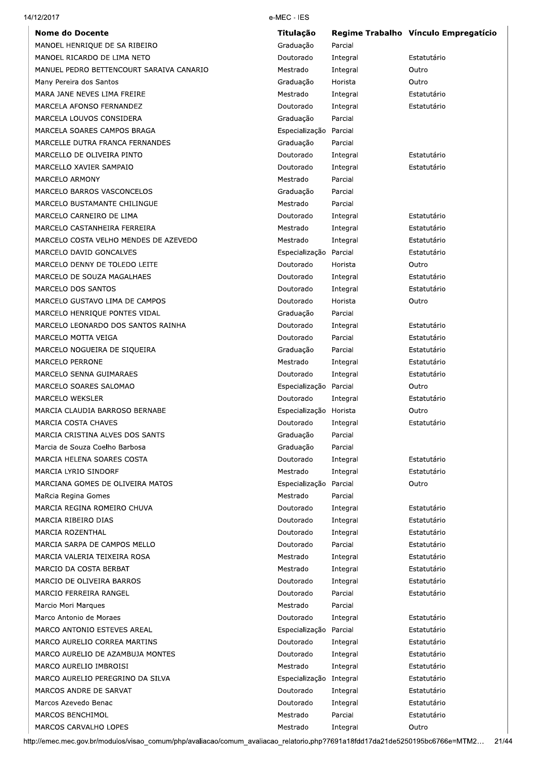#### 14/12/2017

**Nome do Docente** MANOEL HENRIQUE DE SA RIBEIRO MANOEL RICARDO DE LIMA NETO MANUEL PEDRO BETTENCOURT SARAIVA CANARIO Many Pereira dos Santos MARA JANE NEVES LIMA FREIRE MARCELA AFONSO FERNANDEZ MARCELA LOUVOS CONSIDERA MARCELA SOARES CAMPOS BRAGA MARCELLE DUTRA FRANCA FERNANDES MARCELLO DE OLIVEIRA PINTO

MARCELLO XAVIER SAMPAIO

MARCELO DAVID GONCALVES MARCELO DENNY DE TOLEDO LEITE MARCELO DE SOUZA MAGALHAES

MARCELO GUSTAVO LIMA DE CAMPOS MARCELO HENRIQUE PONTES VIDAL MARCELO LEONARDO DOS SANTOS RAINHA

MARCELO NOGUEIRA DE SIQUEIRA

MARCIA CLAUDIA BARROSO BERNABE

MARCIA CRISTINA ALVES DOS SANTS Marcia de Souza Coelho Barbosa MARCIA HELENA SOARES COSTA

MARCIANA GOMES DE OLIVEIRA MATOS

MARCIA REGINA ROMEIRO CHUVA

MARCIA SARPA DE CAMPOS MELLO MARCIA VALERIA TEIXEIRA ROSA MARCIO DA COSTA BERBAT MARCIO DE OLIVEIRA BARROS MARCIO FERREIRA RANGEL Marcio Mori Marques Marco Antonio de Moraes

MARCO ANTONIO ESTEVES AREAL MARCO AURELIO CORREA MARTINS MARCO AURELIO DE AZAMBUJA MONTES

MARCO AURELIO PEREGRINO DA SILVA

MARCO AURELIO IMBROISI

MARCOS ANDRE DE SARVAT Marcos Azevedo Benac MARCOS BENCHIMOL MARCOS CARVALHO LOPES

MARCELO SENNA GUIMARAES MARCELO SOARES SALOMAO

MARCELO DOS SANTOS

MARCELO MOTTA VEIGA

MARCELO PERRONE

MARCELO WEKSLER

MARCIA COSTA CHAVES

MARCIA IYRIO SINDORE

MaRcia Regina Gomes

MARCIA RIBEIRO DIAS MARCIA ROZENTHAL

MARCELO BARROS VASCONCELOS MARCELO BUSTAMANTE CHILINGUE MARCELO CARNEIRO DE LIMA MARCELO CASTANHEIRA FERREIRA

MARCELO COSTA VELHO MENDES DE AZEVEDO

MARCELO ARMONY

#### e-MEC - IES

| Titulação      |          | Regime Trabalho Vínculo Empregatício |
|----------------|----------|--------------------------------------|
| Graduação      | Parcial  |                                      |
| Doutorado      | Integral | Estatutário                          |
| Mestrado       | Integral | Outro                                |
| Graduação      | Horista  | Outro                                |
| Mestrado       | Integral | Estatutário                          |
| Doutorado      | Integral | Estatutário                          |
| Graduação      | Parcial  |                                      |
| Especialização | Parcial  |                                      |
| Graduação      | Parcial  |                                      |
| Doutorado      | Integral | Estatutário                          |
| Doutorado      | Integral | Estatutário                          |
| Mestrado       | Parcial  |                                      |
| Graduação      | Parcial  |                                      |
| Mestrado       | Parcial  |                                      |
| Doutorado      | Integral | Estatutário                          |
| Mestrado       | Integral | Estatutário                          |
| Mestrado       | Integral | Estatutário                          |
| Especialização | Parcial  | Estatutário                          |
| Doutorado      | Horista  | Outro                                |
| Doutorado      | Integral | Estatutário                          |
| Doutorado      | Integral | Estatutário                          |
| Doutorado      | Horista  | Outro                                |
| Graduação      | Parcial  |                                      |
| Doutorado      | Integral | Estatutário                          |
| Doutorado      | Parcial  | Estatutário                          |
| Graduação      | Parcial  | Estatutário                          |
| Mestrado       | Integral | Estatutário                          |
| Doutorado      | Integral | Estatutário                          |
| Especialização | Parcial  | Outro                                |
| Doutorado      | Integral | Estatutário                          |
| Especialização | Horista  | Outro                                |
| Doutorado      | Integral | Estatutário                          |
| Graduação      | Parcial  |                                      |
| Graduação      | Parcial  |                                      |
| Doutorado      | Integral | Estatutário                          |
| Mestrado       | Integral | Estatutário                          |
| Especialização | Parcial  | Outro                                |
| Mestrado       | Parcial  |                                      |
| Doutorado      | Integral | Estatutário                          |
| Doutorado      | Integral | Estatutário                          |
| Doutorado      | Integral | Estatutário                          |
| Doutorado      | Parcial  | Estatutário                          |
| Mestrado       | Integral | Estatutário                          |
| Mestrado       | Integral | Estatutário                          |
| Doutorado      | Integral | Estatutário                          |
| Doutorado      | Parcial  | Estatutário                          |
| Mestrado       | Parcial  |                                      |
| Doutorado      | Integral | Estatutário                          |
| Especialização | Parcial  | Estatutário                          |
| Doutorado      | Integral | Estatutário                          |
| Doutorado      | Integral | Estatutário                          |
| Mestrado       | Integral | Estatutário                          |
| Especialização | Integral | Estatutário                          |
| Doutorado      | Integral | Estatutário                          |
| Doutorado      | Integral | Estatutário                          |
| Mestrado       | Parcial  | Estatutário                          |
| Mestrado       | Integral | Outro                                |
|                |          |                                      |

http://emec.mec.gov.br/modulos/visao\_comum/php/avaliacao/comum\_avaliacao\_relatorio.php?7691a18fdd17da21de5250195bc6766e=MTM2... 21/44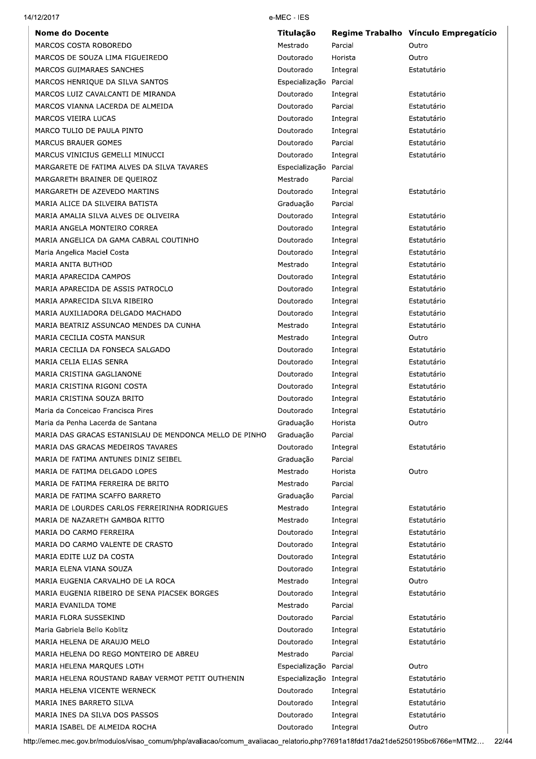| 14/12/2017                                                         | e-MEC - IES             |          |                                      |
|--------------------------------------------------------------------|-------------------------|----------|--------------------------------------|
| <b>Nome do Docente</b>                                             | Titulação               |          | Regime Trabalho Vínculo Empregatício |
| MARCOS COSTA ROBOREDO                                              | Mestrado                | Parcial  | Outro                                |
| MARCOS DE SOUZA LIMA FIGUEIREDO                                    | Doutorado               | Horista  | Outro                                |
| MARCOS GUIMARAES SANCHES                                           | Doutorado               | Integral | Estatutário                          |
| MARCOS HENRIQUE DA SILVA SANTOS                                    | Especialização          | Parcial  |                                      |
| MARCOS LUIZ CAVALCANTI DE MIRANDA                                  | Doutorado               | Integral | Estatutário                          |
| MARCOS VIANNA LACERDA DE ALMEIDA                                   | Doutorado               | Parcial  | Estatutário                          |
| MARCOS VIEIRA LUCAS                                                | Doutorado               | Integral | Estatutário                          |
| MARCO TULIO DE PAULA PINTO                                         | Doutorado               | Integral | Estatutário                          |
| <b>MARCUS BRAUER GOMES</b>                                         | Doutorado               | Parcial  | Estatutário                          |
| MARCUS VINICIUS GEMELLI MINUCCI                                    | Doutorado               | Integral | Estatutário                          |
| MARGARETE DE FATIMA ALVES DA SILVA TAVARES                         | Especialização          | Parcial  |                                      |
| MARGARETH BRAINER DE QUEIROZ                                       | Mestrado                | Parcial  |                                      |
| MARGARETH DE AZEVEDO MARTINS                                       | Doutorado               | Integral | Estatutário                          |
| MARIA ALICE DA SILVEIRA BATISTA                                    | Graduação               | Parcial  |                                      |
| MARIA AMALIA SILVA ALVES DE OLIVEIRA                               | Doutorado               | Integral | Estatutário                          |
| MARIA ANGELA MONTEIRO CORREA                                       | Doutorado               | Integral | Estatutário                          |
| MARIA ANGELICA DA GAMA CABRAL COUTINHO                             | Doutorado               | Integral | Estatutário                          |
| Maria Angelica Maciel Costa                                        | Doutorado               | Integral | Estatutário                          |
| MARIA ANITA BUTHOD                                                 | Mestrado                | Integral | Estatutário                          |
| MARIA APARECIDA CAMPOS                                             | Doutorado               | Integral | Estatutário                          |
| MARIA APARECIDA DE ASSIS PATROCLO                                  | Doutorado               | Integral | Estatutário                          |
| MARIA APARECIDA SILVA RIBEIRO                                      | Doutorado               | Integral | Estatutário                          |
| MARIA AUXILIADORA DELGADO MACHADO                                  | Doutorado               | Integral | Estatutário                          |
| MARIA BEATRIZ ASSUNCAO MENDES DA CUNHA                             | Mestrado                | Integral | Estatutário                          |
| MARIA CECILIA COSTA MANSUR                                         | Mestrado                | Integral | Outro                                |
| MARIA CECILIA DA FONSECA SALGADO                                   | Doutorado               | Integral | Estatutário                          |
| MARIA CELIA ELIAS SENRA                                            | Doutorado               | Integral | Estatutário                          |
| MARIA CRISTINA GAGLIANONE                                          | Doutorado               | Integral | Estatutário                          |
| MARIA CRISTINA RIGONI COSTA                                        | Doutorado               | Integral | Estatutário                          |
| MARIA CRISTINA SOUZA BRITO                                         | Doutorado               | Integral | Estatutário                          |
| Maria da Conceicao Francisca Pires                                 | Doutorado               | Integral | Estatutário                          |
| Maria da Penha Lacerda de Santana                                  | Graduação               | Horista  | Outro                                |
| MARIA DAS GRACAS ESTANISLAU DE MENDONCA MELLO DE PINHO             | Graduação               | Parcial  |                                      |
| MARIA DAS GRACAS MEDEIROS TAVARES                                  | Doutorado               | Integral | Estatutário                          |
| MARIA DE FATIMA ANTUNES DINIZ SEIBEL                               | Graduação               | Parcial  |                                      |
|                                                                    | Mestrado                | Horista  | Outro                                |
| MARIA DE FATIMA DELGADO LOPES<br>MARIA DE FATIMA FERREIRA DE BRITO |                         |          |                                      |
|                                                                    | Mestrado                | Parcial  |                                      |
| MARIA DE FATIMA SCAFFO BARRETO                                     | Graduação               | Parcial  |                                      |
| MARIA DE LOURDES CARLOS FERREIRINHA RODRIGUES                      | Mestrado                | Integral | Estatutário                          |
| MARIA DE NAZARETH GAMBOA RITTO                                     | Mestrado                | Integral | Estatutário                          |
| MARIA DO CARMO FERREIRA                                            | Doutorado               | Integral | Estatutário                          |
| MARIA DO CARMO VALENTE DE CRASTO                                   | Doutorado               | Integral | Estatutário                          |
| MARIA EDITE LUZ DA COSTA                                           | Doutorado               | Integral | Estatutário                          |
| MARIA ELENA VIANA SOUZA                                            | Doutorado               | Integral | Estatutário                          |
| MARIA EUGENIA CARVALHO DE LA ROCA                                  | Mestrado                | Integral | Outro                                |
| MARIA EUGENIA RIBEIRO DE SENA PIACSEK BORGES                       | Doutorado               | Integral | Estatutário                          |
| MARIA EVANILDA TOME                                                | Mestrado                | Parcial  |                                      |
| MARIA FLORA SUSSEKIND                                              | Doutorado               | Parcial  | Estatutário                          |
| Maria Gabriela Bello Koblitz                                       | Doutorado               | Integral | Estatutário                          |
| MARIA HELENA DE ARAUJO MELO                                        | Doutorado               | Integral | Estatutário                          |
| MARIA HELENA DO REGO MONTEIRO DE ABREU                             | Mestrado                | Parcial  |                                      |
| MARIA HELENA MARQUES LOTH                                          | Especialização Parcial  |          | Outro                                |
| MARIA HELENA ROUSTAND RABAY VERMOT PETIT OUTHENIN                  | Especialização Integral |          | Estatutário                          |
| MARIA HELENA VICENTE WERNECK                                       | Doutorado               | Integral | Estatutário                          |
| MARIA INES BARRETO SILVA                                           | Doutorado               | Integral | Estatutário                          |
| MARIA INES DA SILVA DOS PASSOS                                     | Doutorado               | Integral | Estatutário                          |
| MARIA ISABEL DE ALMEIDA ROCHA                                      | Doutorado               | Integral | Outro                                |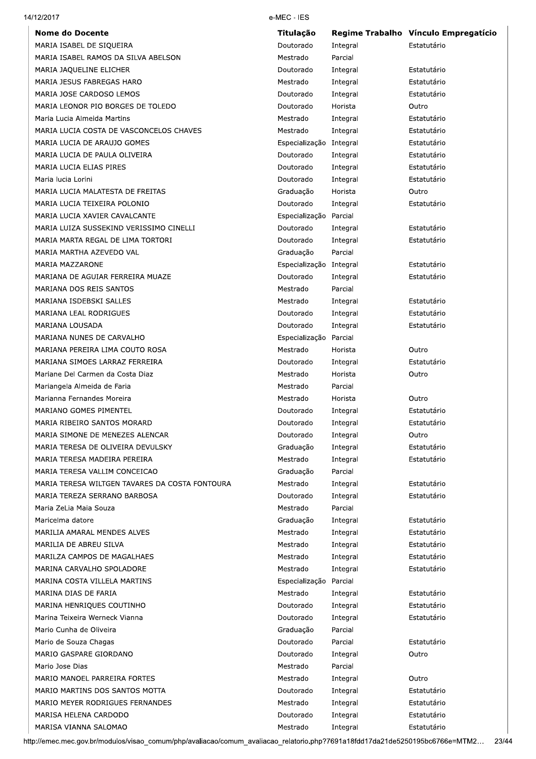| 14/12/2017                                     | e-MEC - IES             |                        |
|------------------------------------------------|-------------------------|------------------------|
| <b>Nome do Docente</b>                         | Titulação               | <b>Regime Trabalho</b> |
| MARIA ISABEL DE SIQUEIRA                       | Doutorado               | Integral               |
| MARIA ISABEL RAMOS DA SILVA ABELSON            | Mestrado                | Parcial                |
| MARIA JAQUELINE ELICHER                        | Doutorado               | Integral               |
| MARIA JESUS FABREGAS HARO                      | Mestrado                | Integral               |
| MARIA JOSE CARDOSO LEMOS                       | Doutorado               | Integral               |
| MARIA LEONOR PIO BORGES DE TOLEDO              | Doutorado               | Horista                |
| Maria Lucia Almeida Martins                    | Mestrado                | Integral               |
| MARIA LUCIA COSTA DE VASCONCELOS CHAVES        | Mestrado                | Integral               |
| MARIA LUCIA DE ARAUJO GOMES                    | Especialização Integral |                        |
| MARIA LUCIA DE PAULA OLIVEIRA                  | Doutorado               | Integral               |
| MARIA LUCIA ELIAS PIRES                        | Doutorado               | Integral               |
| Maria lucia Lorini                             | Doutorado               | Integral               |
| MARIA LUCIA MALATESTA DE FREITAS               | Graduação               | Horista                |
| MARIA LUCIA TEIXEIRA POLONIO                   | Doutorado               | Integral               |
| MARIA LUCIA XAVIER CAVALCANTE                  | Especialização Parcial  |                        |
| MARIA LUIZA SUSSEKIND VERISSIMO CINELLI        | Doutorado               | Integral               |
| MARIA MARTA REGAL DE LIMA TORTORI              | Doutorado               | Integral               |
| MARIA MARTHA AZEVEDO VAL                       | Graduação               | Parcial                |
| MARIA MAZZARONE                                | Especialização Integral |                        |
| MARIANA DE AGUIAR FERREIRA MUAZE               | Doutorado               | Integral               |
| MARIANA DOS REIS SANTOS                        | Mestrado                | Parcial                |
| MARIANA ISDEBSKI SALLES                        | Mestrado                | Integral               |
| <b>MARIANA LEAL RODRIGUES</b>                  | Doutorado               | Integral               |
| MARIANA LOUSADA                                | Doutorado               | Integral               |
| MARIANA NUNES DE CARVALHO                      | Especialização Parcial  |                        |
| MARIANA PEREIRA LIMA COUTO ROSA                | Mestrado                | Horista                |
| MARIANA SIMOES LARRAZ FERREIRA                 | Doutorado               | Integral               |
| Mariane Del Carmen da Costa Diaz               | Mestrado                | Horista                |
| Mariangela Almeida de Faria                    | Mestrado                | Parcial                |
| Marianna Fernandes Moreira                     | Mestrado                | Horista                |
| MARIANO GOMES PIMENTEL                         | Doutorado               | Integral               |
| MARIA RIBEIRO SANTOS MORARD                    | Doutorado               | Integral               |
| MARIA SIMONE DE MENEZES ALENCAR                | Doutorado               | Integral               |
| MARIA TERESA DE OLIVEIRA DEVULSKY              | Graduação               | Integral               |
| MARIA TERESA MADEIRA PEREIRA                   | Mestrado                | Integral               |
| MARIA TERESA VALLIM CONCEICAO                  | Graduação               | Parcial                |
| MARIA TERESA WILTGEN TAVARES DA COSTA FONTOURA | Mestrado                | Integral               |
| MARIA TEREZA SERRANO BARBOSA                   | Doutorado               | Integral               |
| Maria ZeLia Maia Souza                         | Mestrado                | Parcial                |
| Maricelma datore                               | Graduação               | Integral               |
| MARILIA AMARAL MENDES ALVES                    | Mestrado                | Integral               |
| MARILIA DE ABREU SILVA                         | Mestrado                | Integral               |
| MARILZA CAMPOS DE MAGALHAES                    | Mestrado                | Integral               |
| MARINA CARVALHO SPOLADORE                      | Mestrado                | Integral               |
| MARINA COSTA VILLELA MARTINS                   | Especialização Parcial  |                        |
| MARINA DIAS DE FARIA                           | Mestrado                | Integral               |
| MARINA HENRIQUES COUTINHO                      | Doutorado               | Integral               |
| Marina Teixeira Werneck Vianna                 | Doutorado               | Integral               |

Mario Cunha de Oliveira

Mario de Souza Chagas

Mario Jose Dias

MARIO GASPARE GIORDANO

MARISA HELENA CARDODO

MARISA VIANNA SALOMAO

MARIO MANOEL PARREIRA FORTES

MARIO MARTINS DOS SANTOS MOTTA

MARIO MEYER RODRIGUES FERNANDES

| Vínculo Empregatício<br>Estatutário |
|-------------------------------------|
| Estatutário                         |
| Estatutário                         |
| Estatutário                         |
| Outro                               |
|                                     |
| Estatutário                         |
| Estatutário                         |
| Estatutário                         |
| Estatutário                         |
| Estatutário                         |
| Estatutário                         |
| Outro                               |
| Estatutário                         |
| Estatutário                         |
|                                     |
| Estatutário                         |
| Estatutário                         |
| Estatutário                         |
|                                     |
| Estatutário                         |
| Estatutário                         |
| Estatutário                         |
|                                     |
| Outro                               |
| Estatutário                         |
| Outro                               |
|                                     |
| Outro                               |
| Estatutário                         |
| Estatutário                         |
| Outro                               |
| Estatutário                         |
| Estatutário                         |
|                                     |
| Estatutário                         |
| Estatutário                         |
|                                     |
| Estatutário                         |
| Estatutário                         |
| Estatutário                         |
| Estatutário                         |
| Estatutário                         |
|                                     |
| Estatutário                         |
| Estatutário                         |
| Estatutário                         |
|                                     |
| Estatutário                         |
| Outro                               |
|                                     |
| Outro                               |

Estatutário

Estatutário

Estatutário

Estatutário

http://emec.mec.gov.br/modulos/visao\_comum/php/avaliacao/comum\_avaliacao\_relatorio.php?7691a18fdd17da21de5250195bc6766e=MTM2... 23/44

Graduação

Doutorado

Doutorado

Mestrado

Mestrado

Doutorado

Mestrado

Doutorado

Mestrado

Parcial

Parcial

Integral

Parcial

Integral

Integral

Integral

Integral

Integral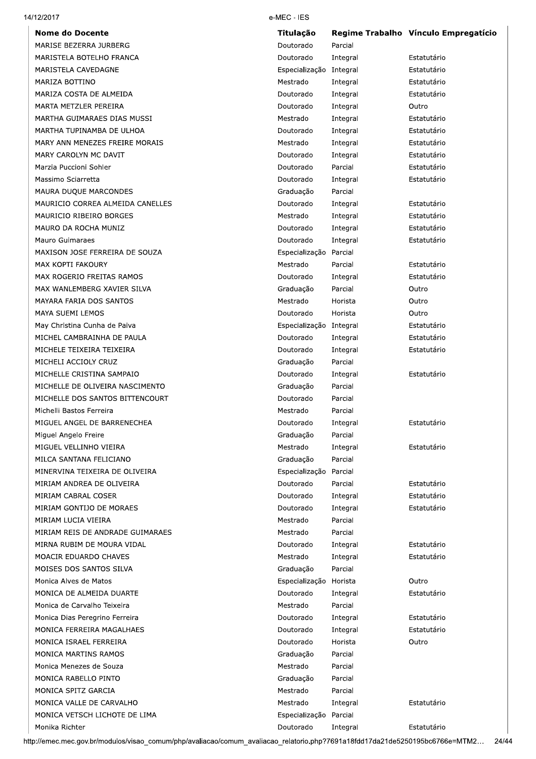| 14/12/2017 |
|------------|
|------------|

**Nome do Docente** MARISE BEZERRA JURBERG MARISTELA BOTELHO FRANCA MARISTELA CAVEDAGNE MARIZA BOTTINO MARIZA COSTA DE ALMEIDA MARTA METZLER PEREIRA MARTHA GUIMARAES DIAS MUSSI MARTHA TUPINAMBA DE ULHOA MARY ANN MENEZES FREIRE MORAIS MARY CAROLYN MC DAVIT Marzia Puccioni Sohler Massimo Sciarretta MAURA DUQUE MARCONDES MAURICIO CORREA ALMEIDA CANELLES MAURICIO RIBEIRO BORGES MAURO DA ROCHA MUNIZ Mauro Guimaraes MAXISON JOSE FERREIRA DE SOUZA MAX KOPTI FAKOURY MAX ROGERIO FREITAS RAMOS MAX WANLEMBERG XAVIER SILVA MAYARA FARIA DOS SANTOS MAYA SUEMI LEMOS May Christina Cunha de Paiva MICHEL CAMBRAINHA DE PAULA MICHELE TEIXEIRA TEIXEIRA MICHELI ACCIOLY CRUZ MICHELLE CRISTINA SAMPAIO MICHELLE DE OLIVEIRA NASCIMENTO MICHELLE DOS SANTOS BITTENCOURT Michelli Bastos Ferreira MIGUEL ANGEL DE BARRENECHEA Miguel Angelo Freire MIGUEL VELLINHO VIEIRA MILCA SANTANA FELICIANO MINERVINA TEIXEIRA DE OLIVEIRA MIRIAM ANDREA DE OLIVEIRA MIRIAM CABRAL COSER MIRIAM GONTIJO DE MORAES MIRIAM LUCIA VIEIRA MIRIAM REIS DE ANDRADE GUIMARAES MIRNA RUBIM DE MOURA VIDAL MOACIR EDUARDO CHAVES MOISES DOS SANTOS SILVA Monica Alves de Matos MONICA DE ALMEIDA DUARTE Monica de Carvalho Teixeira Monica Dias Peregrino Ferreira MONICA FERREIRA MAGALHAES MONICA ISRAEL FERREIRA MONICA MARTINS RAMOS Monica Menezes de Souza MONICA RABELLO PINTO MONICA SPITZ GARCIA MONICA VALLE DE CARVALHO MONICA VETSCH LICHOTE DE LIMA Monika Richter

#### e-MEC - IES

| Titulação      |          | Regime Trabalho Vínculo Empregatício |
|----------------|----------|--------------------------------------|
| Doutorado      | Parcial  |                                      |
| Doutorado      | Integral | Estatutário                          |
| Especialização | Integral | Estatutário                          |
| Mestrado       | Integral | Estatutário                          |
| Doutorado      | Integral | Estatutário                          |
| Doutorado      | Integral | Outro                                |
| Mestrado       | Integral | Estatutário                          |
| Doutorado      | Integral | Estatutário                          |
| Mestrado       | Integral | Estatutário                          |
| Doutorado      | Integral | Estatutário                          |
| Doutorado      | Parcial  | Estatutário                          |
| Doutorado      | Integral | Estatutário                          |
| Graduação      | Parcial  |                                      |
| Doutorado      | Integral | Estatutário                          |
| Mestrado       | Integral | Estatutário                          |
| Doutorado      | Integral | Estatutário                          |
| Doutorado      | Integral | Estatutário                          |
| Especialização | Parcial  |                                      |
| Mestrado       | Parcial  | Estatutário                          |
| Doutorado      | Integral | Estatutário                          |
| Graduação      | Parcial  | Outro                                |
| Mestrado       | Horista  | Outro                                |
| Doutorado      | Horista  | Outro                                |
| Especialização | Integral | Estatutário                          |
| Doutorado      | Integral | Estatutário                          |
| Doutorado      | Integral | Estatutário                          |
| Graduação      | Parcial  |                                      |
| Doutorado      | Integral | Estatutário                          |
| Graduação      | Parcial  |                                      |
| Doutorado      | Parcial  |                                      |
| Mestrado       | Parcial  |                                      |
| Doutorado      | Integral | Estatutário                          |
| Graduação      | Parcial  |                                      |
| Mestrado       | Integral | Estatutário                          |
| Graduação      | Parcial  |                                      |
| Especialização | Parcial  |                                      |
| Doutorado      | Parcial  | Estatutário                          |
| Doutorado      | Integral | Estatutário                          |
| Doutorado      | Integral | Estatutário                          |
| Mestrado       | Parcial  |                                      |
| Mestrado       | Parcial  |                                      |
| Doutorado      | Integral | Estatutário                          |
| Mestrado       | Integral | Estatutário                          |
| Graduação      | Parcial  |                                      |
| Especialização | Horista  | Outro                                |
| Doutorado      | Integral | Estatutário                          |
| Mestrado       | Parcial  |                                      |
| Doutorado      | Integral | Estatutário                          |
| Doutorado      | Integral | Estatutário                          |
| Doutorado      | Horista  | Outro                                |
| Graduação      | Parcial  |                                      |
| Mestrado       | Parcial  |                                      |
| Graduação      | Parcial  |                                      |
| Mestrado       | Parcial  |                                      |
| Mestrado       | Integral | Estatutário                          |
| Especialização | Parcial  |                                      |
| Doutorado      | Integral | Estatutário                          |
|                |          |                                      |

http://emec.mec.gov.br/modulos/visao\_comum/php/avaliacao/comum\_avaliacao\_relatorio.php?7691a18fdd17da21de5250195bc6766e=MTM2... 24/44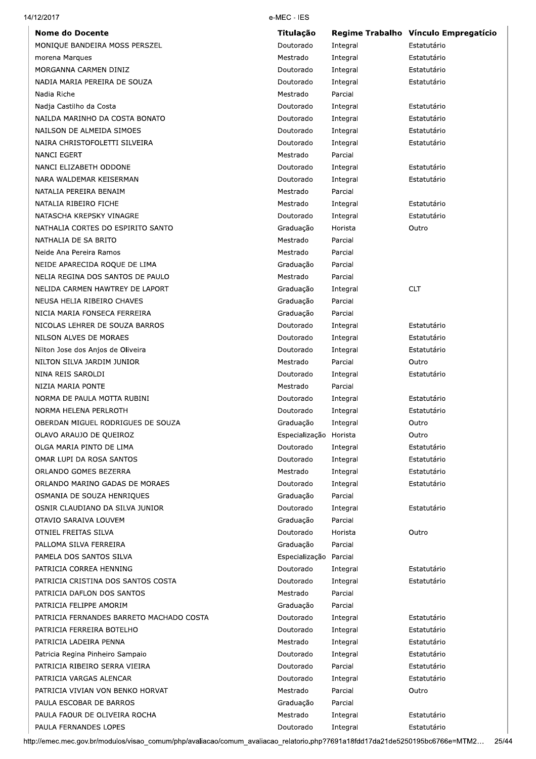| 14/12/2017                               | e-MEC - IES            |          |                                      |
|------------------------------------------|------------------------|----------|--------------------------------------|
| <b>Nome do Docente</b>                   | <b>Titulação</b>       |          | Regime Trabalho Vínculo Empregatício |
| MONIQUE BANDEIRA MOSS PERSZEL            | Doutorado              | Integral | Estatutário                          |
| morena Marques                           | Mestrado               | Integral | Estatutário                          |
| MORGANNA CARMEN DINIZ                    | Doutorado              | Integral | Estatutário                          |
| NADIA MARIA PEREIRA DE SOUZA             | Doutorado              | Integral | Estatutário                          |
| Nadia Riche                              | Mestrado               | Parcial  |                                      |
| Nadja Castilho da Costa                  | Doutorado              | Integral | Estatutário                          |
| NAILDA MARINHO DA COSTA BONATO           | Doutorado              | Integral | Estatutário                          |
| NAILSON DE ALMEIDA SIMOES                | Doutorado              | Integral | Estatutário                          |
| NAIRA CHRISTOFOLETTI SILVEIRA            | Doutorado              | Integral | Estatutário                          |
| <b>NANCI EGERT</b>                       | Mestrado               | Parcial  |                                      |
| NANCI ELIZABETH ODDONE                   | Doutorado              | Integral | Estatutário                          |
| NARA WALDEMAR KEISERMAN                  | Doutorado              | Integral | Estatutário                          |
| NATALIA PEREIRA BENAIM                   | Mestrado               | Parcial  |                                      |
| NATALIA RIBEIRO FICHE                    | Mestrado               | Integral | Estatutário                          |
| NATASCHA KREPSKY VINAGRE                 | Doutorado              | Integral | Estatutário                          |
| NATHALIA CORTES DO ESPIRITO SANTO        | Graduação              | Horista  | Outro                                |
| NATHALIA DE SA BRITO                     | Mestrado               | Parcial  |                                      |
| Neide Ana Pereira Ramos                  | Mestrado               | Parcial  |                                      |
| NEIDE APARECIDA ROQUE DE LIMA            | Graduação              | Parcial  |                                      |
| NELIA REGINA DOS SANTOS DE PAULO         | Mestrado               | Parcial  |                                      |
| NELIDA CARMEN HAWTREY DE LAPORT          | Graduação              | Integral | <b>CLT</b>                           |
| NEUSA HELIA RIBEIRO CHAVES               | Graduação              | Parcial  |                                      |
| NICIA MARIA FONSECA FERREIRA             | Graduação              | Parcial  |                                      |
| NICOLAS LEHRER DE SOUZA BARROS           | Doutorado              | Integral | Estatutário                          |
| NILSON ALVES DE MORAES                   | Doutorado              | Integral | Estatutário                          |
| Nilton Jose dos Anjos de Oliveira        | Doutorado              | Integral | Estatutário                          |
| NILTON SILVA JARDIM JUNIOR               | Mestrado               | Parcial  | Outro                                |
| NINA REIS SAROLDI                        | Doutorado              | Integral | Estatutário                          |
| NIZIA MARIA PONTE                        | Mestrado               | Parcial  |                                      |
| NORMA DE PAULA MOTTA RUBINI              | Doutorado              | Integral | Estatutário                          |
| NORMA HELENA PERLROTH                    | Doutorado              | Integral | Estatutário                          |
| OBERDAN MIGUEL RODRIGUES DE SOUZA        | Graduação              | Integral | Outro                                |
| OLAVO ARAUJO DE QUEIROZ                  | Especialização Horista |          | Outro                                |
| OLGA MARIA PINTO DE LIMA                 | Doutorado              | Integral | Estatutário                          |
| OMAR LUPI DA ROSA SANTOS                 | Doutorado              | Integral | Estatutário                          |
| ORLANDO GOMES BEZERRA                    | Mestrado               |          | Estatutário                          |
| ORLANDO MARINO GADAS DE MORAES           |                        | Integral |                                      |
|                                          | Doutorado              | Integral | Estatutário                          |
| OSMANIA DE SOUZA HENRIOUES               | Graduação              | Parcial  |                                      |
| OSNIR CLAUDIANO DA SILVA JUNIOR          | Doutorado              | Integral | Estatutário                          |
| OTAVIO SARAIVA LOUVEM                    | Graduação              | Parcial  |                                      |
| OTNIEL FREITAS SILVA                     | Doutorado              | Horista  | Outro                                |
| PALLOMA SILVA FERREIRA                   | Graduação              | Parcial  |                                      |
| PAMELA DOS SANTOS SILVA                  | Especialização         | Parcial  |                                      |
| PATRICIA CORREA HENNING                  | Doutorado              | Integral | Estatutário                          |
| PATRICIA CRISTINA DOS SANTOS COSTA       | Doutorado              | Integral | Estatutário                          |
| PATRICIA DAFLON DOS SANTOS               | Mestrado               | Parcial  |                                      |
| PATRICIA FELIPPE AMORIM                  | Graduação              | Parcial  |                                      |
| PATRICIA FERNANDES BARRETO MACHADO COSTA | Doutorado              | Integral | Estatutário                          |
| PATRICIA FERREIRA BOTELHO                | Doutorado              | Integral | Estatutário                          |
| PATRICIA LADEIRA PENNA                   | Mestrado               | Integral | Estatutário                          |
| Patricia Regina Pinheiro Sampaio         | Doutorado              | Integral | Estatutário                          |
| PATRICIA RIBEIRO SERRA VIEIRA            | Doutorado              | Parcial  | Estatutário                          |
| PATRICIA VARGAS ALENCAR                  | Doutorado              | Integral | Estatutário                          |
| PATRICIA VIVIAN VON BENKO HORVAT         | Mestrado               | Parcial  | Outro                                |
| PAULA ESCOBAR DE BARROS                  | Graduação              | Parcial  |                                      |
| PAULA FAOUR DE OLIVEIRA ROCHA            | Mestrado               | Integral | Estatutário                          |
| PAULA FERNANDES LOPES                    | Doutorado              | Integral | Estatutário                          |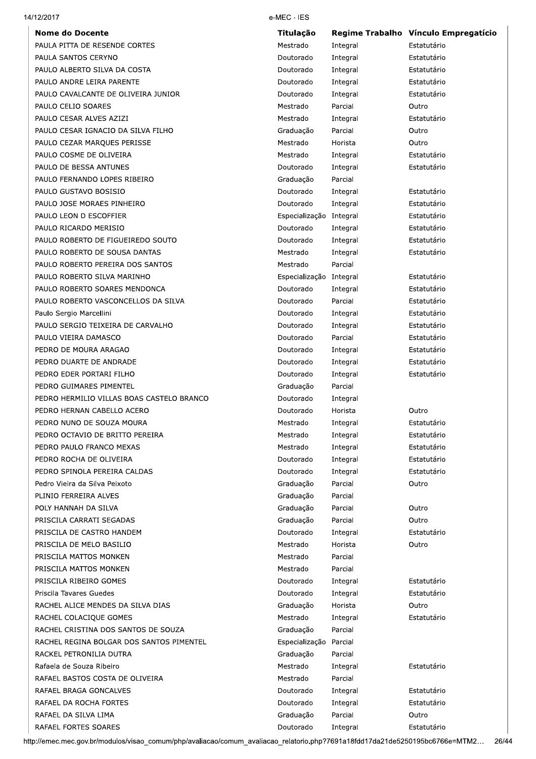| 14/12/2017                                | e-MEC - IES             |                     |                                      |
|-------------------------------------------|-------------------------|---------------------|--------------------------------------|
| <b>Nome do Docente</b>                    | Titulação               |                     | Regime Trabalho Vínculo Empregatício |
| PAULA PITTA DE RESENDE CORTES             | Mestrado                | Integral            | Estatutário                          |
| PAULA SANTOS CERYNO                       | Doutorado               | Integral            | Estatutário                          |
| PAULO ALBERTO SILVA DA COSTA              | Doutorado               | Integral            | Estatutário                          |
| PAULO ANDRE LEIRA PARENTE                 | Doutorado               | Integral            | Estatutário                          |
| PAULO CAVALCANTE DE OLIVEIRA JUNIOR       | Doutorado               | Integral            | Estatutário                          |
| PAULO CELIO SOARES                        | Mestrado                | Parcial             | Outro                                |
| PAULO CESAR ALVES AZIZI                   | Mestrado                | Integral            | Estatutário                          |
| PAULO CESAR IGNACIO DA SILVA FILHO        | Graduação               | Parcial             | Outro                                |
| PAULO CEZAR MARQUES PERISSE               | Mestrado                | Horista             | Outro                                |
| PAULO COSME DE OLIVEIRA                   | Mestrado                | Integral            | Estatutário                          |
| PAULO DE BESSA ANTUNES                    | Doutorado               | Integral            | Estatutário                          |
| PAULO FERNANDO LOPES RIBEIRO              | Graduação               | Parcial             |                                      |
| PAULO GUSTAVO BOSISIO                     | Doutorado               | Integral            | Estatutário                          |
| PAULO JOSE MORAES PINHEIRO                | Doutorado               | Integral            | Estatutário                          |
| PAULO LEON D ESCOFFIER                    | Especialização Integral |                     | Estatutário                          |
| PAULO RICARDO MERISIO                     | Doutorado               | Integral            | Estatutário                          |
| PAULO ROBERTO DE FIGUEIREDO SOUTO         | Doutorado               | Integral            | Estatutário                          |
| PAULO ROBERTO DE SOUSA DANTAS             | Mestrado                | Integral            | Estatutário                          |
| PAULO ROBERTO PEREIRA DOS SANTOS          | Mestrado                | Parcial             |                                      |
| PAULO ROBERTO SILVA MARINHO               | Especialização Integral |                     | Estatutário                          |
| PAULO ROBERTO SOARES MENDONCA             | Doutorado               | Integral            | Estatutário                          |
| PAULO ROBERTO VASCONCELLOS DA SILVA       | Doutorado               | Parcial             | Estatutário                          |
| Paulo Sergio Marcellini                   | Doutorado               | Integral            | Estatutário                          |
| PAULO SERGIO TEIXEIRA DE CARVALHO         | Doutorado               | Integral            | Estatutário                          |
| PAULO VIEIRA DAMASCO                      | Doutorado               | Parcial             | Estatutário                          |
| PEDRO DE MOURA ARAGAO                     | Doutorado               | Integral            | Estatutário                          |
| PEDRO DUARTE DE ANDRADE                   | Doutorado               | Integral            | Estatutário                          |
| PEDRO EDER PORTARI FILHO                  | Doutorado               | Integral            | Estatutário                          |
| PEDRO GUIMARES PIMENTEL                   | Graduação               | Parcial             |                                      |
| PEDRO HERMILIO VILLAS BOAS CASTELO BRANCO | Doutorado               | Integral            |                                      |
| PEDRO HERNAN CABELLO ACERO                | Doutorado               | Horista             | Outro                                |
| PEDRO NUNO DE SOUZA MOURA                 | Mestrado                | Integral            | Estatutário                          |
| PEDRO OCTAVIO DE BRITTO PEREIRA           | Mestrado                | Integral            | Estatutário                          |
| PEDRO PAULO FRANCO MEXAS                  | Mestrado                | Integral            | Estatutário                          |
| PEDRO ROCHA DE OLIVEIRA                   | Doutorado               | Integral            | Estatutário                          |
| PEDRO SPINOLA PEREIRA CALDAS              |                         |                     | Estatutário                          |
| Pedro Vieira da Silva Peixoto             | Doutorado               | Integral<br>Parcial | Outro                                |
|                                           | Graduação               |                     |                                      |
| PLINIO FERREIRA ALVES                     | Graduação               | Parcial             |                                      |
| POLY HANNAH DA SILVA                      | Graduação               | Parcial             | Outro                                |
| PRISCILA CARRATI SEGADAS                  | Graduação               | Parcial             | Outro                                |
| PRISCILA DE CASTRO HANDEM                 | Doutorado               | Integral            | Estatutário                          |
| PRISCILA DE MELO BASILIO                  | Mestrado                | Horista             | Outro                                |
| PRISCILA MATTOS MONKEN                    | Mestrado                | Parcial             |                                      |
| PRISCILA MATTOS MONKEN                    | Mestrado                | Parcial             |                                      |
| PRISCILA RIBEIRO GOMES                    | Doutorado               | Integral            | Estatutário                          |
| Priscila Tavares Guedes                   | Doutorado               | Integral            | Estatutário                          |
| RACHEL ALICE MENDES DA SILVA DIAS         | Graduação               | Horista             | Outro                                |
| RACHEL COLACIQUE GOMES                    | Mestrado                | Integral            | Estatutário                          |
| RACHEL CRISTINA DOS SANTOS DE SOUZA       | Graduação               | Parcial             |                                      |
| RACHEL REGINA BOLGAR DOS SANTOS PIMENTEL  | Especialização          | Parcial             |                                      |
| RACKEL PETRONILIA DUTRA                   | Graduação               | Parcial             |                                      |
| Rafaela de Souza Ribeiro                  | Mestrado                | Integral            | Estatutário                          |
| RAFAEL BASTOS COSTA DE OLIVEIRA           | Mestrado                | Parcial             |                                      |
| RAFAEL BRAGA GONCALVES                    | Doutorado               | Integral            | Estatutário                          |
| RAFAEL DA ROCHA FORTES                    | Doutorado               | Integral            | Estatutário                          |
| RAFAEL DA SILVA LIMA                      | Graduação               | Parcial             | Outro                                |
| RAFAEL FORTES SOARES                      | Doutorado               | Integral            | Estatutário                          |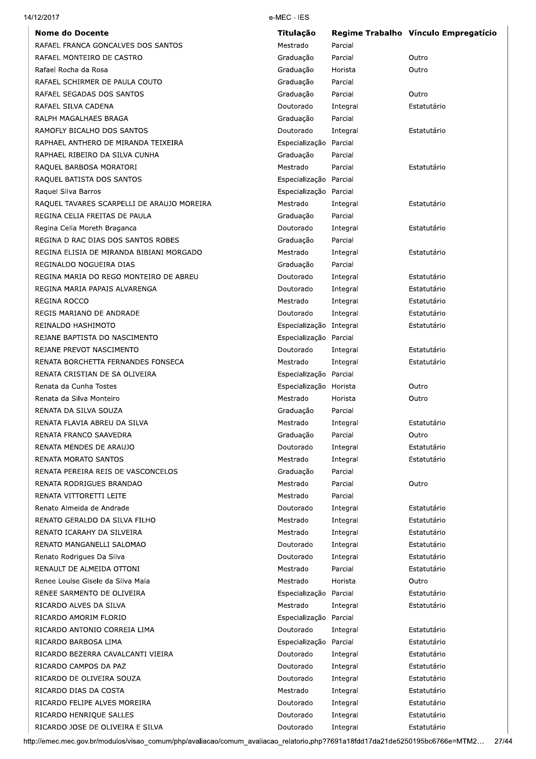| 14/12/2017                                 | e-MEC - IES             |          |                                      |
|--------------------------------------------|-------------------------|----------|--------------------------------------|
| <b>Nome do Docente</b>                     | Titulação               |          | Regime Trabalho Vínculo Empregatício |
| RAFAEL FRANCA GONCALVES DOS SANTOS         | Mestrado                | Parcial  |                                      |
| RAFAEL MONTEIRO DE CASTRO                  | Graduação               | Parcial  | Outro                                |
| Rafael Rocha da Rosa                       | Graduação               | Horista  | Outro                                |
| RAFAEL SCHIRMER DE PAULA COUTO             | Graduação               | Parcial  |                                      |
| RAFAEL SEGADAS DOS SANTOS                  | Graduação               | Parcial  | Outro                                |
| RAFAEL SILVA CADENA                        | Doutorado               | Integral | Estatutário                          |
| RALPH MAGALHAES BRAGA                      | Graduação               | Parcial  |                                      |
| RAMOFLY BICALHO DOS SANTOS                 | Doutorado               | Integral | Estatutário                          |
| RAPHAEL ANTHERO DE MIRANDA TEIXEIRA        | Especialização Parcial  |          |                                      |
| RAPHAEL RIBEIRO DA SILVA CUNHA             | Graduação               | Parcial  |                                      |
| RAQUEL BARBOSA MORATORI                    | Mestrado                | Parcial  | Estatutário                          |
| RAQUEL BATISTA DOS SANTOS                  | Especialização Parcial  |          |                                      |
| Raquel Silva Barros                        | Especialização Parcial  |          |                                      |
| RAQUEL TAVARES SCARPELLI DE ARAUJO MOREIRA | Mestrado                | Integral | Estatutário                          |
| REGINA CELIA FREITAS DE PAULA              | Graduação               | Parcial  |                                      |
| Regina Celia Moreth Braganca               | Doutorado               | Integral | Estatutário                          |
| REGINA D RAC DIAS DOS SANTOS ROBES         | Graduação               | Parcial  |                                      |
| REGINA ELISIA DE MIRANDA BIBIANI MORGADO   | Mestrado                | Integral | Estatutário                          |
| REGINALDO NOGUEIRA DIAS                    | Graduação               | Parcial  |                                      |
| REGINA MARIA DO REGO MONTEIRO DE ABREU     | Doutorado               | Integral | Estatutário                          |
| REGINA MARIA PAPAIS ALVARENGA              | Doutorado               | Integral | Estatutário                          |
| REGINA ROCCO                               | Mestrado                | Integral | Estatutário                          |
| REGIS MARIANO DE ANDRADE                   | Doutorado               | Integral | Estatutário                          |
| REINALDO HASHIMOTO                         | Especialização Integral |          | Estatutário                          |
| REJANE BAPTISTA DO NASCIMENTO              | Especialização Parcial  |          |                                      |
| REJANE PREVOT NASCIMENTO                   | Doutorado               | Integral | Estatutário                          |
| RENATA BORCHETTA FERNANDES FONSECA         | Mestrado                | Integral | Estatutário                          |
| RENATA CRISTIAN DE SA OLIVEIRA             | Especialização Parcial  |          |                                      |
| Renata da Cunha Tostes                     | Especialização Horista  |          | Outro                                |
| Renata da Silva Monteiro                   | Mestrado                | Horista  | Outro                                |
| RENATA DA SILVA SOUZA                      | Graduação               | Parcial  |                                      |
| RENATA FLAVIA ABREU DA SILVA               | Mestrado                | Integral | Estatutário                          |
| RENATA FRANCO SAAVEDRA                     | Graduação               | Parcial  | Outro                                |
| RENATA MENDES DE ARAUJO                    | Doutorado               | Integral | Estatutário                          |
| <b>RENATA MORATO SANTOS</b>                | Mestrado                | Integral | Estatutário                          |
| RENATA PEREIRA REIS DE VASCONCELOS         | Graduação               | Parcial  |                                      |
| RENATA RODRIGUES BRANDAO                   | Mestrado                | Parcial  | Outro                                |
| RENATA VITTORETTI LEITE                    | Mestrado                | Parcial  |                                      |
| Renato Almeida de Andrade                  | Doutorado               | Integral | Estatutário                          |
| RENATO GERALDO DA SILVA FILHO              | Mestrado                | Integral | Estatutário                          |
| RENATO ICARAHY DA SILVEIRA                 | Mestrado                | Integral | Estatutário                          |
| RENATO MANGANELLI SALOMAO                  | Doutorado               | Integral | Estatutário                          |
| Renato Rodrigues Da Silva                  | Doutorado               | Integral | Estatutário                          |
| RENAULT DE ALMEIDA OTTONI                  | Mestrado                | Parcial  | Estatutário                          |
| Renee Louise Gisele da Silva Maia          | Mestrado                | Horista  | Outro                                |
| RENEE SARMENTO DE OLIVEIRA                 | Especialização Parcial  |          | Estatutário                          |
|                                            | Mestrado                |          | Estatutário                          |
| RICARDO ALVES DA SILVA                     |                         | Integral |                                      |
| RICARDO AMORIM FLORIO                      | Especialização Parcial  |          |                                      |
| RICARDO ANTONIO CORREIA LIMA               | Doutorado               | Integral | Estatutário                          |
| RICARDO BARBOSA LIMA                       | Especialização Parcial  |          | Estatutário                          |
| RICARDO BEZERRA CAVALCANTI VIEIRA          | Doutorado               | Integral | Estatutário                          |
| RICARDO CAMPOS DA PAZ                      | Doutorado               | Integral | Estatutário                          |
| RICARDO DE OLIVEIRA SOUZA                  | Doutorado               | Integral | Estatutário                          |
| RICARDO DIAS DA COSTA                      | Mestrado                | Integral | Estatutário                          |
| RICARDO FELIPE ALVES MOREIRA               | Doutorado               | Integral | Estatutário                          |
| RICARDO HENRIQUE SALLES                    | Doutorado               | Integral | Estatutário                          |
| RICARDO JOSE DE OLIVEIRA E SILVA           | Doutorado               | Integral | Estatutário                          |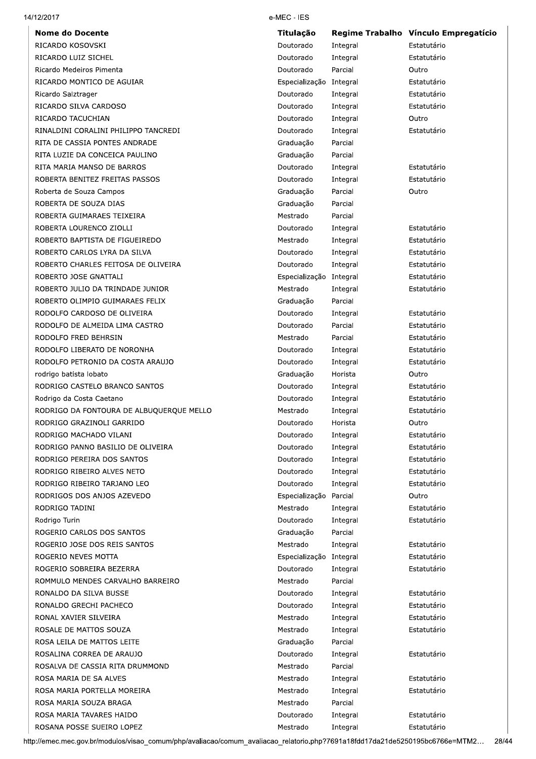| 14/12/2017 |  |
|------------|--|
|            |  |

**Nome do Docente** RICARDO KOSOVSKI RICARDO LUIZ SICHEL Ricardo Medeiros Pimenta RICARDO MONTICO DE AGUIAR Ricardo Salztrager RICARDO SILVA CARDOSO RICARDO TACUCHIAN RINALDINI CORALINI PHILIPPO TANCREDI RITA DE CASSIA PONTES ANDRADE RITA LUZIE DA CONCEICA PAULINO RITA MARIA MANSO DE BARROS ROBERTA BENITEZ FREITAS PASSOS Roberta de Souza Campos ROBERTA DE SOUZA DIAS ROBERTA GUIMARAES TEIXEIRA ROBERTA LOURENCO ZIOLLI ROBERTO BAPTISTA DE FIGUEIREDO ROBERTO CARLOS LYRA DA SILVA ROBERTO CHARLES FEITOSA DE OLIVEIRA ROBERTO JOSE GNATTALI ROBERTO JULIO DA TRINDADE JUNIOR ROBERTO OLIMPIO GUIMARAES FELIX RODOLFO CARDOSO DE OLIVEIRA RODOLFO DE ALMEIDA LIMA CASTRO RODOLEO ERED BEHRSIN RODOLFO LIBERATO DE NORONHA RODOLFO PETRONIO DA COSTA ARAUJO rodrigo batista lobato RODRIGO CASTELO BRANCO SANTOS Rodrigo da Costa Caetano RODRIGO DA FONTOURA DE ALBUQUERQUE MELLO RODRIGO GRAZINOLI GARRIDO RODRIGO MACHADO VILANI RODRIGO PANNO BASILIO DE OLIVEIRA RODRIGO PEREIRA DOS SANTOS RODRIGO RIBEIRO ALVES NETO RODRIGO RIBEIRO TARJANO LEO RODRIGOS DOS ANJOS AZEVEDO RODRIGO TADINI Rodrigo Turin ROGERIO CARLOS DOS SANTOS ROGERIO JOSE DOS REIS SANTOS ROGERIO NEVES MOTTA ROGERIO SOBREIRA BEZERRA ROMMULO MENDES CARVALHO BARREIRO RONALDO DA SILVA BUSSE RONALDO GRECHI PACHECO RONAL XAVIER SILVEIRA ROSALE DE MATTOS SOUZA

ROSA LEILA DE MATTOS LEITE ROSALINA CORREA DE ARAUJO ROSALVA DE CASSIA RITA DRUMMOND

ROSA MARIA DE SA ALVES ROSA MARIA PORTELLA MOREIRA ROSA MARIA SOUZA BRAGA ROSA MARIA TAVARES HAIDO ROSANA POSSE SUEIRO LOPEZ

#### e-MEC - IES

| Titulação      | <b>Regime Trabalho</b> | Vínculo Empregatício |
|----------------|------------------------|----------------------|
| Doutorado      | Integral               | Estatutário          |
| Doutorado      | Integral               | Estatutário          |
| Doutorado      | Parcial                | Outro                |
| Especialização | Integral               | Estatutário          |
| Doutorado      | Integral               | Estatutário          |
| Doutorado      | Integral               | Estatutário          |
| Doutorado      | Integral               | Outro                |
| Doutorado      | Integral               | Estatutário          |
| Graduação      | Parcial                |                      |
| Graduação      | Parcial                |                      |
| Doutorado      | Integral               | Estatutário          |
| Doutorado      | Integral               | Estatutário          |
| Graduação      | Parcial                | Outro                |
| Graduação      | Parcial                |                      |
| Mestrado       | Parcial                |                      |
| Doutorado      | Integral               | Estatutário          |
| Mestrado       | Integral               | Estatutário          |
| Doutorado      | Integral               | Estatutário          |
| Doutorado      | Integral               | Estatutário          |
| Especialização | Integral               | Estatutário          |
| Mestrado       | Integral               | Estatutário          |
| Graduação      | Parcial                |                      |
| Doutorado      | Integral               | Estatutário          |
| Doutorado      | Parcial                | Estatutário          |
| Mestrado       | Parcial                | Estatutário          |
| Doutorado      | Integral               | Estatutário          |
| Doutorado      | Integral               | Estatutário          |
| Graduação      | Horista                | Outro                |
| Doutorado      | Integral               | Estatutário          |
| Doutorado      | Integral               | Estatutário          |
| Mestrado       | Integral               | Estatutário          |
| Doutorado      | Horista                | Outro                |
| Doutorado      | Integral               | Estatutário          |
| Doutorado      | Integral               | Estatutário          |
| Doutorado      | Integral               | Estatutário          |
| Doutorado      | Integral               | Estatutário          |
| Doutorado      | Integral               | Estatutário          |
| Especialização | Parcial                | Outro                |
| Mestrado       | Integral               | Estatutário          |
| Doutorado      | Integral               | Estatutário          |
| Graduação      | Parcial                |                      |
| Mestrado       | Integral               | Estatutário          |
| Especialização | Integral               | Estatutário          |
| Doutorado      | Integral               | Estatutário          |
| Mestrado       | Parcial                |                      |
| Doutorado      | Integral               | Estatutário          |
| Doutorado      | Integral               | Estatutário          |
| Mestrado       | Integral               | Estatutário          |
| Mestrado       | Integral               | Estatutário          |
| Graduação      | Parcial                |                      |
| Doutorado      | Integral               | Estatutário          |
| Mestrado       | Parcial                |                      |
| Mestrado       | Integral               | Estatutário          |
| Mestrado       | Integral               | Estatutário          |
| Mestrado       | Parcial                |                      |
| Doutorado      | Integral               | Estatutário          |
| Mestrado       | Integral               | Estatutário          |
|                |                        |                      |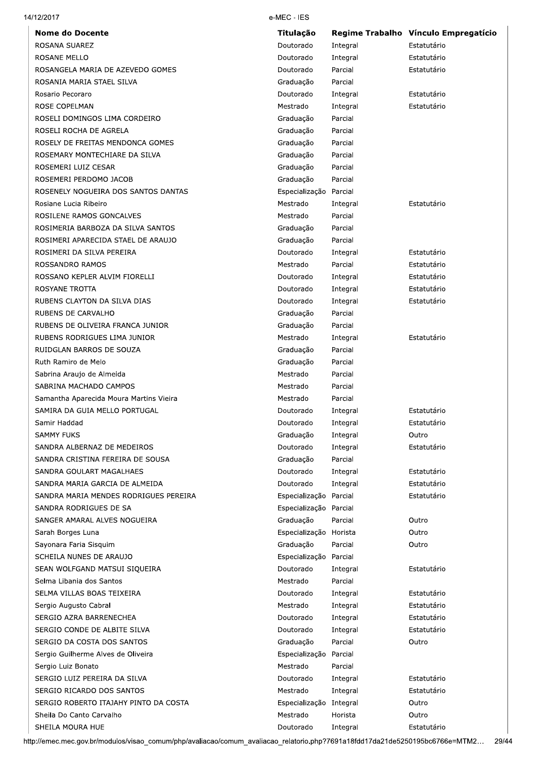|  | 14/12/2017 |
|--|------------|
|--|------------|

| <b>Nome do Docente</b>                  | <b>Titulação</b>        |          | Regime Trabalho Vínculo Empregatício |
|-----------------------------------------|-------------------------|----------|--------------------------------------|
| ROSANA SUAREZ                           | Doutorado               | Integral | Estatutário                          |
| ROSANE MELLO                            | Doutorado               | Integral | Estatutário                          |
| ROSANGELA MARIA DE AZEVEDO GOMES        | Doutorado               | Parcial  | Estatutário                          |
| ROSANIA MARIA STAEL SILVA               | Graduação               | Parcial  |                                      |
| Rosario Pecoraro                        | Doutorado               | Integral | Estatutário                          |
| ROSE COPELMAN                           | Mestrado                | Integral | Estatutário                          |
| ROSELI DOMINGOS LIMA CORDEIRO           | Graduação               | Parcial  |                                      |
| ROSELI ROCHA DE AGRELA                  | Graduação               | Parcial  |                                      |
| ROSELY DE FREITAS MENDONCA GOMES        | Graduação               | Parcial  |                                      |
| ROSEMARY MONTECHIARE DA SILVA           | Graduação               | Parcial  |                                      |
| ROSEMERI LUIZ CESAR                     | Graduação               | Parcial  |                                      |
| ROSEMERI PERDOMO JACOB                  | Graduação               | Parcial  |                                      |
| ROSENELY NOGUEIRA DOS SANTOS DANTAS     | Especialização Parcial  |          |                                      |
| Rosiane Lucia Ribeiro                   | Mestrado                | Integral | Estatutário                          |
| ROSILENE RAMOS GONCALVES                | Mestrado                | Parcial  |                                      |
| ROSIMERIA BARBOZA DA SILVA SANTOS       | Graduação               | Parcial  |                                      |
| ROSIMERI APARECIDA STAEL DE ARAUJO      | Graduação               | Parcial  |                                      |
| ROSIMERI DA SILVA PEREIRA               | Doutorado               | Integral | Estatutário                          |
| ROSSANDRO RAMOS                         | Mestrado                | Parcial  | Estatutário                          |
| ROSSANO KEPLER ALVIM FIORELLI           | Doutorado               | Integral | Estatutário                          |
| ROSYANE TROTTA                          | Doutorado               | Integral | Estatutário                          |
| RUBENS CLAYTON DA SILVA DIAS            | Doutorado               | Integral | Estatutário                          |
| RUBENS DE CARVALHO                      | Graduação               | Parcial  |                                      |
| RUBENS DE OLIVEIRA FRANCA JUNIOR        | Graduação               | Parcial  |                                      |
| RUBENS RODRIGUES LIMA JUNIOR            | Mestrado                | Integral | Estatutário                          |
| RUIDGLAN BARROS DE SOUZA                | Graduação               | Parcial  |                                      |
| Ruth Ramiro de Melo                     | Graduação               | Parcial  |                                      |
| Sabrina Araujo de Almeida               | Mestrado                | Parcial  |                                      |
| SABRINA MACHADO CAMPOS                  | Mestrado                | Parcial  |                                      |
| Samantha Aparecida Moura Martins Vieira | Mestrado                | Parcial  |                                      |
| SAMIRA DA GUIA MELLO PORTUGAL           | Doutorado               | Integral | Estatutário                          |
| Samir Haddad                            | Doutorado               | Integral | Estatutário                          |
| SAMMY FUKS                              | Graduação               | Integral | Outro                                |
| SANDRA ALBERNAZ DE MEDEIROS             | Doutorado               | Integral | Estatutário                          |
| SANDRA CRISTINA FEREIRA DE SOUSA        | Graduação               | Parcial  |                                      |
| SANDRA GOULART MAGALHAES                | Doutorado               | Integral | Estatutário                          |
| SANDRA MARIA GARCIA DE ALMEIDA          | Doutorado               | Integral | Estatutário                          |
| SANDRA MARIA MENDES RODRIGUES PEREIRA   | Especialização Parcial  |          | Estatutário                          |
| SANDRA RODRIGUES DE SA                  | Especialização Parcial  |          |                                      |
| SANGER AMARAL ALVES NOGUEIRA            | Graduação               | Parcial  | Outro                                |
| Sarah Borges Luna                       | Especialização Horista  |          | Outro                                |
| Sayonara Faria Sisquim                  | Graduação               | Parcial  | Outro                                |
| SCHEILA NUNES DE ARAUJO                 | Especialização Parcial  |          |                                      |
| SEAN WOLFGAND MATSUI SIQUEIRA           | Doutorado               | Integral | Estatutário                          |
| Selma Libania dos Santos                | Mestrado                | Parcial  |                                      |
| SELMA VILLAS BOAS TEIXEIRA              | Doutorado               | Integral | Estatutário                          |
| Sergio Augusto Cabral                   | Mestrado                | Integral | Estatutário                          |
| SERGIO AZRA BARRENECHEA                 | Doutorado               | Integral | Estatutário                          |
| SERGIO CONDE DE ALBITE SILVA            | Doutorado               | Integral | Estatutário                          |
| SERGIO DA COSTA DOS SANTOS              | Graduação               | Parcial  | Outro                                |
| Sergio Guilherme Alves de Oliveira      | Especialização          | Parcial  |                                      |
| Sergio Luiz Bonato                      | Mestrado                | Parcial  |                                      |
| SERGIO LUIZ PEREIRA DA SILVA            | Doutorado               | Integral | Estatutário                          |
| SERGIO RICARDO DOS SANTOS               | Mestrado                | Integral | Estatutário                          |
| SERGIO ROBERTO ITAJAHY PINTO DA COSTA   | Especialização Integral |          | Outro                                |
| Sheila Do Canto Carvalho                | Mestrado                | Horista  | Outro                                |
| SHEILA MOURA HUE                        | Doutorado               | Integral | Estatutário                          |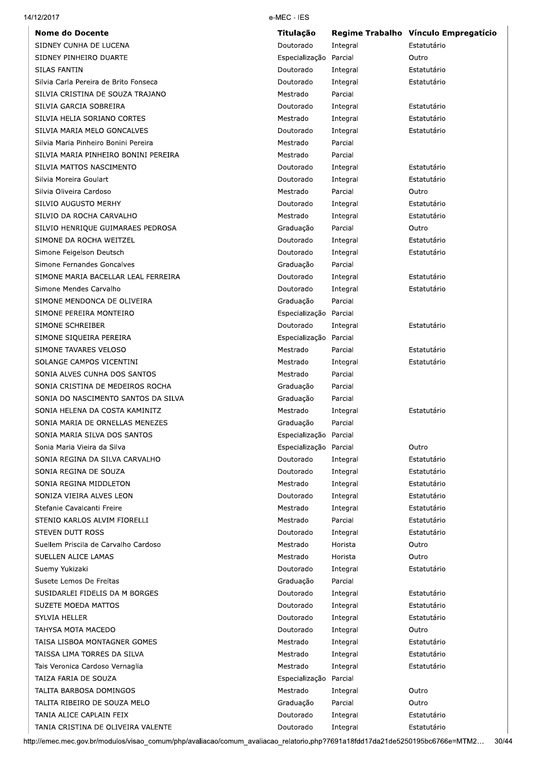**Nome do Docente** SIDNEY CUNHA DE LUCENA SIDNEY PINHEIRO DUARTE SILAS FANTIN Silvia Carla Pereira de Brito Fonseca SILVIA CRISTINA DE SOUZA TRAJANO SILVIA GARCIA SOBREIRA SILVIA HELIA SORIANO CORTES SILVIA MARIA MELO GONCALVES Silvia Maria Pinheiro Bonini Pereira SILVIA MARIA PINHEIRO BONINI PEREIRA SILVIA MATTOS NASCIMENTO Silvia Moreira Goulart Silvia Oliveira Cardoso SILVIO AUGUSTO MERHY SILVIO DA ROCHA CARVALHO SILVIO HENRIQUE GUIMARAES PEDROSA SIMONE DA ROCHA WEITZEL Simone Feigelson Deutsch Simone Fernandes Goncalves SIMONE MARIA BACELLAR LEAL FERREIRA Simone Mendes Carvalho SIMONE MENDONCA DE OLIVEIRA SIMONE PEREIRA MONTEIRO SIMONE SCHREIBER SIMONE SIQUEIRA PEREIRA SIMONE TAVARES VELOSO SOLANGE CAMPOS VICENTINI SONIA ALVES CUNHA DOS SANTOS SONIA CRISTINA DE MEDEIROS ROCHA SONIA DO NASCIMENTO SANTOS DA SILVA SONIA HELENA DA COSTA KAMINITZ SONIA MARIA DE ORNELLAS MENEZES SONIA MARIA SILVA DOS SANTOS Sonia Maria Vieira da Silva SONIA REGINA DA SILVA CARVALHO SONIA REGINA DE SOUZA SONIA REGINA MIDDLETON SONIZA VIEIRA ALVES LEON Stefanie Cavalcanti Freire STENIO KARLOS ALVIM FIORELLI STEVEN DUTT ROSS Suellem Priscila de Carvalho Cardoso SUELLEN ALICE LAMAS Suemy Yukizaki Susete Lemos De Freitas SUSIDARLEI FIDELIS DA M BORGES **SUZETE MOEDA MATTOS SYLVIA HELLER** TAHYSA MOTA MACEDO TAISA LISBOA MONTAGNER GOMES TAISSA LIMA TORRES DA SILVA Tais Veronica Cardoso Vernaglia TAIZA FARIA DE SOUZA TALITA BARBOSA DOMINGOS TALITA RIBEIRO DE SOUZA MELO TANIA ALICE CAPLAIN FEIX

TANIA CRISTINA DE OLIVEIRA VALENTE

e-MEC - IES

| Titulação      | <b>Regime Trabalho</b> | Vínculo Empregatício |
|----------------|------------------------|----------------------|
| Doutorado      | Integral               | Estatutário          |
| Especialização | Parcial                | Outro                |
| Doutorado      | Integral               | Estatutário          |
| Doutorado      | Integral               | Estatutário          |
| Mestrado       | Parcial                |                      |
| Doutorado      | Integral               | Estatutário          |
| Mestrado       | Integral               | Estatutário          |
| Doutorado      | Integral               | Estatutário          |
| Mestrado       | Parcial                |                      |
| Mestrado       | Parcial                |                      |
| Doutorado      | Integral               | Estatutário          |
| Doutorado      | Integral               | Estatutário          |
| Mestrado       | Parcial                | Outro                |
| Doutorado      | Integral               | Estatutário          |
| Mestrado       | Integral               | Estatutário          |
| Graduação      | Parcial                | Outro                |
| Doutorado      | Integral               | Estatutário          |
| Doutorado      | Integral               | Estatutário          |
| Graduação      | Parcial                |                      |
| Doutorado      | Integral               | Estatutário          |
| Doutorado      | Integral               | Estatutário          |
| Graduação      | Parcial                |                      |
| Especialização | Parcial                |                      |
| Doutorado      | Integral               | Estatutário          |
| Especialização | Parcial                |                      |
| Mestrado       | Parcial                | Estatutário          |
| Mestrado       | Integral               | Estatutário          |
| Mestrado       | Parcial                |                      |
| Graduação      | Parcial                |                      |
| Graduação      | Parcial                |                      |
| Mestrado       | Integral               | Estatutário          |
| Graduação      | Parcial                |                      |
| Especialização | Parcial                |                      |
| Especialização | Parcial                | Outro                |
| Doutorado      | Integral               | Estatutário          |
| Doutorado      | Integral               | Estatutário          |
| Mestrado       |                        | Estatutário          |
| Doutorado      | Integral               | Estatutário          |
|                | Integral               | Estatutário          |
| Mestrado       | Integral               |                      |
| Mestrado       | Parcial                | Estatutário          |
| Doutorado      | Integral               | Estatutário          |
| Mestrado       | Horista                | Outro                |
| Mestrado       | Horista                | Outro                |
| Doutorado      | Integral               | Estatutário          |
| Graduação      | Parcial                |                      |
| Doutorado      | Integral               | Estatutário          |
| Doutorado      | Integral               | Estatutário          |
| Doutorado      | Integral               | Estatutário          |
| Doutorado      | Integral               | Outro                |
| Mestrado       | Integral               | Estatutário          |
| Mestrado       | Integral               | Estatutário          |
| Mestrado       | Integral               | Estatutário          |
| Especialização | Parcial                |                      |
| Mestrado       | Integral               | Outro                |
| Graduação      | Parcial                | Outro                |
| Doutorado      | Integral               | Estatutário          |
| Doutorado      | Integral               | Estatutário          |
|                |                        |                      |

http://emec.mec.gov.br/modulos/visao\_comum/php/avaliacao/comum\_avaliacao\_relatorio.php?7691a18fdd17da21de5250195bc6766e=MTM2... 30/44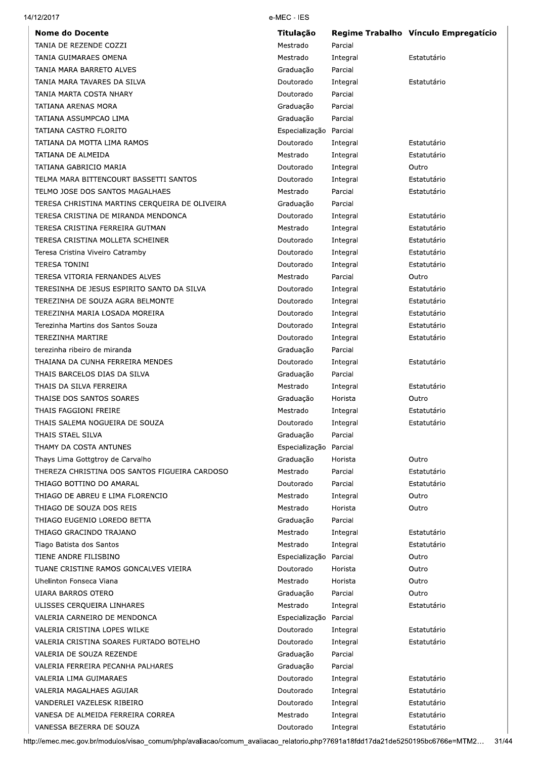| <b>Nome do Docente</b>                         | Titulação      |          | Regime Trabalho Vínculo Empregatício |
|------------------------------------------------|----------------|----------|--------------------------------------|
| TANIA DE REZENDE COZZI                         | Mestrado       | Parcial  |                                      |
| TANIA GUIMARAES OMENA                          | Mestrado       | Integral | Estatutário                          |
| TANIA MARA BARRETO ALVES                       | Graduação      | Parcial  |                                      |
| TANIA MARA TAVARES DA SILVA                    | Doutorado      | Integral | Estatutário                          |
| TANIA MARTA COSTA NHARY                        | Doutorado      | Parcial  |                                      |
| TATIANA ARENAS MORA                            | Graduação      | Parcial  |                                      |
| TATIANA ASSUMPCAO LIMA                         | Graduação      | Parcial  |                                      |
| TATIANA CASTRO FLORITO                         | Especialização | Parcial  |                                      |
| TATIANA DA MOTTA LIMA RAMOS                    | Doutorado      | Integral | Estatutário                          |
| TATIANA DE ALMEIDA                             | Mestrado       | Integral | Estatutário                          |
| TATIANA GABRICIO MARIA                         | Doutorado      | Integral | Outro                                |
| TELMA MARA BITTENCOURT BASSETTI SANTOS         | Doutorado      | Integral | Estatutário                          |
| TELMO JOSE DOS SANTOS MAGALHAES                | Mestrado       | Parcial  | Estatutário                          |
| TERESA CHRISTINA MARTINS CERQUEIRA DE OLIVEIRA | Graduação      | Parcial  |                                      |
| TERESA CRISTINA DE MIRANDA MENDONCA            | Doutorado      | Integral | Estatutário                          |
| TERESA CRISTINA FERREIRA GUTMAN                | Mestrado       | Integral | Estatutário                          |
| TERESA CRISTINA MOLLETA SCHEINER               | Doutorado      | Integral | Estatutário                          |
| Teresa Cristina Viveiro Catramby               | Doutorado      | Integral | Estatutário                          |
| <b>TERESA TONINI</b>                           | Doutorado      | Integral | Estatutário                          |
| TERESA VITORIA FERNANDES ALVES                 | Mestrado       | Parcial  | Outro                                |
| TERESINHA DE JESUS ESPIRITO SANTO DA SILVA     | Doutorado      | Integral | Estatutário                          |
| TEREZINHA DE SOUZA AGRA BELMONTE               | Doutorado      | Integral | Estatutário                          |
| TEREZINHA MARIA LOSADA MOREIRA                 | Doutorado      | Integral | Estatutário                          |
| Terezinha Martins dos Santos Souza             | Doutorado      | Integral | Estatutário                          |
| TEREZINHA MARTIRE                              | Doutorado      | Integral | Estatutário                          |
| terezinha ribeiro de miranda                   | Graduação      | Parcial  |                                      |
| THAIANA DA CUNHA FERREIRA MENDES               | Doutorado      | Integral | Estatutário                          |
| THAIS BARCELOS DIAS DA SILVA                   | Graduação      | Parcial  |                                      |
| THAIS DA SILVA FERREIRA                        | Mestrado       | Integral | Estatutário                          |
| THAISE DOS SANTOS SOARES                       | Graduação      | Horista  | Outro                                |
| THAIS FAGGIONI FREIRE                          | Mestrado       | Integral | Estatutário                          |
| THAIS SALEMA NOGUEIRA DE SOUZA                 | Doutorado      | Integral | Estatutário                          |
| THAIS STAEL SILVA                              | Graduação      | Parcial  |                                      |
| THAMY DA COSTA ANTUNES                         | Especialização | Parcial  |                                      |
| Thays Lima Gottgtroy de Carvalho               | Graduação      | Horista  | Outro                                |
| THEREZA CHRISTINA DOS SANTOS FIGUEIRA CARDOSO  | Mestrado       | Parcial  | Estatutário                          |
| THIAGO BOTTINO DO AMARAL                       | Doutorado      | Parcial  | Estatutário                          |
| THIAGO DE ABREU E LIMA FLORENCIO               | Mestrado       | Integral | Outro                                |
| THIAGO DE SOUZA DOS REIS                       | Mestrado       | Horista  | Outro                                |
| THIAGO EUGENIO LOREDO BETTA                    | Graduação      | Parcial  |                                      |
| THIAGO GRACINDO TRAJANO                        | Mestrado       | Integral | Estatutário                          |
| Tiago Batista dos Santos                       | Mestrado       | Integral | Estatutário                          |
| TIENE ANDRE FILISBINO                          | Especialização | Parcial  | Outro                                |
| TUANE CRISTINE RAMOS GONCALVES VIEIRA          | Doutorado      | Horista  | Outro                                |
| Uhelinton Fonseca Viana                        | Mestrado       | Horista  | Outro                                |
| UIARA BARROS OTERO                             | Graduação      | Parcial  | Outro                                |
| ULISSES CERQUEIRA LINHARES                     | Mestrado       | Integral | Estatutário                          |
| VALERIA CARNEIRO DE MENDONCA                   | Especialização | Parcial  |                                      |
| VALERIA CRISTINA LOPES WILKE                   | Doutorado      | Integral | Estatutário                          |
| VALERIA CRISTINA SOARES FURTADO BOTELHO        | Doutorado      | Integral | Estatutário                          |
| VALERIA DE SOUZA REZENDE                       | Graduação      | Parcial  |                                      |
| VALERIA FERREIRA PECANHA PALHARES              | Graduação      | Parcial  |                                      |
| VALERIA LIMA GUIMARAES                         | Doutorado      | Integral | Estatutário                          |
| VALERIA MAGALHAES AGUIAR                       | Doutorado      | Integral | Estatutário                          |
| VANDERLEI VAZELESK RIBEIRO                     | Doutorado      | Integral | Estatutário                          |
| VANESA DE ALMEIDA FERREIRA CORREA              | Mestrado       | Integral | Estatutário                          |
| VANESSA BEZERRA DE SOUZA                       | Doutorado      | Integral | Estatutário                          |
|                                                |                |          |                                      |

14/12/2017

http://emec.mec.gov.br/modulos/visao\_comum/php/avaliacao/comum\_avaliacao\_relatorio.php?7691a18fdd17da21de5250195bc6766e=MTM2... 31/44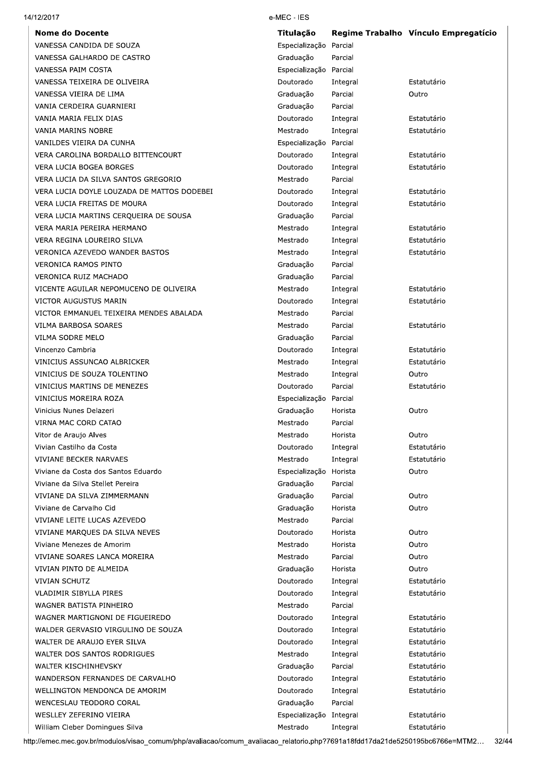| <b>Nome do Docente</b>                     | <b>Titulação</b>        |          | Regime Trabalho Vínculo Empregatício |
|--------------------------------------------|-------------------------|----------|--------------------------------------|
| VANESSA CANDIDA DE SOUZA                   | Especialização          | Parcial  |                                      |
| VANESSA GALHARDO DE CASTRO                 | Graduação               | Parcial  |                                      |
| VANESSA PAIM COSTA                         | Especialização Parcial  |          |                                      |
| VANESSA TEIXEIRA DE OLIVEIRA               | Doutorado               | Integral | Estatutário                          |
| VANESSA VIEIRA DE LIMA                     | Graduação               | Parcial  | Outro                                |
| VANIA CERDEIRA GUARNIERI                   | Graduação               | Parcial  |                                      |
| VANIA MARIA FELIX DIAS                     | Doutorado               | Integral | Estatutário                          |
| VANIA MARINS NOBRE                         | Mestrado                | Integral | Estatutário                          |
| VANILDES VIEIRA DA CUNHA                   | Especialização Parcial  |          |                                      |
| VERA CAROLINA BORDALLO BITTENCOURT         | Doutorado               | Integral | Estatutário                          |
| VERA LUCIA BOGEA BORGES                    | Doutorado               | Integral | Estatutário                          |
| VERA LUCIA DA SILVA SANTOS GREGORIO        | Mestrado                | Parcial  |                                      |
| VERA LUCIA DOYLE LOUZADA DE MATTOS DODEBEI | Doutorado               | Integral | Estatutário                          |
| VERA LUCIA FREITAS DE MOURA                | Doutorado               | Integral | Estatutário                          |
| VERA LUCIA MARTINS CERQUEIRA DE SOUSA      | Graduação               | Parcial  |                                      |
| VERA MARIA PEREIRA HERMANO                 | Mestrado                | Integral | Estatutário                          |
|                                            |                         |          |                                      |
| VERA REGINA LOUREIRO SILVA                 | Mestrado                | Integral | Estatutário                          |
| VERONICA AZEVEDO WANDER BASTOS             | Mestrado                | Integral | Estatutário                          |
| <b>VERONICA RAMOS PINTO</b>                | Graduação               | Parcial  |                                      |
| VERONICA RUIZ MACHADO                      | Graduação               | Parcial  |                                      |
| VICENTE AGUILAR NEPOMUCENO DE OLIVEIRA     | Mestrado                | Integral | Estatutário                          |
| VICTOR AUGUSTUS MARIN                      | Doutorado               | Integral | Estatutário                          |
| VICTOR EMMANUEL TEIXEIRA MENDES ABALADA    | Mestrado                | Parcial  |                                      |
| VILMA BARBOSA SOARES                       | Mestrado                | Parcial  | Estatutário                          |
| VILMA SODRE MELO                           | Graduação               | Parcial  |                                      |
| Vincenzo Cambria                           | Doutorado               | Integral | Estatutário                          |
| VINICIUS ASSUNCAO ALBRICKER                | Mestrado                | Integral | Estatutário                          |
| VINICIUS DE SOUZA TOLENTINO                | Mestrado                | Integral | Outro                                |
| VINICIUS MARTINS DE MENEZES                | Doutorado               | Parcial  | Estatutário                          |
| VINICIUS MOREIRA ROZA                      | Especialização Parcial  |          |                                      |
| Vinicius Nunes Delazeri                    | Graduação               | Horista  | Outro                                |
| VIRNA MAC CORD CATAO                       | Mestrado                | Parcial  |                                      |
| Vitor de Araujo Alves                      | Mestrado                | Horista  | Outro                                |
| Vivian Castilho da Costa                   | Doutorado               | Integral | Estatutário                          |
| VIVIANE BECKER NARVAES                     | Mestrado                | Integral | Estatutário                          |
| Viviane da Costa dos Santos Eduardo        | Especialização          | Horista  | Outro                                |
| Viviane da Silva Stellet Pereira           | Graduação               | Parcial  |                                      |
| VIVIANE DA SILVA ZIMMERMANN                | Graduação               | Parcial  | Outro                                |
| Viviane de Carvalho Cid                    | Graduação               | Horista  | Outro                                |
| VIVIANE LEITE LUCAS AZEVEDO                | Mestrado                | Parcial  |                                      |
| VIVIANE MARQUES DA SILVA NEVES             | Doutorado               | Horista  | Outro                                |
| Viviane Menezes de Amorim                  | Mestrado                | Horista  | Outro                                |
| VIVIANE SOARES LANCA MOREIRA               | Mestrado                | Parcial  | Outro                                |
|                                            |                         |          |                                      |
| VIVIAN PINTO DE ALMEIDA                    | Graduação               | Horista  | Outro                                |
| <b>VIVIAN SCHUTZ</b>                       | Doutorado               | Integral | Estatutário                          |
| VLADIMIR SIBYLLA PIRES                     | Doutorado               | Integral | Estatutário                          |
| WAGNER BATISTA PINHEIRO                    | Mestrado                | Parcial  |                                      |
| WAGNER MARTIGNONI DE FIGUEIREDO            | Doutorado               | Integral | Estatutário                          |
| WALDER GERVASIO VIRGULINO DE SOUZA         | Doutorado               | Integral | Estatutário                          |
| WALTER DE ARAUJO EYER SILVA                | Doutorado               | Integral | Estatutário                          |
| WALTER DOS SANTOS RODRIGUES                | Mestrado                | Integral | Estatutário                          |
| WALTER KISCHINHEVSKY                       | Graduação               | Parcial  | Estatutário                          |
| WANDERSON FERNANDES DE CARVALHO            | Doutorado               | Integral | Estatutário                          |
| WELLINGTON MENDONCA DE AMORIM              | Doutorado               | Integral | Estatutário                          |
| WENCESLAU TEODORO CORAL                    | Graduação               | Parcial  |                                      |
|                                            | Especialização Integral |          | Estatutário                          |
| WESLLEY ZEFERINO VIEIRA                    |                         | Integral | Estatutário                          |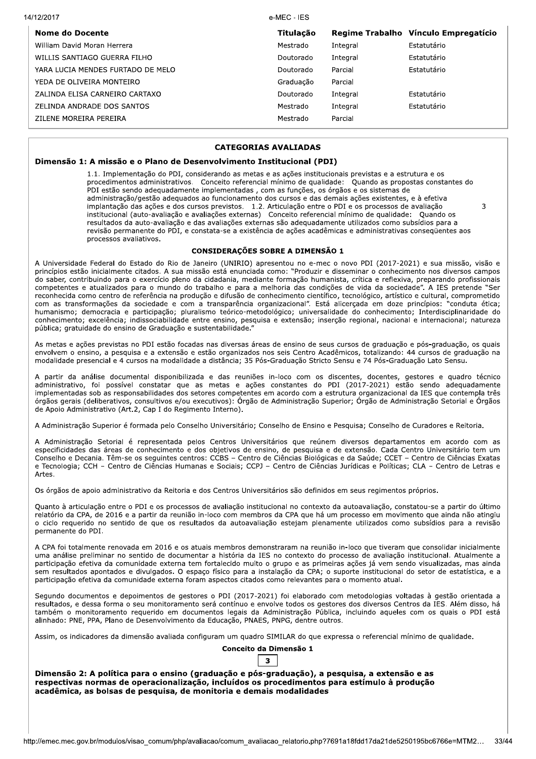| 14/12/2017 |                                   | e-MEC - IES |          |                                      |
|------------|-----------------------------------|-------------|----------|--------------------------------------|
|            | Nome do Docente                   | Titulacão   |          | Regime Trabalho Vínculo Empregatício |
|            | William David Moran Herrera       | Mestrado    | Integral | Estatutário                          |
|            | WILLIS SANTIAGO GUERRA FILHO      | Doutorado   | Integral | Estatutário                          |
|            | YARA LUCIA MENDES FURTADO DE MELO | Doutorado   | Parcial  | Estatutário                          |
|            | YEDA DE OLIVEIRA MONTEIRO         | Graduacão   | Parcial  |                                      |
|            | ZALINDA ELISA CARNEIRO CARTAXO    | Doutorado   | Integral | Estatutário                          |
|            | ZELINDA ANDRADE DOS SANTOS        | Mestrado    | Integral | Estatutário                          |
|            | ZILENE MOREIRA PEREIRA            | Mestrado    | Parcial  |                                      |

### **CATEGORIAS AVALIADAS**

### Dimensão 1: A missão e o Plano de Desenvolvimento Institucional (PDI)

1.1. Implementação do PDI, considerando as metas e as ações institucionais previstas e a estrutura e os procedimentos administrativos. Conceito referencial mínimo de qualidade: Quando as propostas constantes do PDI estão sendo adequadamente implementadas, com as funções, os órgãos e os sistemas de administração/gestão adequados ao funcionamento dos cursos e das demais ações existentes, e à efetiva implantação das ações e dos cursos previstos. 1.2. Articulação entre o PDI e os processos de avaliação  $\overline{\mathbf{z}}$ institucional (auto-avaliação e avaliações externas) Conceito referencial mínimo de qualidade: Quando os resultados da auto-avaliação e das avaliações externas são adequadamente utilizados como subsídios para a revisão permanente do PDI, e constata-se a existência de ações acadêmicas e administrativas consequentes aos processos avaliativos.

### **CONSIDERAÇÕES SOBRE A DIMENSÃO 1**

A Universidade Federal do Estado do Rio de Janeiro (UNIRIO) apresentou no e-mec o novo PDI (2017-2021) e sua missão, visão e princípios estão inicialmente citados. A sua missão está enunciada como: "Produzir e disseminar o conhecimento nos diversos campos do saber, contribuindo para o exercício pleno da cidadania, mediante formação humanista, crítica e reflexiva, preparando profissionais competentes e atualizados para o mundo do trabalho e para a melhoria das condições de vida da sociedade". A IES pretende "Ser reconhecida como centro de referência na produção e difusão de conhecimento científico, tecnológico, artístico e cultural, comprometido com as transformações da sociedade e com a transparência organizacional". Está alicercada em doze princípios: "conduta ética; humanismo; democracia e participação; pluralismo teórico-metodológico; universalidade do conhecimento; Interdisciplinaridade do conhecimento; excelência; indissociabilidade entre ensino, pesquisa e extensão; inserção regional, nacional e internacional; natureza pública; gratuidade do ensino de Graduação e sustentabilidade.

As metas e ações previstas no PDI estão focadas nas diversas áreas de ensino de seus cursos de graduação e pós-graduação, os quais envolvem o ensino, a pesquisa e a extensão e estão organizados nos seis Centro Acadêmicos, totalizando: 44 cursos de graduação na modalidade presencial e 4 cursos na modalidade a distância; 35 Pós-Graduação Stricto Sensu e 74 Pós-Graduação Lato Sensu.

A partir da análise documental disponibilizada e das reuniões in-loco com os discentes, docentes, gestores e quadro técnico administrativo, foi possível constatar que as metas e ações constantes do PDI (2017-2021) estão sendo adequadamente implementadas sob as responsabilidades dos setores competentes em acordo com a estrutura organizacional da IES que contempla três órgãos gerais (deliberativos, consultivos e/ou executivos): Órgão de Administração Superior; Órgão de Administração Setorial e Órgãos de Apoio Administrativo (Art.2, Cap I do Regimento Interno).

A Administração Superior é formada pelo Conselho Universitário; Conselho de Ensino e Pesquisa; Conselho de Curadores e Reitoria.

A Administração Setorial é representada pelos Centros Universitários que reúnem diversos departamentos em acordo com as especificidades das áreas de conhecimento e dos objetivos de ensino, de pesquisa e de extensão. Cada Centro Universitário tem um Conselho e Decania. Têm-se os seguintes centros: CCBS - Centro de Ciências Biológicas e da Saúde; CCET - Centro de Ciências Exatas e Tecnologia; CCH - Centro de Ciências Humanas e Sociais; CCPJ - Centro de Ciências Jurídicas e Políticas; CLA - Centro de Letras e Artes

Os órgãos de apoio administrativo da Reitoria e dos Centros Universitários são definidos em seus regimentos próprios.

Ouanto à articulação entre o PDI e os processos de avaliação institucional no contexto da autoavaliação, constatou-se a partir do último relatório da CPA, de 2016 e a partir da reunião in-loco com membros da CPA que há um processo em movimento que ainda não atingiu o ciclo requerido no sentido de que os resultados da autoavaliação estejam plenamente utilizados como subsídios para a revisão permanente do PDI.

A CPA foi totalmente renovada em 2016 e os atuais membros demonstraram na reunião in-loco que tiveram que consolidar inicialmente uma análise preliminar no sentido de documentar a história da IES no contexto do processo de avaliação institucional. Atualmente a participação efetiva da comunidade externa tem fortalecido muito o grupo e as primeiras ações já vem sendo visualizadas, mas ainda sem resultados apontados e divulgados. O espaço físico para a instalação da CPA; o suporte institucional do setor de estatística, e a participação efetiva da comunidade externa foram aspectos citados como relevantes para o momento atual.

Segundo documentos e depoimentos de gestores o PDI (2017-2021) foi elaborado com metodologias voltadas à gestão orientada a resultados, e dessa forma o seu monitoramento será contínuo e envolve todos os gestores dos diversos Centros da IES. Além disso, há também o monitoramento requerido em documentos legais da Administração Pública, incluindo aqueles com os quais o PDI está alinhado: PNE, PPA, Plano de Desenvolvimento da Educação, PNAES, PNPG, dentre outros.

Assim, os indicadores da dimensão avaliada configuram um quadro SIMILAR do que expressa o referencial mínimo de qualidade.

## Conceito da Dimensão 1

# $\mathbf{z}$

Dimensão 2: A política para o ensino (graduação e pós-graduação), a pesquisa, a extensão e as respectivas normas de operacionalização, incluídos os procedimentos para estímulo à produção acadêmica, as bolsas de pesquisa, de monitoria e demais modalidades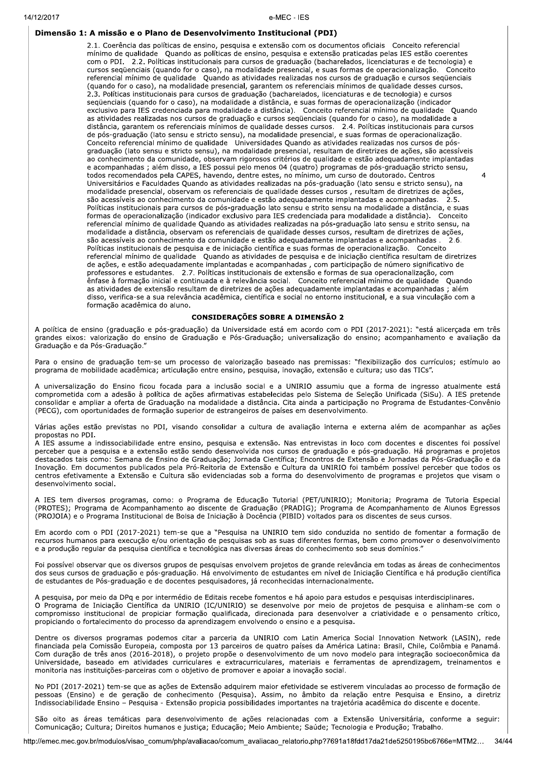### Dimensão 1: A missão e o Plano de Desenvolvimento Institucional (PDI)

2.1. Coerência das políticas de ensino, pesquisa e extensão com os documentos oficiais Conceito referencial mínimo de qualidade Quando as políticas de ensino, pesquisa e extensão praticadas pelas IES estão coerentes com o PDI. 2.2. Políticas institucionais para cursos de graduação (bacharelados, licenciaturas e de tecnologia) e cursos seqüenciais (quando for o caso), na modalidade presencial, e suas formas de operacionalização. Conceito referencial mínimo de qualidade Quando as atividades realizadas nos cursos de graduação e cursos seqüenciais (quando for o caso), na modalidade presencial, garantem os referenciais mínimos de qualidade desses cursos. 2.3. Políticas institucionais para cursos de graduação (bacharelados, licenciaturas e de tecnologia) e cursos seqüenciais (quando for o caso), na modalidade a distância, e suas formas de operacionalização (indicador exclusivo para IES credenciada para modalidade a distância). Conceito referencial mínimo de qualidade Quando as atividades realizadas nos cursos de graduação e cursos seqüenciais (quando for o caso), na modalidade a distância, garantem os referenciais mínimos de qualidade desses cursos.<br>
distância, garantem os referenciais mínimos de qualidade desses cursos.<br>
2.4. Políticas institucionais para cursos de pós-graduação (lato sensu e str Conceito referencial mínimo de qualidade Universidades Quando as atividades realizadas nos cursos de pósgraduação (lato sensu e stricto sensu), na modalidade presencial, resultam de diretrizes de ações, são acessíveis ao conhecimento da comunidade, observam rigorosos critérios de qualidade e estão adequadamente implantadas e acompanhadas ; além disso, a IES possui pelo menos 04 (quatro) programas de pós-graduação stricto sensu, todos recomendados pela CAPES, havendo, dentre estes, no mínimo, um curso de doutorado. Centros Universitários e Faculdades Quando as atividades realizadas na pós-graduação (lato sensu e stricto sensu), na modalidade presencial, observam os referenciais de qualidade desses cursos, resultam de diretrizes de ações, são acessíveis ao conhecimento da comunidade e estão adequadamente implantadas e acompanhadas. 2.5. Políticas institucionais para cursos de pós-graduação lato sensu e strito sensu na modalidade a distância, e suas formas de operacionalização (indicador exclusivo para IES credenciada para modalidade a distância). Conceito referencial mínimo de qualidade Quando as atividades realizadas na pós-graduação lato sensu e strito sensu, na modalidade a distância, observam os referenciais de qualidade desses cursos, resultam de diretrizes de ações, são acessíveis ao conhecimento da comunidade e estão adequadamente implantadas e acompanhadas . 2.6. Políticas institucionais de pesquisa e de iniciação científica e suas formas de operacionalização. Conceito referencial mínimo de qualidade Ouando as atividades de pesquisa e de iniciação científica resultam de diretrizes de ações, e estão adequadamente implantadas e acompanhadas, com participação de número significativo de professores e estudantes. 2.7. Políticas institucionais de extensão e formas de sua operacionalização, com ênfase à formação inicial e continuada e à relevância social. Conceito referencial mínimo de qualidade Quando as atividades de extensão resultam de diretrizes de ações adequadamente implantadas e acompanhadas ; além disso, verifica-se a sua relevância acadêmica, científica e social no entorno institucional, e a sua vinculação com a formação acadêmica do aluno.

 $\overline{4}$ 

#### **CONSIDERAÇÕES SOBRE A DIMENSÃO 2**

A política de ensino (graduação e pós-graduação) da Universidade está em acordo com o PDI (2017-2021): "está alicercada em três grandes eixos: valorização do ensino de Graduação e Pós-Graduação; universalização do ensino; acompanhamento e avaliação da Graduação e da Pós-Graduação."

Para o ensino de graduação tem-se um processo de valorização baseado nas premissas: "flexibilização dos currículos; estímulo ao programa de mobilidade acadêmica; articulação entre ensino, pesquisa, inovação, extensão e cultura; uso das TICs".

A universalização do Ensino ficou focada para a inclusão social e a UNIRIO assumiu que a forma de ingresso atualmente está comprometida com a adesão à política de ações afirmativas estabelecidas pelo Sistema de Seleção Unificada (SiSu). A IES pretende consolidar e ampliar a oferta de Graduação na modalidade a distância. Cita ainda a participação no Programa de Estudantes-Convênio (PECG), com oportunidades de formação superior de estrangeiros de países em desenvolvimento.

Várias ações estão previstas no PDI, visando consolidar a cultura de avaliação interna e externa além de acompanhar as ações propostas no PDI.

A IES assume a indissociabilidade entre ensino, pesquisa e extensão. Nas entrevistas in loco com docentes e discentes foi possível perceber que a pesquisa e a extensão estão sendo desenvolvida nos cursos de graduação e pós-graduação. Há programas e projetos destacados tais como: Semana de Ensino de Graduação; Jornada Científica; Encontros de Extensão e Jornadas da Pós-Graduação e da Inovação. Em documentos publicados pela Pró-Reitoria de Extensão e Cultura da UNIRIO foi também possível perceber que todos os centros efetivamente a Extensão e Cultura são evidenciadas sob a forma do desenvolvimento de programas e projetos que visam o desenvolvimento social.

A IES tem diversos programas, como: o Programa de Educação Tutorial (PET/UNIRIO); Monitoria; Programa de Tutoria Especial (PROTES); Programa de Acompanhamento ao discente de Graduação (PRADIG); Programa de Acompanhamento de Alunos Egressos (PROJOIA) e o Programa Institucional de Bolsa de Iniciação à Docência (PIBID) voltados para os discentes de seus cursos.

Em acordo com o PDI (2017-2021) tem-se que a "Pesquisa na UNIRIO tem sido conduzida no sentido de fomentar a formação de recursos humanos para execução e/ou orientação de pesquisas sob as suas diferentes formas, bem como promover o desenvolvimento e a produção regular da pesquisa científica e tecnológica nas diversas áreas do conhecimento sob seus domínios."

Foi possível observar que os diversos grupos de pesquisas envolvem projetos de grande relevância em todas as áreas de conhecimentos dos seus cursos de graduação e pós-graduação. Há envolvimento de estudantes em nível de Iniciação Científica e há produção científica de estudantes de Pós-graduação e de docentes pesquisadores, já reconhecidas internacionalmente.

A pesquisa, por meio da DPq e por intermédio de Editais recebe fomentos e há apoio para estudos e pesquisas interdisciplinares. O Programa de Iniciação Científica da UNIRIO (IC/UNIRIO) se desenvolve por meio de projetos de pesquisa e alinham-se com o compromisso institucional de propiciar formação qualificada, direcionada para desenvolver a criatividade e o pensamento crítico, propiciando o fortalecimento do processo da aprendizagem envolvendo o ensino e a pesquisa.

Dentre os diversos programas podemos citar a parceria da UNIRIO com Latin America Social Innovation Network (LASIN), rede financiada pela Comissão Europeia, composta por 13 parceiros de quatro países da América Latina: Brasil, Chile, Colômbia e Panamá. Com duração de três anos (2016-2018), o projeto propõe o desenvolvimento de um novo modelo para integração socioeconômica da Universidade, baseado em atividades curriculares e extracurriculares, materiais e ferramentas de aprendizagem, treinamentos e monitoria nas instituições-parceiras com o objetivo de promover e apoiar a inovação social.

No PDI (2017-2021) tem-se que as ações de Extensão adquirem maior efetividade se estiverem vinculadas ao processo de formação de pessoas (Ensino) e de geração de conhecimento (Pesquisa). Assim, no âmbito da relação entre Pesquisa e Ensino, a diretriz Indissociabilidade Ensino - Pesquisa - Extensão propicia possibilidades importantes na trajetória acadêmica do discente e docente.

São oito as áreas temáticas para desenvolvimento de ações relacionadas com a Extensão Universitária, conforme a sequir: Comunicação; Cultura; Direitos humanos e justiça; Educação; Meio Ambiente; Saúde; Tecnologia e Produção; Trabalho.

http://emec.mec.gov.br/modulos/visao\_comum/php/avaliacao/comum\_avaliacao\_relatorio.php?7691a18fdd17da21de5250195bc6766e=MTM2... 34/44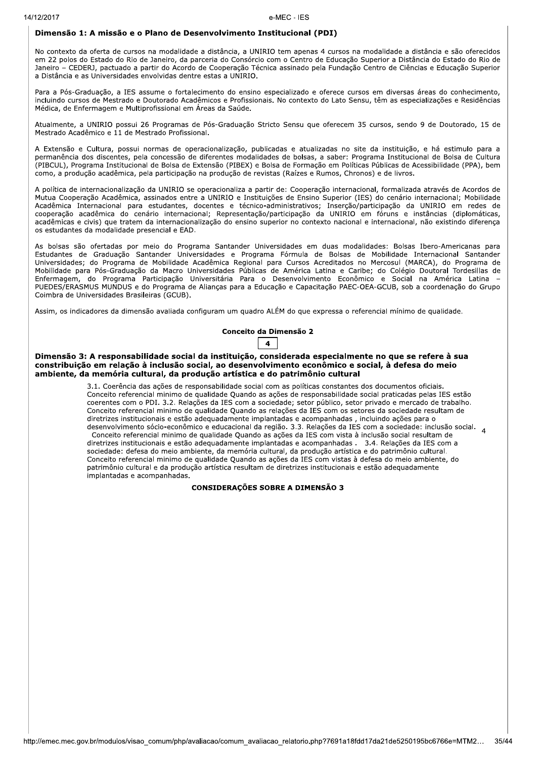### Dimensão 1: A missão e o Plano de Desenvolvimento Institucional (PDI)

No contexto da oferta de cursos na modalidade a distância, a UNIRIO tem apenas 4 cursos na modalidade a distância e são oferecidos em 22 polos do Estado do Rio de Janeiro, da parceria do Consórcio com o Centro de Educação Superior a Distância do Estado do Rio de Janeiro - CEDERJ, pactuado a partir do Acordo de Cooperação Técnica assinado pela Fundação Centro de Ciências e Educação Superior a Distância e as Universidades envolvidas dentre estas a UNIRIO.

Para a Pós-Graduação, a IES assume o fortalecimento do ensino especializado e oferece cursos em diversas áreas do conhecimento. incluindo cursos de Mestrado e Doutorado Acadêmicos e Profissionais. No contexto do Lato Sensu, têm as especializações e Residências Médica, de Enfermagem e Multiprofissional em Áreas da Saúde.

Atualmente, a UNIRIO possui 26 Programas de Pós-Graduação Stricto Sensu que oferecem 35 cursos, sendo 9 de Doutorado, 15 de Mestrado Acadêmico e 11 de Mestrado Profissional.

A Extensão e Cultura, possui normas de operacionalização, publicadas e atualizadas no site da instituição, e há estimulo para a permanência dos discentes, pela concessão de diferentes modalidades de bolsas, a saber: Programa Institucional de Bolsa de Cultura (PIBCUL). Programa Institucional de Bolsa de Extensão (PIBEX) e Bolsa de Formação em Políticas Públicas de Acessibilidade (PPA), bem como, a produção acadêmica, pela participação na produção de revistas (Raízes e Rumos, Chronos) e de livros.

A política de internacionalização da UNIRIO se operacionaliza a partir de: Cooperação internacional, formalizada através de Acordos de Mutua Cooperação Acadêmica, assinados entre a UNIRIO e Instituições de Ensino Superior (IES) do cenário internacional; Mobilidade Acadêmica Internacional para estudantes, docentes e técnico-administrativos; Inserção/participação da UNIRIO em redes de cooperação acadêmica do cenário internacional; Representação/participação da UNIRIO em fóruns e instâncias (diplomáticas, acadêmicas e civis) que tratem da internacionalização do ensino superior no contexto nacional e internacional, não existindo diferença os estudantes da modalidade presencial e EAD.

As bolsas são ofertadas por meio do Programa Santander Universidades em duas modalidades: Bolsas Ibero-Americanas para Estudantes de Graduação Santander Universidades e Programa Fórmula de Bolsas de Mobilidade Internacional Santander Universidades; do Programa de Mobilidade Acadêmica Regional para Cursos Acreditados no Mercosul (MARCA), do Programa de Mobilidade para Pós-Graduação da Macro Universidades Públicas de América Latina e Caribe; do Colégio Doutoral Tordesillas de Enfermagem, do Programa Participação Universitária Para o Desenvolvimento Econômico e Social na América Latina PUEDES/ERASMUS MUNDUS e do Programa de Alianças para a Educação e Capacitação PAEC-OEA-GCUB, sob a coordenação do Grupo Coimbra de Universidades Brasileiras (GCUB).

Assim, os indicadores da dimensão avaliada configuram um quadro ALÉM do que expressa o referencial mínimo de qualidade.

#### Conceito da Dimensão 2



Dimensão 3: A responsabilidade social da instituição, considerada especialmente no que se refere à sua constribuição em relação à inclusão social, ao desenvolvimento econômico e social, à defesa do meio ambiente, da memória cultural, da produção artística e do patrimônio cultural

> 3.1. Coerência das ações de responsabilidade social com as políticas constantes dos documentos oficiais. Conceito referencial minimo de qualidade Quando as ações de responsabilidade social praticadas pelas IES estão coerentes com o PDI. 3.2. Relações da IES com a sociedade; setor público, setor privado e mercado de trabalho. Conceito referencial minimo de qualidade Quando as relações da IES com os setores da sociedade resultam de diretrizes institucionais e estão adequadamente implantadas e acompanhadas, incluindo ações para o desenvolvimento sócio-econômico e educacional da região. 3.3. Relações da IES com a sociedade: inclusão social. 4 Conceito referencial minimo de qualidade Quando as ações da IES com vista à inclusão social resultam de diretrizes institucionais e estão adequadamente implantadas e acompanhadas . 3.4. Relações da IES com a sociedade: defesa do meio ambiente, da memória cultural, da produção artística e do patrimônio cultural. Conceito referencial minimo de qualidade Quando as ações da IES com vistas à defesa do meio ambiente, do patrimônio cultural e da produção artística resultam de diretrizes institucionais e estão adequadamente implantadas e acompanhadas.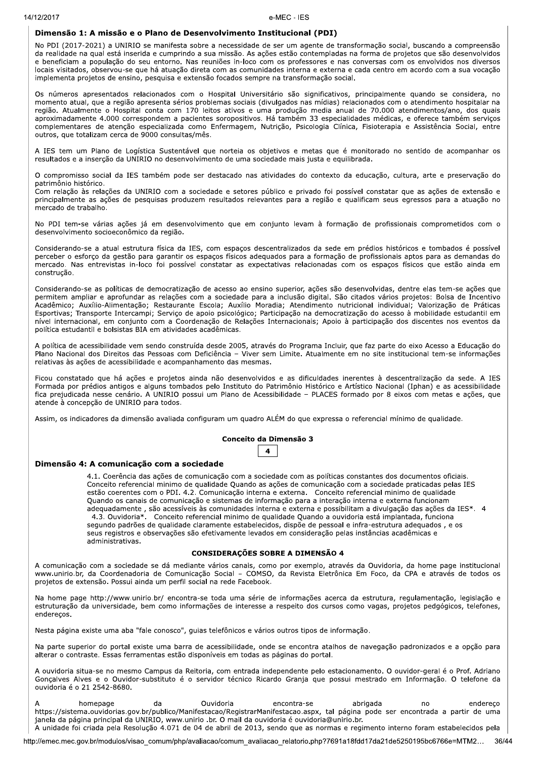### Dimensão 1: A missão e o Plano de Desenvolvimento Institucional (PDI)

No PDI (2017-2021) a UNIRIO se manifesta sobre a necessidade de ser um agente de transformação social, buscando a compreensão da realidade na qual está inserida e cumprindo a sua missão. As ações estão contempladas na forma de projetos que são desenvolvidos e beneficiam a população do seu entorno. Nas reuniões in-loco com os professores e nas conversas com os envolvidos nos diversos locais visitados, observou-se que há atuação direta com as comunidades interna e externa e cada centro em acordo com a sua vocação implementa projetos de ensino, pesquisa e extensão focados sempre na transformação social.

Os números apresentados relacionados com o Hospital Universitário são significativos, principalmente quando se considera, no momento atual, que a região apresenta sérios problemas sociais (divulgados nas mídias) relacionados com o atendimento hospitalar na região. Atualmente o Hospital conta com 170 leitos ativos e uma produção media anual de 70.000 atendimentos/ano, dos quais aproximadamente 4.000 correspondem a pacientes soropositivos. Há também 33 especialidades médicas, e oferece também serviços complementares de atenção especializada como Enfermagem, Nutrição, Psicologia Clínica, Fisioterapia e Assistência Social, entre outros, que totalizam cerca de 9000 consultas/mês.

A IES tem um Plano de Logística Sustentável que norteia os objetivos e metas que é monitorado no sentido de acompanhar os resultados e a inserção da UNIRIO no desenvolvimento de uma sociedade mais justa e equilibrada.

O compromisso social da IES também pode ser destacado nas atividades do contexto da educação, cultura, arte e preservação do patrimônio histórico.

Com relação às relações da UNIRIO com a sociedade e setores público e privado foi possível constatar que as ações de extensão e principalmente as ações de pesquisas produzem resultados relevantes para a região e qualificam seus egressos para a atuação no mercado de trabalho.

No PDI tem-se várias ações já em desenvolvimento que em conjunto levam à formação de profissionais comprometidos com o desenvolvimento socioeconômico da região.

Considerando-se a atual estrutura física da IES, com espaços descentralizados da sede em prédios históricos e tombados é possível perceber o esforço da gestão para garantir os espaços físicos adequados para a formação de profissionais aptos para as demandas do mercado. Nas entrevistas in-loco foi possível constatar as expectativas relacionadas com os espaços físicos que estão ainda em construção.

Considerando-se as políticas de democratização de acesso ao ensino superior, ações são desenvolvidas, dentre elas tem-se ações que permitem ampliar e aprofundar as relações com a sociedade para a inclusão digital. São citados vários projetos: Bolsa de Incentivo Acadêmico; Auxílio-Alimentação; Restaurante Escola; Auxílio Moradia; Atendimento nutricional individual; Valorização de Práticas Esportivas; Transporte Intercampi; Serviço de apoio psicológico; Participação na democratização do acesso à mobilidade estudantil em nível internacional, em conjunto com a Coordenação de Relações Internacionais; Apoio à participação dos discentes nos eventos da política estudantil e bolsistas BIA em atividades acadêmicas.

A política de acessibilidade vem sendo construída desde 2005, através do Programa Incluir, que faz parte do eixo Acesso a Educação do Plano Nacional dos Direitos das Pessoas com Deficiência - Viver sem Limite. Atualmente em no site institucional tem-se informações relativas às ações de acessibilidade e acompanhamento das mesmas.

Ficou constatado que há ações e projetos ainda não desenvolvidos e as dificuldades inerentes à descentralização da sede. A IES Formada por prédios antigos e alguns tombados pelo Instituto do Patrimônio Histórico e Artístico Nacional (Iphan) e as acessibilidade fica prejudicada nesse cenário. A UNIRIO possui um Plano de Acessibilidade - PLACES formado por 8 eixos com metas e ações, que atende à concepção de UNIRIO para todos.

Assim, os indicadores da dimensão avaliada configuram um quadro ALÉM do que expressa o referencial mínimo de qualidade.

#### Conceito da Dimensão 3

|--|

#### Dimensão 4: A comunicação com a sociedade

4.1. Coerência das ações de comunicação com a sociedade com as políticas constantes dos documentos oficiais. Conceito referencial minimo de qualidade Quando as ações de comunicação com a sociedade praticadas pelas IES estão coerentes com o PDI. 4.2. Comunicação interna e externa. Conceito referencial minimo de qualidade Quando os canais de comunicação e sistemas de informação para a interação interna e externa funcionam adequadamente, são acessíveis às comunidades interna e externa e possibilitam a divulgação das ações da IES\*. 4 4.3. Ouvidoria\*. Conceito referencial minimo de qualidade Ouando a ouvidoria está implantada, funciona segundo padrões de qualidade claramente estabelecidos, dispõe de pessoal e infra-estrutura adequados, e os seus registros e observações são efetivamente levados em consideração pelas instâncias acadêmicas e administrativas.

#### **CONSIDERAÇÕES SOBRE A DIMENSÃO 4**

A comunicação com a sociedade se dá mediante vários canais, como por exemplo, através da Ouvidoria, da home page institucional www.unirio.br, da Coordenadoria de Comunicação Social - COMSO, da Revista Eletrônica Em Foco, da CPA e através de todos os projetos de extensão. Possui ainda um perfil social na rede Facebook.

Na home page http://www.unirio.br/ encontra-se toda uma série de informações acerca da estrutura, regulamentação, legislação e estruturação da universidade, bem como informações de interesse a respeito dos cursos como vagas, projetos pedgógicos, telefones, enderecos.

Nesta página existe uma aba "fale conosco", guias telefônicos e vários outros tipos de informação.

Na parte superior do portal existe uma barra de acessibilidade, onde se encontra atalhos de navegação padronizados e a opção para alterar o contraste. Essas ferramentas estão disponíveis em todas as páginas do portal.

A ouvidoria situa-se no mesmo Campus da Reitoria, com entrada independente pelo estacionamento. O ouvidor-geral é o Prof. Adriano Gonçalves Alves e o Ouvidor-substituto é o servidor técnico Ricardo Granja que possui mestrado em Informação. O telefone da ouvidoria é o 21 2542-8680.

Ouvidoria da abrigada endereco homepage encontra-se no https://sistema.ouvidorias.gov.br/publico/Manifestacao/RegistrarManifestacao.aspx, tal página pode ser encontrada a partir de uma janela da página principal da UNIRIO, www.unirio .br. O mail da ouvidoria é ouvidoria@unirio.br. A unidade foi criada pela Resolução 4.071 de 04 de abril de 2013, sendo que as normas e regimento interno foram estabelecidos pela

http://emec.mec.gov.br/modulos/visao\_comum/php/avaliacao/comum\_avaliacao\_relatorio.php?7691a18fdd17da21de5250195bc6766e=MTM2... 36/44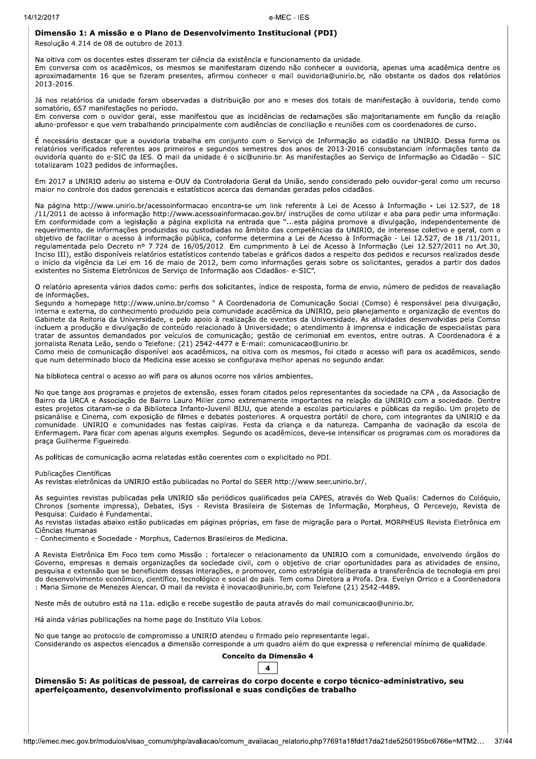### Dimensão 1: A missão e o Plano de Desenvolvimento Institucional (PDI)

Resolução 4.214 de 08 de outubro de 2013.

Na oitiva com os docentes estes disseram ter ciência da existência e funcionamento da unidade. Em conversa com os acadêmicos, os mesmos se manifestaram dizendo não conhecer a ouvidoria, apenas uma acadêmica dentre os aproximadamente 16 que se fizeram presentes, afirmou conhecer o mail ouvidoria@unirio.br, não obstante os dados dos relatórios 2013-2016.

Já nos relatórios da unidade foram observadas a distribuição por ano e meses dos totais de manifestação à ouvidoria, tendo como somatório, 657 manifestações no período.

Em conversa com o ouvidor geral, esse manifestou que as incidências de reclamações são majoritariamente em função da relação aluno-professor e que vem trabalhando principalmente com audiências de conciliação e reuniões com os coordenadores de curso.

É necessário destacar que a ouvidoria trabalha em conjunto com o Serviço de Informação ao cidadão na UNIRIO. Dessa forma os relatórios verificados referentes aos primeiros e segundos semestres dos anos de 2013-2016 consubstanciam informações tanto da ouvidoria quanto do e-SIC da IES. O mail da unidade é o sic@unirio.br. As manifestações ao Servico de Informação ao Cidadão - SIC totalizaram 1023 pedidos de informações.

Em 2017 a UNIRIO aderiu ao sistema e-OUV da Controladoria Geral da União, sendo considerado pelo ouvidor-geral como um recurso maior no controle dos dados gerenciais e estatísticos acerca das demandas geradas pelos cidadãos.

Na página http://www.unirio.br/acessoinformacao encontra-se um link referente à Lei de Acesso à Informação - Lei 12.527, de 18 /11/2011 de acesso à informação http://www.acessoainformacao.gov.br/ instruções de como utilizar e aba para pedir uma informação.<br>Em conformidade com a legislação a página explicita na entrada que "...esta página promove a requerimento, de informações produzidas ou custodiadas no âmbito das competências da UNIRIO, de interesse coletivo e geral, com o objetivo de facilitar o acesso à informação pública, conforme determina a Lei de Acesso à Informação - Lei 12.527, de 18 /11/2011, regulamentada pelo Decreto nº 7.724 de 16/05/2012. Em cumprimento à Lei de Acesso à Informação (Lei 12.527/2011 no Art.30, Inciso III), estão disponíveis relatórios estatísticos contendo tabelas e gráficos dados a respeito dos pedidos e recursos realizados desde o início da vigência da Lei em 16 de maio de 2012, bem como informações gerais sobre os solicitantes, gerados a partir dos dados existentes no Sistema Eletrônicos de Serviço de Informação aos Cidadãos- e-SIC".

O relatório apresenta vários dados como: perfis dos solicitantes, índice de resposta, forma de envio, número de pedidos de reavaliação de informações.

Segundo a homepage http://www.unirio.br/comso " A Coordenadoria de Comunicação Social (Comso) é responsável pela divulgação, interna e externa, do conhecimento produzido pela comunidade acadêmica da UNIRIO, pelo planejamento e organização de eventos do Gabinete da Reitoria da Universidade, e pelo apoio à realização de eventos da Universidade. As atividades desenvolvidas pela Comso incluem a produção e divulgação de conteúdo relacionado à Universidade; o atendimento à imprensa e indicação de especialistas para tratar de assuntos demandados por veículos de comunicação; gestão de cerimonial em eventos, entre outras. A Coordenadora é a jornalista Renata Leão, sendo o Telefone: (21) 2542-4477 e E-mail: comunicacao@unirio.br.

Como meio de comunicação disponível aos acadêmicos, na oitiva com os mesmos, foi citado o acesso wifi para os acadêmicos, sendo que num determinado bloco da Medicina esse acesso se configurava melhor apenas no segundo andar.

Na biblioteca central o acesso ao wifi para os alunos ocorre nos vários ambientes.

No que tange aos programas e projetos de extensão, esses foram citados pelos representantes da sociedade na CPA, da Associação de Bairro da URCA e Associação de Bairro Lauro Miller como extremamente importantes na relação da UNIRIO com a sociedade. Dentre estes projetos citaram-se o da Biblioteca Infanto-Juvenil BIJU, que atende a escolas particulares e públicas da região. Um projeto de psicanálise e Cinema, com exposição de filmes e debates posteriores. A orquestra portátil de choro, com integrantes da UNIRIO e da comunidade. UNIRIO e comunidades nas festas caipiras. Festa da criança e da natureza. Campanha de vacinação da escola de Enfermagem. Para ficar com apenas alguns exemplos. Segundo os acadêmicos, deve-se intensificar os programas com os moradores da praca Guilherme Figueiredo.

As políticas de comunicação acima relatadas estão coerentes com o explicitado no PDI.

Publicações Científicas

As revistas eletrônicas da UNIRIO estão publicadas no Portal do SEER http://www.seer.unirio.br/.

As seguintes revistas publicadas pela UNIRIO são periódicos qualificados pela CAPES, através do Web Qualis: Cadernos do Colóquio, Chronos (somente impressa), Debates, iSys - Revista Brasileira de Sistemas de Informação, Morpheus, O Percevejo, Revista de Pesquisa: Cuidado é Fundamental.

As revistas listadas abaixo estão publicadas em páginas próprias, em fase de migração para o Portal. MORPHEUS Revista Eletrônica em Ciências Humanas

- Conhecimento e Sociedade - Morphus, Cadernos Brasileiros de Medicina.

A Revista Eletrônica Em Foco tem como Missão: fortalecer o relacionamento da UNIRIO com a comunidade, envolvendo órgãos do Governo, empresas e demais organizações da sociedade civil, com o objetivo de criar oportunidades para as atividades de ensino, pesquisa e extensão que se beneficiem dessas interações, e promover, como estratégia deliberada a transferência de tecnologia em prol do desenvolvimento econômico, científico, tecnológico e social do país. Tem como Diretora a Profa. Dra. Evelyn Orrico e a Coordenadora : Maria Simone de Menezes Alencar. O mail da revista é inovacao@unirio.br, com Telefone (21) 2542-4489.

Neste mês de outubro está na 11a. edição e recebe sugestão de pauta através do mail comunicacao@unirio.br.

Há ainda várias pubilicações na home page do Instituto Vila Lobos.

No que tange ao protocolo de compromisso a UNIRIO atendeu o firmado pelo representante legal. Considerando os aspectos elencados a dimensão corresponde a um quadro além do que expressa o referencial mínimo de qualidade.

### Conceito da Dimensão 4

# $\overline{\mathbf{4}}$

Dimensão 5: As políticas de pessoal, de carreiras do corpo docente e corpo técnico-administrativo, seu aperfeiçoamento, desenvolvimento profissional e suas condições de trabalho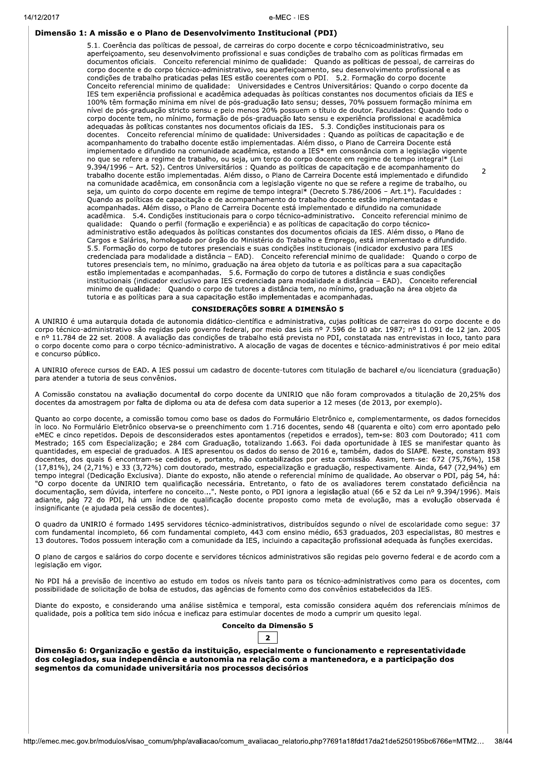### Dimensão 1: A missão e o Plano de Desenvolvimento Institucional (PDI)

5.1. Coerência das políticas de pessoal, de carreiras do corpo docente e corpo técnicoadministrativo, seu aperfeiçoamento, seu desenvolvimento profissional e suas condições de trabalho com as políticas firmadas em documentos oficiais. Conceito referencial minimo de qualidade: Quando as políticas de pessoal, de carreiras do corpo docente e do corpo técnico-administrativo, seu aperfeiçoamento, seu desenvolvimento profissional e as condições de trabalho praticadas pelas IES estão coerentes com o PDI. 5.2. Formação do corpo docente Conceito referencial minimo de qualidade: Universidades e Centros Universitários: Quando o corpo docente da IES tem experiência profissional e acadêmica adequadas às políticas constantes nos documentos oficiais da IES e 100% têm formação mínima em nível de pós-graduação lato sensu; desses, 70% possuem formação mínima em nível de pós-graduação stricto sensu e pelo menos 20% possuem o título de doutor. Faculdades: Quando todo o corpo docente tem, no mínimo, formação de pós-graduação lato sensu e experiência profissional e acadêmica adequadas às políticas constantes nos documentos oficiais da IES. 5.3. Condições institucionais para os docentes. Conceito referencial mínimo de qualidade: Universidades : Quando as políticas de capacitação e de acompanhamento do trabalho docente estão implementadas. Além disso, o Plano de Carreira Docente está implementado e difundido na comunidade acadêmica, estando a IES\* em consonância com a legislação vigente no que se refere a regime de trabalho, ou seja, um terço do corpo docente em regime de tempo integral\* (Lei 9.394/1996 – Art. 52). Centros Universitários : Quando as políticas de capacitação e de acompanhamento do trabalho docente estão implementadas. Além disso, o Plano de Carreira Docente está implementado e difundido na comunidade acadêmica, em consonância com a legislação vigente no que se refere a regime de trabalho, ou seja, um quinto do corpo docente em regime de tempo integral\* (Decreto 5.786/2006 - Art.1°). Faculdades : Quando as políticas de capacitação e de acompanhamento do trabalho docente estão implementadas e acompanhadas. Além disso, o Plano de Carreira Docente está implementado e difundido na comunidade acadêmica. 5.4. Condições institucionais para o corpo técnico-administrativo. Conceito referencial minimo de qualidade: Quando o perfil (formação e experiência) e as políticas de capacitação do corpo técnicoadministrativo estão adequados às políticas constantes dos documentos oficiais da IES. Além disso, o Plano de Cargos e Salários, homologado por órgão do Ministério do Trabalho e Emprego, está implementado e difundido. 5.5. Formação do corpo de tutores presenciais e suas condições institucionais (indicador exclusivo para IES credenciada para modalidade a distância – EAD). Conceito referencial minimo de qualidade: Quando o corpo de tutores presenciais tem, no mínimo, graduação na área objeto da tutoria e as políticas para a sua capacitação estão implementadas e acompanhadas. 5.6. Formação do corpo de tutores a distância e suas condições institucionais (indicador exclusivo para IES credenciada para modalidade a distância - EAD). Conceito referencial minimo de qualidade: Quando o corpo de tutores a distância tem, no mínimo, graduação na área objeto da tutoria e as políticas para a sua capacitação estão implementadas e acompanhadas.

 $\overline{2}$ 

#### **CONSIDERAÇÕES SOBRE A DIMENSÃO 5**

A UNIRIO é uma autarquia dotada de autonomia didático-científica e administrativa, cujas políticas de carreiras do corpo docente e do corpo técnico-administrativo são regidas pelo governo federal, por meio das Leis nº 7.596 de 10 abr. 1987; nº 11.091 de 12 jan. 2005 e nº 11.784 de 22 set. 2008. A avaliação das condições de trabalho está prevista no PDI, constatada nas entrevistas in loco, tanto para o corpo docente como para o corpo técnico-administrativo. A alocação de vagas de docentes e técnico-administrativos é por meio edital e concurso público.

A UNIRIO oferece cursos de EAD. A IES possui um cadastro de docente-tutores com titulação de bacharel e/ou licenciatura (graduação) para atender a tutoria de seus convênios.

A Comissão constatou na avaliação documental do corpo docente da UNIRIO que não foram comprovados a titulação de 20,25% dos docentes da amostragem por falta de diploma ou ata de defesa com data superior a 12 meses (de 2013, por exemplo).

Quanto ao corpo docente, a comissão tomou como base os dados do Formulário Eletrônico e, complementarmente, os dados fornecidos in loco. No Formulário Eletrônico observa-se o preenchimento com 1.716 docentes, sendo 48 (quarenta e oito) com erro apontado pelo eMEC e cinco repetidos. Depois de desconsiderados estes apontamentos (repetidos e errados), tem-se: 803 com Doutorado; 411 com Mestrado; 165 com Especialização; e 284 com Graduação, totalizando 1.663. Foi dada oportunidade à IES se manifestar quanto às quantidades, em especial de graduados. A IES apresentou os dados do senso de 2016 e, também, dados do SIAPE. Neste, constam 893 docentes, dos quais 6 encontram-se cedidos e, portanto, não contabilizados por esta comissão. Assim, tem-se: 672 (75,76%), 158 (17,81%), 24 (2,71%) e 33 (3,72%) com doutorado, mestrado, especialização e graduação, respectivamente. Ainda, 647 (72,94%) em tempo integral (Dedicação Exclusiva). Diante do exposto, não atende o referencial mínimo de qualidade. Ao observar o PDI, pág 54, há: "O corpo docente da UNIRIO tem qualificação necessária. Entretanto, o fato de os avaliadores terem constatado deficiência na documentação, sem dúvida, interfere no conceito...". Neste ponto, o PDI ignora a legislação atual (66 e 52 da Lei nº 9.394/1996). Mais adiante, pág 72 do PDI, há um índice de qualificação docente proposto como meta de evolução, mas a evolução observada é insignificante (e ajudada pela cessão de docentes).

O quadro da UNIRIO é formado 1495 servidores técnico-administrativos, distribuídos segundo o nível de escolaridade como segue: 37 com fundamental incompleto, 66 com fundamental completo, 443 com ensino médio, 653 graduados, 203 especialistas, 80 mestres e 13 doutores. Todos possuem interação com a comunidade da IES, incluindo a capacitação profissional adequada às funções exercidas.

O plano de cargos e salários do corpo docente e servidores técnicos administrativos são regidas pelo governo federal e de acordo com a legislação em vigor.

No PDI há a previsão de incentivo ao estudo em todos os níveis tanto para os técnico-administrativos como para os docentes, com possibilidade de solicitação de bolsa de estudos, das agências de fomento como dos convênios estabelecidos da IES.

Diante do exposto, e considerando uma análise sistêmica e temporal, esta comissão considera aquém dos referenciais mínimos de qualidade, pois a política tem sido inócua e ineficaz para estimular docentes de modo a cumprir um quesito legal.

### Conceito da Dimensão 5  $\overline{2}$

Dimensão 6: Organização e gestão da instituição, especialmente o funcionamento e representatividade dos colegiados, sua independência e autonomia na relação com a mantenedora, e a participação dos segmentos da comunidade universitária nos processos decisórios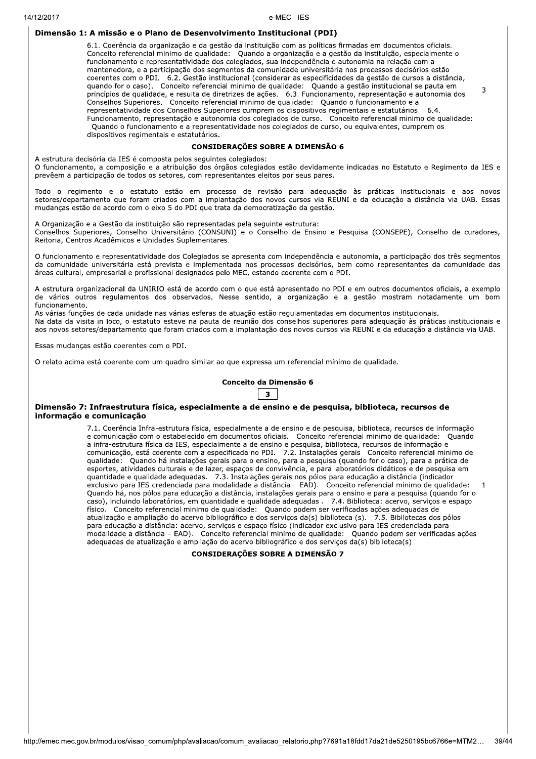### Dimensão 1: A missão e o Plano de Desenvolvimento Institucional (PDI)

6.1. Coerência da organização e da gestão da instituição com as políticas firmadas em documentos oficiais. Conceito referencial minimo de qualidade: Quando a organização e a gestão da instituição, especialmente o funcionamento e representatividade dos colegiados, sua independência e autonomia na relação com a mantenedora, e a participação dos segmentos da comunidade universitária nos processos decisórios estão coerentes com o PDI. 6.2. Gestão institucional (considerar as especificidades da gestão de cursos a distância, quando for o caso). Conceito referencial minimo de qualidade: Quando a gestão institucional se pauta em 3 princípios de qualidade, e resulta de diretrizes de ações. 6.3. Funcionamento, representação e autonomia dos Conselhos Superiores. Conceito referencial minimo de qualidade: Quando o funcionamento e a representatividade dos Conselhos Superiores cumprem os dispositivos regimentais e estatutários.  $6.4.$ Funcionamento, representação e autonomia dos colegiados de curso. Conceito referencial minimo de qualidade: Quando o funcionamento e a representatividade nos colegiados de curso, ou equivalentes, cumprem os dispositivos regimentais e estatutários.

### **CONSIDERAÇÕES SOBRE A DIMENSÃO 6**

A estrutura decisória da IES é composta pelos seguintes colegiados: O funcionamento, a composição e a atribuição dos órgãos colegiados estão devidamente indicadas no Estatuto e Regimento da IES e prevêem a participação de todos os setores, com representantes eleitos por seus pares.

Todo o regimento e o estatuto estão em processo de revisão para adequação às práticas institucionais e aos novos setores/departamento que foram criados com a implantação dos novos cursos via REUNI e da educação a distância via UAB. Essas mudanças estão de acordo com o eixo 5 do PDI que trata da democratização da gestão.

A Organização e a Gestão da instituição são representadas pela seguinte estrutura: Conselhos Superiores, Conselho Universitário (CONSUNI) e o Conselho de Ensino e Pesquisa (CONSEPE), Conselho de curadores, Reitoria, Centros Acadêmicos e Unidades Suplementares.

O funcionamento e representatividade dos Colegiados se apresenta com independência e autonomia, a participação dos três segmentos da comunidade universitária está prevista e implementada nos processos decisórios, bem como representantes da comunidade das áreas cultural, empresarial e profissional designados pelo MEC, estando coerente com o PDI.

A estrutura organizacional da UNIRIO está de acordo com o que está apresentado no PDI e em outros documentos oficiais, a exemplo de vários outros regulamentos dos observados. Nesse sentido, a organização e a gestão mostram notadamente um bom funcionamento

As várias funções de cada unidade nas várias esferas de atuação estão regulamentadas em documentos institucionais. Na data da visita in loco, o estatuto esteve na pauta de reunião dos conselhos superiores para adequação às práticas institucionais e aos novos setores/departamento que foram criados com a implantação dos novos cursos via REUNI e da educação a distância via UAB.

Essas mudanças estão coerentes com o PDI.

O relato acima está coerente com um quadro similar ao que expressa um referencial mínimo de qualidade.

# Conceito da Dimensão 6  $3<sup>1</sup>$

### Dimensão 7: Infraestrutura física, especialmente a de ensino e de pesquisa, biblioteca, recursos de informação e comunicação

7.1. Coerência Infra-estrutura física, especialmente a de ensino e de pesquisa, biblioteca, recursos de informação e comunicação com o estabelecido em documentos oficiais. Conceito referencial minimo de qualidade: Quando a infra-estrutura física da IES, especialmente a de ensino e pesquisa, biblioteca, recursos de informação e comunicação, está coerente com a especificada no PDI. 7.2. Instalações gerais Conceito referencial minimo de qualidade: Quando há instalações gerais para o ensino, para a pesquisa (quando for o caso), para a prática de esportes, atividades culturais e de lazer, espaços de convivência, e para laboratórios didáticos e de pesquisa em quantidade e qualidade adequadas. 7.3. Instalações gerais nos pólos para educação a distância (indicador exclusivo para IES credenciada para modalidade a distância - EAD). Conceito referencial minimo de qualidade: Quando há, nos pólos para educação a distância, instalações gerais para o ensino e para a pesquisa (quando for o caso), incluindo laboratórios, em quantidade e qualidade adequadas . 7.4. Biblioteca: acervo, serviços e espaço<br>físico. Conceito referencial minimo de qualidade: Quando podem ser verificadas ações adequadas de atualização e ampliação do acervo bibliográfico e dos serviços da(s) biblioteca (s). 7.5. Bibliotecas dos pólos para educação a distância: acervo, serviços e espaço físico (indicador exclusivo para IES credenciada para modalidade a distância - EAD). Conceito referencial minimo de qualidade: Quando podem ser verificadas ações adequadas de atualização e ampliação do acervo bibliográfico e dos serviços da(s) biblioteca(s)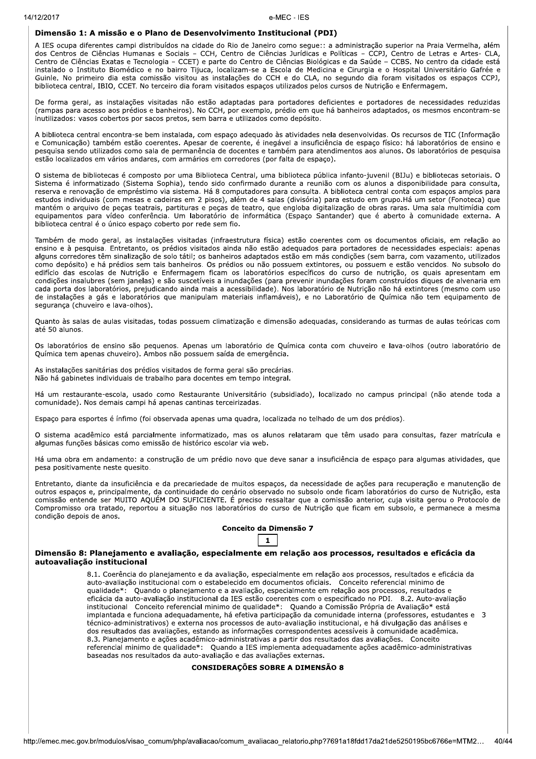### Dimensão 1: A missão e o Plano de Desenvolvimento Institucional (PDI)

A IES ocupa diferentes campi distribuídos na cidade do Rio de Janeiro como segue:: a administração superior na Praia Vermelha, além dos Centros de Ciências Humanas e Sociais - CCH, Centro de Ciências Jurídicas e Políticas - CCPJ, Centro de Letras e Artes- CLA, Centro de Ciências Exatas e Tecnologia – CCET) e parte do Centro de Ciências Biológicas e da Saúde – CCBS. No centro da cidade está instalado o Instituto Biomédico e no bairro Tijuca, localizam-se a Escola de Medicina e Cirurgia e o Hospital Universitário Gafrée e Guinle. No primeiro dia esta comissão visitou as instalações do CCH e do CLA, no segundo dia foram visitados os espaços CCPJ, biblioteca central, IBIO, CCET. No terceiro dia foram visitados espaços utilizados pelos cursos de Nutrição e Enfermagem.

De forma geral, as instalações visitadas não estão adaptadas para portadores deficientes e portadores de necessidades reduzidas (rampas para acesso aos prédios e banheiros). No CCH, por exemplo, prédio em que há banheiros adaptados, os mesmos encontram-se inutilizados: vasos cobertos por sacos pretos, sem barra e utilizados como depósito.

A biblioteca central encontra-se bem instalada, com espaço adequado às atividades nela desenvolvidas. Os recursos de TIC (Informação e Comunicação) também estão coerentes. Apesar de coerente, é inegável a insuficiência de espaço físico: há laboratórios de ensino e pesquisa sendo utilizados como sala de permanência de docentes e também para atendimentos aos alunos. Os laboratórios de pesquisa estão localizados em vários andares, com armários em corredores (por falta de espaço).

O sistema de bibliotecas é composto por uma Biblioteca Central, uma biblioteca pública infanto-juvenil (BIJu) e bibliotecas setoriais. O Sistema é informatizado (Sistema Sophia), tendo sido confirmado durante a reunião com os alunos a disponibilidade para consulta, reserva e renovação de empréstimo via sistema. Há 8 computadores para consulta. A biblioteca central conta com espaços amplos para estudos individuais (com mesas e cadeiras em 2 pisos), além de 4 salas (divisória) para estudo em grupo. Há um setor (Fonoteca) que mantém o arquivo de peças teatrais, partituras e peças de teatro, que engloba digitalização de obras raras. Uma sala multimídia com equipamentos para vídeo conferência. Um laboratório de informática (Espaço Santander) que é aberto à comunidade externa. A biblioteca central é o único espaço coberto por rede sem fio.

Também de modo geral, as instalações visitadas (infraestrutura física) estão coerentes com os documentos oficiais, em relação ao ensino e à pesquisa. Entretanto, os prédios visitados ainda não estão adequados para portadores de necessidades especiais: apenas alguns corredores têm sinalização de solo tátil; os banheiros adaptados estão em más condições (sem barra, com vazamento, utilizados como depósito) e há prédios sem tais banheiros. Os prédios ou não possuem extintores, ou possuem e estão vencidos. No subsolo do edifício das escolas de Nutrição e Enfermagem ficam os laboratórios específicos do curso de nutrição, os quais apresentam em condições insalubres (sem janelas) e são suscetíveis a inundações (para prevenir inundações foram construídos diques de alvenaria em cada porta dos laboratórios, prejudicando ainda mais a acessibilidade). Nos laboratório de Nutrição não há extintores (mesmo com uso de instalações a gás e laboratórios que manipulam materiais inflamáveis), e no Laboratório de Química não tem equipamento de segurança (chuveiro e lava-olhos).

Quanto às salas de aulas visitadas, todas possuem climatização e dimensão adequadas, considerando as turmas de aulas teóricas com até 50 alunos.

Os laboratórios de ensino são pequenos. Apenas um laboratório de Química conta com chuveiro e lava-olhos (outro laboratório de Química tem apenas chuveiro). Ambos não possuem saída de emergência.

As instalações sanitárias dos prédios visitados de forma geral são precárias. Não há gabinetes individuais de trabalho para docentes em tempo integral.

Há um restaurante-escola, usado como Restaurante Universitário (subsidiado), localizado no campus principal (não atende toda a comunidade). Nos demais campi há apenas cantinas terceirizadas.

Espaço para esportes é ínfimo (foi observada apenas uma quadra, localizada no telhado de um dos prédios).

O sistema acadêmico está parcialmente informatizado, mas os alunos relataram que têm usado para consultas, fazer matrícula e algumas funções básicas como emissão de histórico escolar via web.

Há uma obra em andamento: a construção de um prédio novo que deve sanar a insuficiência de espaço para algumas atividades, que pesa positivamente neste quesito.

Entretanto, diante da insuficiência e da precariedade de muitos espaços, da necessidade de ações para recuperação e manutenção de outros espaços e, principalmente, da continuidade do cenário observado no subsolo onde ficam laboratórios do curso de Nutrição, esta comissão entende ser MUITO AQUÉM DO SUFICIENTE. É preciso ressaltar que a comissão anterior, cuja visita gerou o Protocolo de Compromisso ora tratado, reportou a situação nos laboratórios do curso de Nutrição que ficam em subsolo, e permanece a mesma condição depois de anos.

### Conceito da Dimensão 7

# $\mathbf{1}$

#### Dimensão 8: Planejamento e avaliação, especialmente em relação aos processos, resultados e eficácia da autoavaliação institucional

8.1. Coerência do planejamento e da avaliação, especialmente em relação aos processos, resultados e eficácia da auto-avaliação institucional com o estabelecido em documentos oficiais. Conceito referencial minimo de qualidade\*: Quando o planejamento e a avaliação, especialmente em relação aos processos, resultados e eficácia da auto-avaliação institucional da IES estão coerentes com o especificado no PDI. 8.2. Auto-avaliação institucional Conceito referencial minimo de qualidade\*: Quando a Comissão Própria de Avaliação\* está implantada e funciona adequadamente, há efetiva participação da comunidade interna (professores, estudantes e 3 técnico-administrativos) e externa nos processos de auto-avaliação institucional, e há divulgação das análises e dos resultados das avaliações, estando as informações correspondentes acessíveis à comunidade acadêmica. 8.3. Planejamento e ações acadêmico-administrativas a partir dos resultados das avaliações. Conceito referencial minimo de qualidade\*: Quando a IES implementa adequadamente ações acadêmico-administrativas baseadas nos resultados da auto-avaliação e das avaliações externas.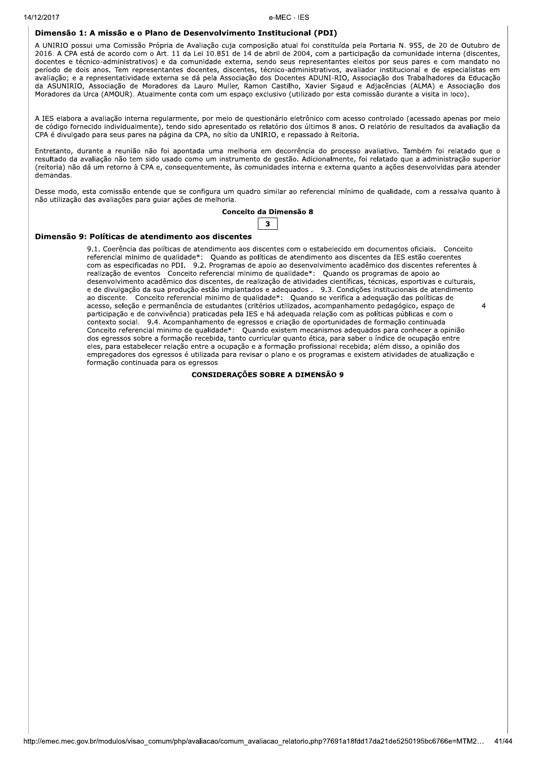14/12/2017

### e-MEC - IES

# Dimensão 1: A missão e o Plano de Desenvolvimento Institucional (PDI)

A UNIRIO possui uma Comissão Própria de Avaliação cuja composição atual foi constituída pela Portaria N. 955, de 20 de Outubro de 2016. A CPA está de acordo com o Art. 11 da Lei 10.851 de 14 de abril de 2004, com a participação da comunidade interna (discentes, docentes e técnico-administrativos) e da comunidade externa, sendo seus representantes eleitos por seus pares e com mandato no período de dois anos. Tem representantes docentes, discentes, técnico-administrativos, avaliador institucional e de especialistas em avaliação; e a representatividade externa se dá pela Associação dos Docentes ADUNI-RIO, Associação dos Trabalhadores da Educação da ASUNIRIO, Associação de Moradores da Lauro Muller, Ramon Castilho, Xavier Sigaud e Adjacências (ALMA) e Associação dos Moradores da Urca (AMOUR). Atualmente conta com um espaço exclusivo (utilizado por esta comissão durante a visita in loco).

A IES elabora a avaliação interna regularmente, por meio de questionário eletrônico com acesso controlado (acessado apenas por meio de código fornecido individualmente), tendo sido apresentado os relatório dos últimos 8 anos. O relatório de resultados da avaliação da CPA é divulgado para seus pares na página da CPA, no sítio da UNIRIO, e repassado à Reitoria.

Entretanto, durante a reunião não foi apontada uma melhoria em decorrência do processo avaliativo. Também foi relatado que o resultado da avaliação não tem sido usado como um instrumento de gestão. Adicionalmente, foi relatado que a administração superior (reitoria) não dá um retorno à CPA e, consequentemente, às comunidades interna e externa quanto a ações desenvolvidas para atender demandas.

Desse modo, esta comissão entende que se configura um quadro similar ao referencial mínimo de qualidade, com a ressalva quanto à não utilização das avaliações para guiar ações de melhoria.

### Conceito da Dimensão 8



### Dimensão 9: Políticas de atendimento aos discentes

9.1. Coerência das políticas de atendimento aos discentes com o estabelecido em documentos oficiais. Conceito referencial minimo de qualidade\*: Quando as políticas de atendimento aos discentes da IES estão coerentes<br>com as especificadas no PDI. 9.2. Programas de apoio ao desenvolvimento acadêmico dos discentes referentes à realização de eventos Conceito referencial minimo de qualidade\*: Quando os programas de apoio ao desenvolvimento acadêmico dos discentes, de realização de atividades científicas, técnicas, esportivas e culturais, e de divulgação da sua produção estão implantados e adequados . 9.3. Condições institucionais de atendimento<br>ao discente. Conceito referencial minimo de qualidade\*: Quando se verifica a adequação das políticas de<br>acesso, s participação e de convivência) praticadas pela IES e há adequada relação com as políticas públicas e com o contexto social. 9.4. Acompanhamento de egressos e criação de oportunidades de formação continuada Conceito referencial minimo de qualidade\*: Quando existem mecanismos adequados para conhecer a opinião dos egressos sobre a formação recebida, tanto curricular quanto ética, para saber o índice de ocupação entre eles, para estabelecer relação entre a ocupação e a formação profissional recebida; além disso, a opinião dos empregadores dos egressos é utilizada para revisar o plano e os programas e existem atividades de atualização e formação continuada para os egressos

 $\overline{a}$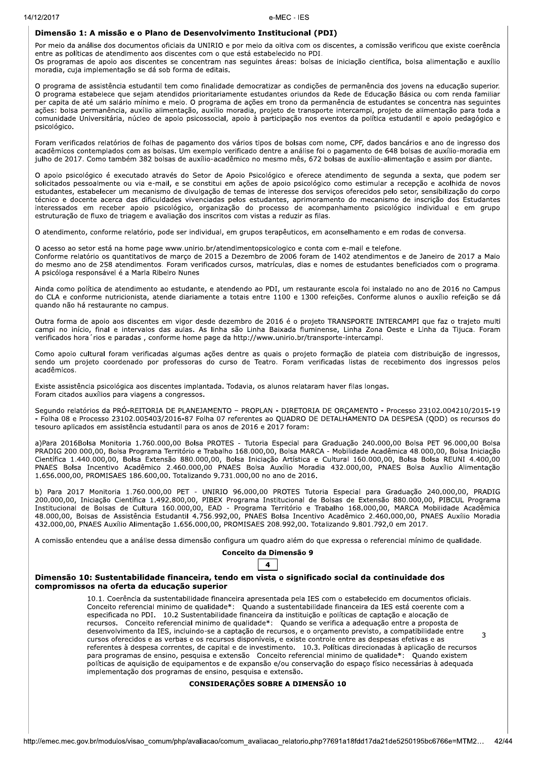### Dimensão 1: A missão e o Plano de Desenvolvimento Institucional (PDI)

Por meio da análise dos documentos oficiais da UNIRIO e por meio da oitiva com os discentes, a comissão verificou que existe coerência entre as políticas de atendimento aos discentes com o que está estabelecido no PDI.

Os programas de apoio aos discentes se concentram nas seguintes áreas: bolsas de iniciação científica, bolsa alimentação e auxílio moradia, cuja implementação se dá sob forma de editais.

O programa de assistência estudantil tem como finalidade democratizar as condições de permanência dos jovens na educação superior. O programa estabelece que sejam atendidos prioritariamente estudantes oriundos da Rede de Educação Básica ou com renda familiar per capita de até um salário mínimo e meio. O programa de ações em trono da permanência de estudantes se concentra nas seguintes ações: bolsa permanência, auxílio alimentação, auxílio moradia, projeto de transporte intercampi, projeto de alimentação para toda a comunidade Universitária, núcleo de apoio psicossocial, apoio à participação nos eventos da política estudantil e apoio pedagógico e psicológico.

Foram verificados relatórios de folhas de pagamento dos vários tipos de bolsas com nome, CPF, dados bancários e ano de ingresso dos acadêmicos contemplados com as bolsas. Um exemplo verificado dentre a análise foi o pagamento de 648 bolsas de auxílio-moradia em julho de 2017. Como também 382 bolsas de auxílio-acadêmico no mesmo mês, 672 bolsas de auxílio-alimentação e assim por diante.

O apoio psicológico é executado através do Setor de Apoio Psicológico e oferece atendimento de segunda a sexta, que podem ser solicitados pessoalmente ou via e-mail, e se constitui em ações de apoio psicológico como estimular a recepção e acolhida de novos estudantes, estabelecer um mecanismo de divulgação de temas de interesse dos serviços oferecidos pelo setor, sensibilização do corpo técnico e docente acerca das dificuldades vivenciadas pelos estudantes, aprimoramento do mecanismo de inscrição dos Estudantes interessados em receber apoio psicológico, organização do processo de acompanhamento psicológico individual e em grupo estruturação de fluxo de triagem e avaliação dos inscritos com vistas a reduzir as filas.

O atendimento, conforme relatório, pode ser individual, em grupos terapêuticos, em aconselhamento e em rodas de conversa.

O acesso ao setor está na home page www.unirio.br/atendimentopsicologico e conta com e-mail e telefone. Conforme relatório os quantitativos de marco de 2015 a Dezembro de 2006 foram de 1402 atendimentos e de Janeiro de 2017 a Maio do mesmo ano de 258 atendimentos. Foram verificados cursos, matrículas, dias e nomes de estudantes beneficiados com o programa. A psicóloga responsável é a Marla Ribeiro Nunes

Ainda como política de atendimento ao estudante, e atendendo ao PDI, um restaurante escola foi instalado no ano de 2016 no Campus do CLA e conforme nutricionista, atende diariamente a totais entre 1100 e 1300 refeições. Conforme alunos o auxílio refeição se dá quando não há restaurante no campus.

Outra forma de apoio aos discentes em vigor desde dezembro de 2016 é o projeto TRANSPORTE INTERCAMPI que faz o trajeto multi campi no início, final e intervalos das aulas. As linha são Linha Baixada fluminense, Linha Zona Oeste e Linha da Tijuca. Foram<br>verificados hora rios e paradas , conforme home page da http://www.unirio.br/transporte-interc

Como apoio cultural foram verificadas algumas ações dentre as quais o projeto formação de plateia com distribuição de ingressos, sendo um projeto coordenado por professoras do curso de Teatro. Foram verificadas listas de recebimento dos ingressos pelos acadêmicos.

Existe assistência psicológica aos discentes implantada. Todavia, os alunos relataram haver filas longas. Foram citados auxílios para viagens a congressos.

Segundo relatórios da PRÓ-REITORIA DE PLANEJAMENTO - PROPLAN - DIRETORIA DE ORCAMENTO - Processo 23102.004210/2015-19 - Folha 08 e Processo 23102.005403/2016-87 Folha 07 referentes ao QUADRO DE DETALHAMENTO DA DESPESA (QDD) os recursos do tesouro aplicados em assistência estudantil para os anos de 2016 e 2017 foram:

a)Para 2016Bolsa Monitoria 1.760.000,00 Bolsa PROTES - Tutoria Especial para Graduação 240.000,00 Bolsa PET 96.000,00 Bolsa PRADIG 200.000,00, Bolsa Programa Território e Trabalho 168.000,00, Bolsa MARCA - Mobilidade Acadêmica 48.000,00, Bolsa Iniciação Científica 1.440.000,00, Bolsa Extensão 880.000,00, Bolsa Iniciação Artística e Cultural 160.000,00, Bolsa Bolsa REUNI 4.400,00 PNAES Bolsa Incentivo Acadêmico 2.460.000,00 PNAES Bolsa Auxílio Moradia 432.000,00, PNAES Bolsa Auxílio Alimentação 1.656.000,00, PROMISAES 186.600,00. Totalizando 9.731.000,00 no ano de 2016.

b) Para 2017 Monitoria 1.760.000,00 PET - UNIRIO 96.000,00 PROTES Tutoria Especial para Graduação 240.000,00, PRADIG<br>200.000,00, Iniciação Científica 1.492.800,00, PIBEX Programa Institucional de Bolsas de Extensão 880.000 Institucional de Bolsas de Cultura 160.000,00, EAD - Programa Território e Trabalho 168.000,00, MARCA Mobilidade Acadêmica 48.000,00, Bolsas de Assistência Estudantil 4.756.992,00, PNAES Bolsa Incentivo Acadêmico 2.460.000,00, PNAES Auxílio Moradia 432.000,00, PNAES Auxílio Alimentação 1.656.000,00, PROMISAES 208.992,00. Totalizando 9.801.792,0 em 2017.

A comissão entendeu que a análise dessa dimensão configura um quadro além do que expressa o referencial mínimo de qualidade.

# Conceito da Dimensão 9



### Dimensão 10: Sustentabilidade financeira, tendo em vista o significado social da continuidade dos compromissos na oferta da educação superior

10.1. Coerência da sustentabilidade financeira apresentada pela IES com o estabelecido em documentos oficiais. Conceito referencial minimo de qualidade\*: Quando a sustentabilidade financeira da IES está coerente com a especificada no PDI. 10.2 Sustentabilidade financeira da instituição e políticas de captação e alocação de recursos. Conceito referencial minimo de qualidade\*: Quando se verifica a adequação entre a proposta de<br>desenvolvimento da IES, incluindo-se a captação de recursos, e o orçamento previsto, a compatibilidade entre  $\mathbf{z}$ cursos oferecidos e as verbas e os recursos disponíveis, e existe controle entre as despesas efetivas e as referentes à despesa correntes, de capital e de investimento. 10.3. Políticas direcionadas à aplicação de recursos para programas de ensino, pesquisa e extensão Conceito referencial minimo de qualidade\*: Quando existem políticas de aquisição de equipamentos e de expansão e/ou conservação do espaço físico necessárias à adequada implementação dos programas de ensino, pesquisa e extensão.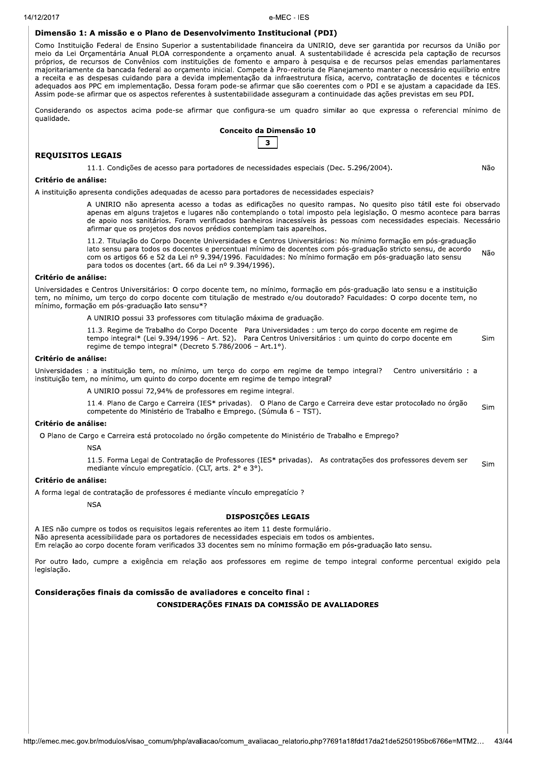### Dimensão 1: A missão e o Plano de Desenvolvimento Institucional (PDI)

Como Instituição Federal de Ensino Superior a sustentabilidade financeira da UNIRIO, deve ser garantida por recursos da União por meio da Lei Orçamentária Anual PLOA correspondente a orçamento anual. A sustentabilidade é acrescida pela captação de recursos próprios, de recursos de Convênios com instituições de fomento e amparo à pesquisa e de recursos pelas emendas parlamentares majoritariamente da bancada federal ao orçamento inicial. Compete à Pro-reitoria de Planejamento manter o necessário equilíbrio entre a receita e as despesas cuidando para a devida implementação da infraestrutura física, acervo, contratação de docentes e técnicos adequados aos PPC em implementação. Dessa foram pode-se afirmar que são coerentes com o PDI e se ajustam a capacidade da IES. Assim pode-se afirmar que os aspectos referentes à sustentabilidade asseguram a continuidade das ações previstas em seu PDI.

Considerando os aspectos acima pode-se afirmar que configura-se um quadro similar ao que expressa o referencial mínimo de qualidade.

# Conceito da Dimensão 10  $\overline{\mathbf{3}}$

### **REQUISITOS LEGAIS**

11.1. Condições de acesso para portadores de necessidades especiais (Dec. 5.296/2004).

Não

### Critério de análise:

A instituição apresenta condições adequadas de acesso para portadores de necessidades especiais?

A UNIRIO não apresenta acesso a todas as edificações no quesito rampas. No quesito piso tátil este foi observado apenas em alguns trajetos e lugares não contemplando o total imposto pela legislação. O mesmo acontece para barras de apoio nos sanitários. Foram verificados banheiros inacessíveis às pessoas com necessidades especiais. Necessário afirmar que os projetos dos novos prédios contemplam tais aparelhos.

11.2. Titulação do Corpo Docente Universidades e Centros Universitários: No mínimo formação em pós-graduação lato sensu para todos os docentes e percentual mínimo de docentes com pós-graduação stricto sensu, de acordo Não com os artigos 66 e 52 da Lei nº 9.394/1996. Faculdades: No mínimo formação em pós-graduação lato sensu para todos os docentes (art. 66 da Lei nº 9.394/1996).

#### Critério de análise:

Universidades e Centros Universitários: O corpo docente tem, no mínimo, formação em pós-graduação lato sensu e a instituição tem, no mínimo, um terço do corpo docente com titulação de mestrado e/ou doutorado? Faculdades: O corpo docente tem, no mínimo, formação em pós-graduação lato sensu\*?

A UNIRIO possui 33 professores com titulação máxima de graduação.

11.3. Regime de Trabalho do Corpo Docente Para Universidades : um terço do corpo docente em regime de tempo integral\* (Lei 9.394/1996 – Art. 52). Para Centros Universitários : um quinto do corpo docente em Sim regime de tempo integral\* (Decreto 5.786/2006 - Art.1°).

#### Critério de análise:

Universidades : a instituição tem, no mínimo, um terço do corpo em regime de tempo integral? Centro universitário : a instituição tem, no mínimo, um quinto do corpo docente em regime de tempo integral?

A UNIRIO possui 72,94% de professores em regime integral.

11.4. Plano de Cargo e Carreira (IES\* privadas). O Plano de Cargo e Carreira deve estar protocolado no órgão Sim competente do Ministério de Trabalho e Emprego. (Súmula 6 - TST).

### Critério de análise:

O Plano de Cargo e Carreira está protocolado no órgão competente do Ministério de Trabalho e Emprego?

**NSA** 

11.5. Forma Legal de Contratação de Professores (IES\* privadas). As contratações dos professores devem ser Sim mediante vínculo empregatício. (CLT, arts. 2° e 3°).

### Critério de análise:

A forma legal de contratação de professores é mediante vínculo empregatício ?

**NSA** 

### **DISPOSICÕES LEGAIS**

A IES não cumpre os todos os requisitos legais referentes ao item 11 deste formulário. Não apresenta acessibilidade para os portadores de necessidades especiais em todos os ambientes. Em relação ao corpo docente foram verificados 33 docentes sem no mínimo formação em pós-graduação lato sensu.

Por outro lado, cumpre a exigência em relação aos professores em regime de tempo integral conforme percentual exigido pela legislação.

### Considerações finais da comissão de avaliadores e conceito final :

CONSIDERAÇÕES FINAIS DA COMISSÃO DE AVALIADORES